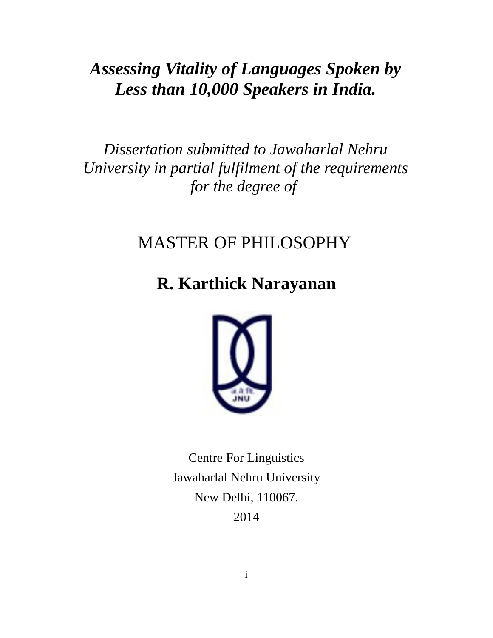*Assessing Vitality of Languages Spoken by Less than 10,000 Speakers in India.*

*Dissertation submitted to Jawaharlal Nehru University in partial fulfilment of the requirements for the degree of* 

# MASTER OF PHILOSOPHY

# **R. Karthick Narayanan**



Centre For Linguistics Jawaharlal Nehru University New Delhi, 110067. 2014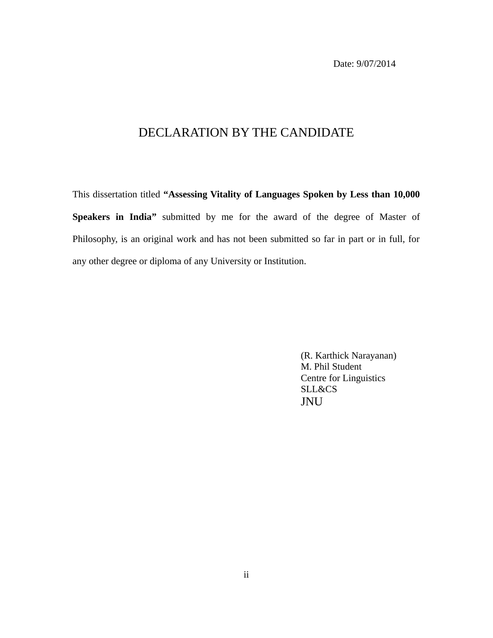Date: 9/07/2014

## DECLARATION BY THE CANDIDATE

This dissertation titled **"Assessing Vitality of Languages Spoken by Less than 10,000 Speakers in India"** submitted by me for the award of the degree of Master of Philosophy, is an original work and has not been submitted so far in part or in full, for any other degree or diploma of any University or Institution.

> (R. Karthick Narayanan) M. Phil Student Centre for Linguistics SLL&CS JNU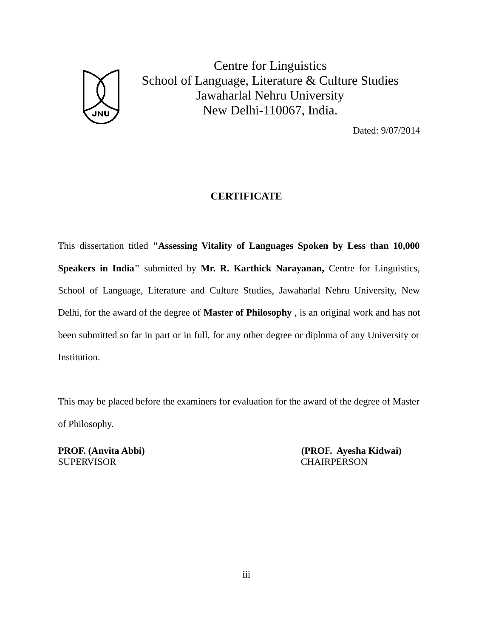

Centre for Linguistics School of Language, Literature & Culture Studies Jawaharlal Nehru University New Delhi-110067, India.

Dated: 9/07/2014

#### **CERTIFICATE**

This dissertation titled **"Assessing Vitality of Languages Spoken by Less than 10,000 Speakers in India"** submitted by **Mr. R. Karthick Narayanan,** Centre for Linguistics, School of Language, Literature and Culture Studies, Jawaharlal Nehru University, New Delhi, for the award of the degree of **Master of Philosophy** , is an original work and has not been submitted so far in part or in full, for any other degree or diploma of any University or Institution.

This may be placed before the examiners for evaluation for the award of the degree of Master of Philosophy.

SUPERVISOR CHAIRPERSON

**PROF. (Anvita Abbi) (PROF. Ayesha Kidwai)**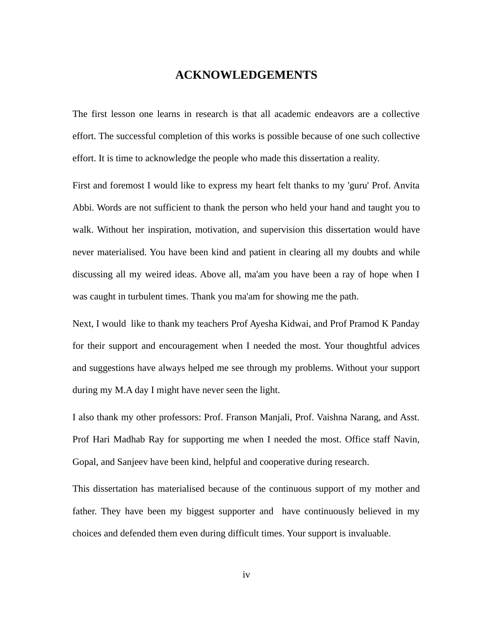#### **ACKNOWLEDGEMENTS**

The first lesson one learns in research is that all academic endeavors are a collective effort. The successful completion of this works is possible because of one such collective effort. It is time to acknowledge the people who made this dissertation a reality.

First and foremost I would like to express my heart felt thanks to my 'guru' Prof. Anvita Abbi. Words are not sufficient to thank the person who held your hand and taught you to walk. Without her inspiration, motivation, and supervision this dissertation would have never materialised. You have been kind and patient in clearing all my doubts and while discussing all my weired ideas. Above all, ma'am you have been a ray of hope when I was caught in turbulent times. Thank you ma'am for showing me the path.

Next, I would like to thank my teachers Prof Ayesha Kidwai, and Prof Pramod K Panday for their support and encouragement when I needed the most. Your thoughtful advices and suggestions have always helped me see through my problems. Without your support during my M.A day I might have never seen the light.

I also thank my other professors: Prof. Franson Manjali, Prof. Vaishna Narang, and Asst. Prof Hari Madhab Ray for supporting me when I needed the most. Office staff Navin, Gopal, and Sanjeev have been kind, helpful and cooperative during research.

This dissertation has materialised because of the continuous support of my mother and father. They have been my biggest supporter and have continuously believed in my choices and defended them even during difficult times. Your support is invaluable.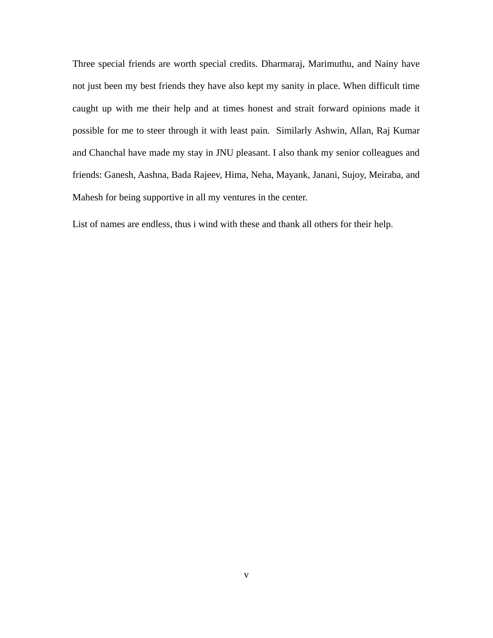Three special friends are worth special credits. Dharmaraj, Marimuthu, and Nainy have not just been my best friends they have also kept my sanity in place. When difficult time caught up with me their help and at times honest and strait forward opinions made it possible for me to steer through it with least pain. Similarly Ashwin, Allan, Raj Kumar and Chanchal have made my stay in JNU pleasant. I also thank my senior colleagues and friends: Ganesh, Aashna, Bada Rajeev, Hima, Neha, Mayank, Janani, Sujoy, Meiraba, and Mahesh for being supportive in all my ventures in the center.

List of names are endless, thus i wind with these and thank all others for their help.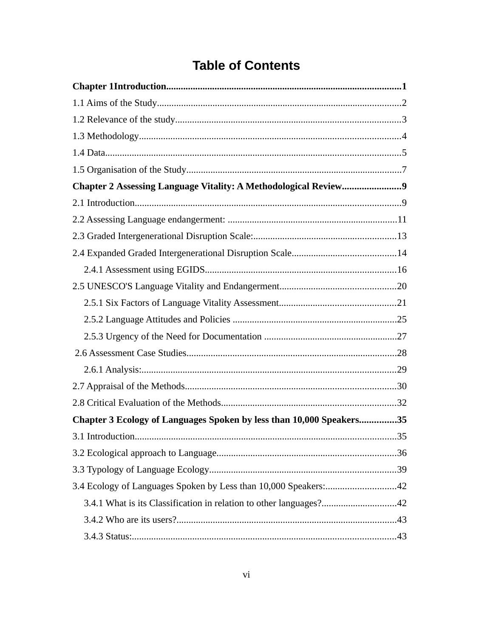## **Table of Contents**

| Chapter 2 Assessing Language Vitality: A Methodological Review9      |  |
|----------------------------------------------------------------------|--|
|                                                                      |  |
|                                                                      |  |
|                                                                      |  |
|                                                                      |  |
|                                                                      |  |
|                                                                      |  |
|                                                                      |  |
|                                                                      |  |
|                                                                      |  |
|                                                                      |  |
|                                                                      |  |
|                                                                      |  |
|                                                                      |  |
| Chapter 3 Ecology of Languages Spoken by less than 10,000 Speakers35 |  |
|                                                                      |  |
|                                                                      |  |
|                                                                      |  |
| 3.4 Ecology of Languages Spoken by Less than 10,000 Speakers:42      |  |
| 3.4.1 What is its Classification in relation to other languages?42   |  |
|                                                                      |  |
|                                                                      |  |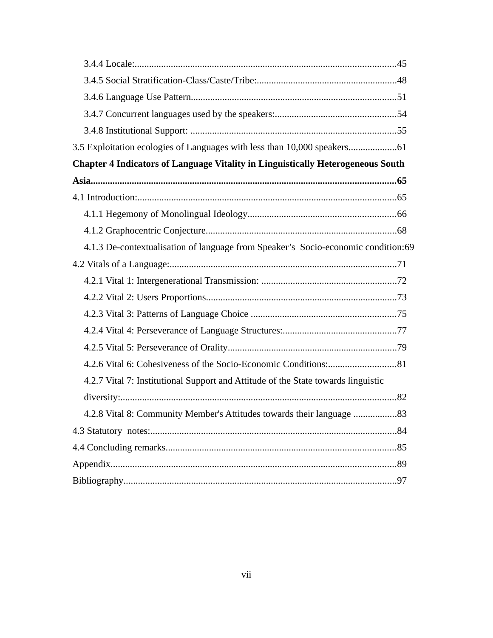| 3.5 Exploitation ecologies of Languages with less than 10,000 speakers61               |  |
|----------------------------------------------------------------------------------------|--|
| <b>Chapter 4 Indicators of Language Vitality in Linguistically Heterogeneous South</b> |  |
|                                                                                        |  |
|                                                                                        |  |
|                                                                                        |  |
|                                                                                        |  |
| 4.1.3 De-contextualisation of language from Speaker's Socio-economic condition:69      |  |
|                                                                                        |  |
|                                                                                        |  |
|                                                                                        |  |
|                                                                                        |  |
|                                                                                        |  |
|                                                                                        |  |
|                                                                                        |  |
| 4.2.7 Vital 7: Institutional Support and Attitude of the State towards linguistic      |  |
|                                                                                        |  |
| 4.2.8 Vital 8: Community Member's Attitudes towards their language 83                  |  |
|                                                                                        |  |
|                                                                                        |  |
|                                                                                        |  |
|                                                                                        |  |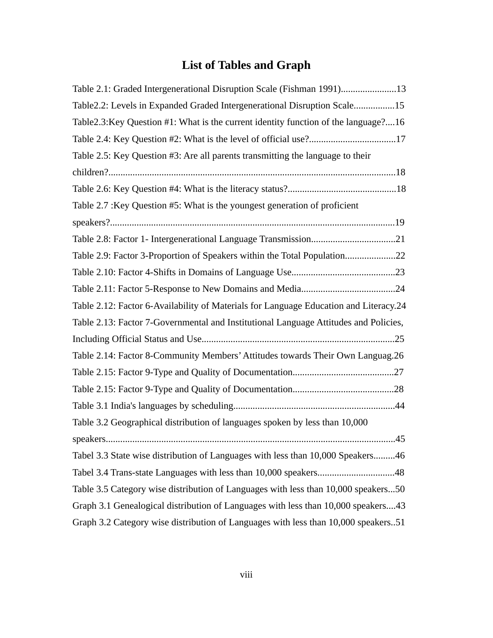## **List of Tables and Graph**

| Table 2.1: Graded Intergenerational Disruption Scale (Fishman 1991)13                 |
|---------------------------------------------------------------------------------------|
| Table2.2: Levels in Expanded Graded Intergenerational Disruption Scale15              |
| Table2.3: Key Question #1: What is the current identity function of the language?16   |
| Table 2.4: Key Question #2: What is the level of official use?17                      |
| Table 2.5: Key Question #3: Are all parents transmitting the language to their        |
|                                                                                       |
|                                                                                       |
| Table 2.7 : Key Question #5: What is the youngest generation of proficient            |
|                                                                                       |
|                                                                                       |
| Table 2.9: Factor 3-Proportion of Speakers within the Total Population22              |
|                                                                                       |
|                                                                                       |
| Table 2.12: Factor 6-Availability of Materials for Language Education and Literacy.24 |
| Table 2.13: Factor 7-Governmental and Institutional Language Attitudes and Policies,  |
|                                                                                       |
| Table 2.14: Factor 8-Community Members' Attitudes towards Their Own Languag.26        |
|                                                                                       |
|                                                                                       |
|                                                                                       |
| Table 3.2 Geographical distribution of languages spoken by less than 10,000           |
|                                                                                       |
| Tabel 3.3 State wise distribution of Languages with less than 10,000 Speakers46       |
| Tabel 3.4 Trans-state Languages with less than 10,000 speakers48                      |
| Table 3.5 Category wise distribution of Languages with less than 10,000 speakers50    |
| Graph 3.1 Genealogical distribution of Languages with less than 10,000 speakers43     |
| Graph 3.2 Category wise distribution of Languages with less than 10,000 speakers51    |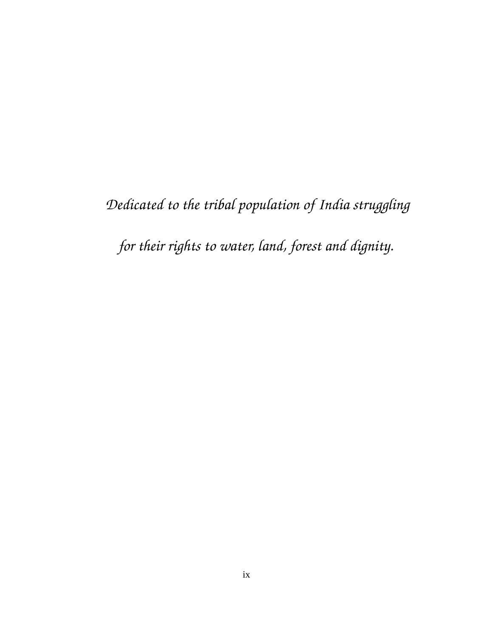*Dedicated to the tribal population of India struggling* 

*for their rights to water, land, forest and dignity.*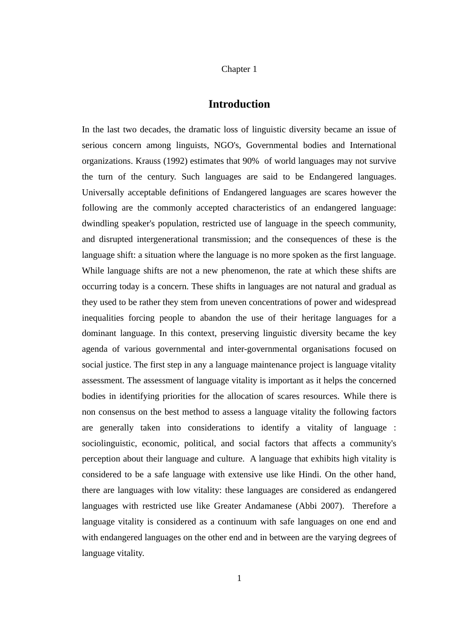#### <span id="page-10-0"></span>Chapter 1

### **Introduction**

In the last two decades, the dramatic loss of linguistic diversity became an issue of serious concern among linguists, NGO's, Governmental bodies and International organizations. Krauss (1992) estimates that 90% of world languages may not survive the turn of the century. Such languages are said to be Endangered languages. Universally acceptable definitions of Endangered languages are scares however the following are the commonly accepted characteristics of an endangered language: dwindling speaker's population, restricted use of language in the speech community, and disrupted intergenerational transmission; and the consequences of these is the language shift: a situation where the language is no more spoken as the first language. While language shifts are not a new phenomenon, the rate at which these shifts are occurring today is a concern. These shifts in languages are not natural and gradual as they used to be rather they stem from uneven concentrations of power and widespread inequalities forcing people to abandon the use of their heritage languages for a dominant language. In this context, preserving linguistic diversity became the key agenda of various governmental and inter-governmental organisations focused on social justice. The first step in any a language maintenance project is language vitality assessment. The assessment of language vitality is important as it helps the concerned bodies in identifying priorities for the allocation of scares resources. While there is non consensus on the best method to assess a language vitality the following factors are generally taken into considerations to identify a vitality of language : sociolinguistic, economic, political, and social factors that affects a community's perception about their language and culture. A language that exhibits high vitality is considered to be a safe language with extensive use like Hindi. On the other hand, there are languages with low vitality: these languages are considered as endangered languages with restricted use like Greater Andamanese (Abbi 2007). Therefore a language vitality is considered as a continuum with safe languages on one end and with endangered languages on the other end and in between are the varying degrees of language vitality.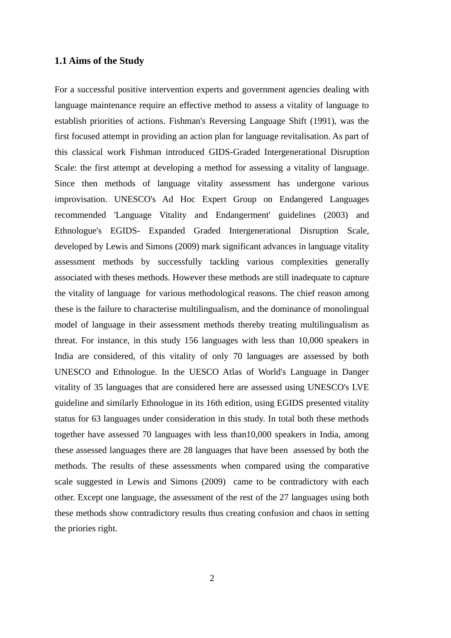#### <span id="page-11-0"></span>**1.1 Aims of the Study**

For a successful positive intervention experts and government agencies dealing with language maintenance require an effective method to assess a vitality of language to establish priorities of actions. Fishman's Reversing Language Shift (1991), was the first focused attempt in providing an action plan for language revitalisation. As part of this classical work Fishman introduced GIDS-Graded Intergenerational Disruption Scale: the first attempt at developing a method for assessing a vitality of language. Since then methods of language vitality assessment has undergone various improvisation. UNESCO's Ad Hoc Expert Group on Endangered Languages recommended 'Language Vitality and Endangerment' guidelines (2003) and Ethnologue's EGIDS- Expanded Graded Intergenerational Disruption Scale, developed by Lewis and Simons (2009) mark significant advances in language vitality assessment methods by successfully tackling various complexities generally associated with theses methods. However these methods are still inadequate to capture the vitality of language for various methodological reasons. The chief reason among these is the failure to characterise multilingualism, and the dominance of monolingual model of language in their assessment methods thereby treating multilingualism as threat. For instance, in this study 156 languages with less than 10,000 speakers in India are considered, of this vitality of only 70 languages are assessed by both UNESCO and Ethnologue. In the UESCO Atlas of World's Language in Danger vitality of 35 languages that are considered here are assessed using UNESCO's LVE guideline and similarly Ethnologue in its 16th edition, using EGIDS presented vitality status for 63 languages under consideration in this study. In total both these methods together have assessed 70 languages with less than10,000 speakers in India, among these assessed languages there are 28 languages that have been assessed by both the methods. The results of these assessments when compared using the comparative scale suggested in Lewis and Simons (2009) came to be contradictory with each other. Except one language, the assessment of the rest of the 27 languages using both these methods show contradictory results thus creating confusion and chaos in setting the priories right.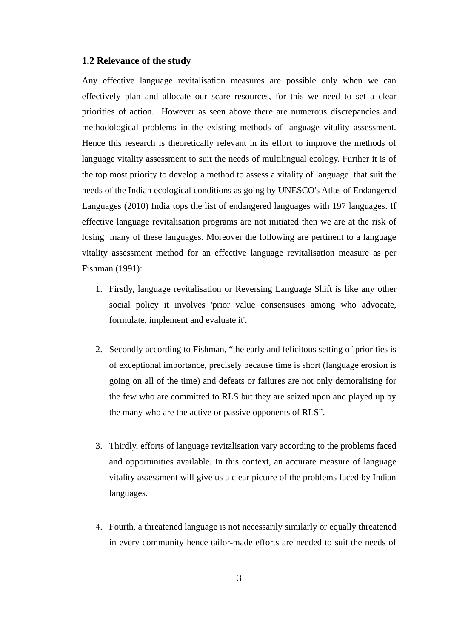#### <span id="page-12-0"></span>**1.2 Relevance of the study**

Any effective language revitalisation measures are possible only when we can effectively plan and allocate our scare resources, for this we need to set a clear priorities of action. However as seen above there are numerous discrepancies and methodological problems in the existing methods of language vitality assessment. Hence this research is theoretically relevant in its effort to improve the methods of language vitality assessment to suit the needs of multilingual ecology. Further it is of the top most priority to develop a method to assess a vitality of language that suit the needs of the Indian ecological conditions as going by UNESCO's Atlas of Endangered Languages (2010) India tops the list of endangered languages with 197 languages. If effective language revitalisation programs are not initiated then we are at the risk of losing many of these languages. Moreover the following are pertinent to a language vitality assessment method for an effective language revitalisation measure as per Fishman (1991):

- 1. Firstly, language revitalisation or Reversing Language Shift is like any other social policy it involves 'prior value consensuses among who advocate, formulate, implement and evaluate it'.
- 2. Secondly according to Fishman, "the early and felicitous setting of priorities is of exceptional importance, precisely because time is short (language erosion is going on all of the time) and defeats or failures are not only demoralising for the few who are committed to RLS but they are seized upon and played up by the many who are the active or passive opponents of RLS".
- 3. Thirdly, efforts of language revitalisation vary according to the problems faced and opportunities available. In this context, an accurate measure of language vitality assessment will give us a clear picture of the problems faced by Indian languages.
- 4. Fourth, a threatened language is not necessarily similarly or equally threatened in every community hence tailor-made efforts are needed to suit the needs of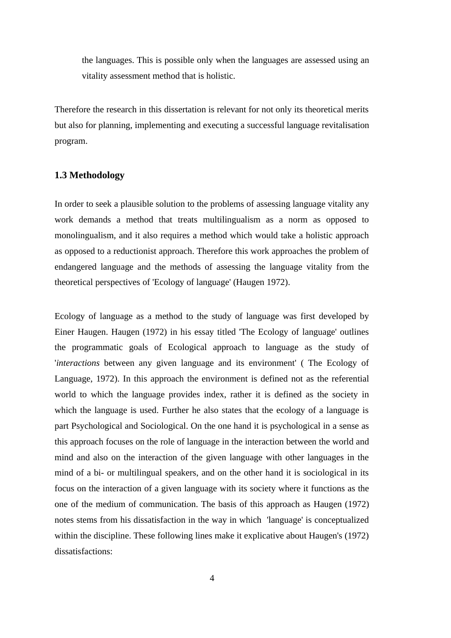the languages. This is possible only when the languages are assessed using an vitality assessment method that is holistic.

<span id="page-13-0"></span>Therefore the research in this dissertation is relevant for not only its theoretical merits but also for planning, implementing and executing a successful language revitalisation program.

#### **1.3 Methodology**

In order to seek a plausible solution to the problems of assessing language vitality any work demands a method that treats multilingualism as a norm as opposed to monolingualism, and it also requires a method which would take a holistic approach as opposed to a reductionist approach. Therefore this work approaches the problem of endangered language and the methods of assessing the language vitality from the theoretical perspectives of 'Ecology of language' (Haugen 1972).

Ecology of language as a method to the study of language was first developed by Einer Haugen. Haugen (1972) in his essay titled 'The Ecology of language' outlines the programmatic goals of Ecological approach to language as the study of '*interactions* between any given language and its environment' ( The Ecology of Language, 1972). In this approach the environment is defined not as the referential world to which the language provides index, rather it is defined as the society in which the language is used. Further he also states that the ecology of a language is part Psychological and Sociological. On the one hand it is psychological in a sense as this approach focuses on the role of language in the interaction between the world and mind and also on the interaction of the given language with other languages in the mind of a bi- or multilingual speakers, and on the other hand it is sociological in its focus on the interaction of a given language with its society where it functions as the one of the medium of communication. The basis of this approach as Haugen (1972) notes stems from his dissatisfaction in the way in which 'language' is conceptualized within the discipline. These following lines make it explicative about Haugen's (1972) dissatisfactions: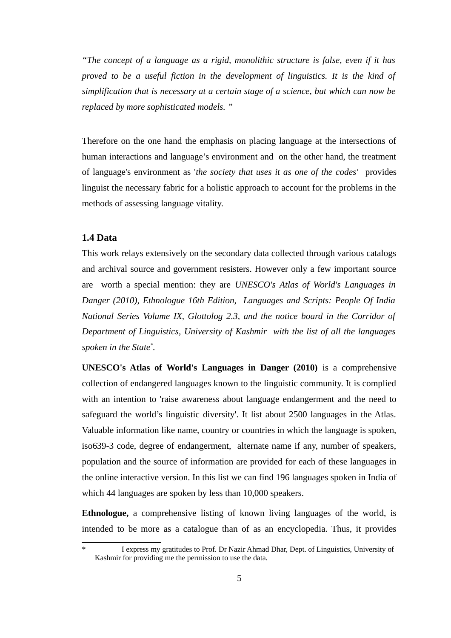*"The concept of a language as a rigid, monolithic structure is false, even if it has proved to be a useful fiction in the development of linguistics. It is the kind of simplification that is necessary at a certain stage of a science, but which can now be replaced by more sophisticated models. "* 

Therefore on the one hand the emphasis on placing language at the intersections of human interactions and language's environment and on the other hand, the treatment of language's environment as '*the society that uses it as one of the codes'* provides linguist the necessary fabric for a holistic approach to account for the problems in the methods of assessing language vitality.

#### <span id="page-14-0"></span>**1.4 Data**

This work relays extensively on the secondary data collected through various catalogs and archival source and government resisters. However only a few important source are worth a special mention: they are *UNESCO's Atlas of World's Languages in Danger (2010), Ethnologue 16th Edition, Languages and Scripts: People Of India National Series Volume IX, Glottolog 2.3, and the notice board in the Corridor of Department of Linguistics, University of Kashmir with the list of all the languages spoken in the State[\\*](#page-14-1) .* 

**UNESCO's Atlas of World's Languages in Danger (2010)** is a comprehensive collection of endangered languages known to the linguistic community. It is complied with an intention to 'raise awareness about language endangerment and the need to safeguard the world's linguistic diversity'. It list about 2500 languages in the Atlas. Valuable information like name, country or countries in which the language is spoken, iso639-3 code, degree of endangerment, alternate name if any, number of speakers, population and the source of information are provided for each of these languages in the online interactive version. In this list we can find 196 languages spoken in India of which 44 languages are spoken by less than 10,000 speakers.

**Ethnologue,** a comprehensive listing of known living languages of the world, is intended to be more as a catalogue than of as an encyclopedia. Thus, it provides

<span id="page-14-1"></span><sup>\*</sup> I express my gratitudes to Prof. Dr Nazir Ahmad Dhar, Dept. of Linguistics, University of Kashmir for providing me the permission to use the data.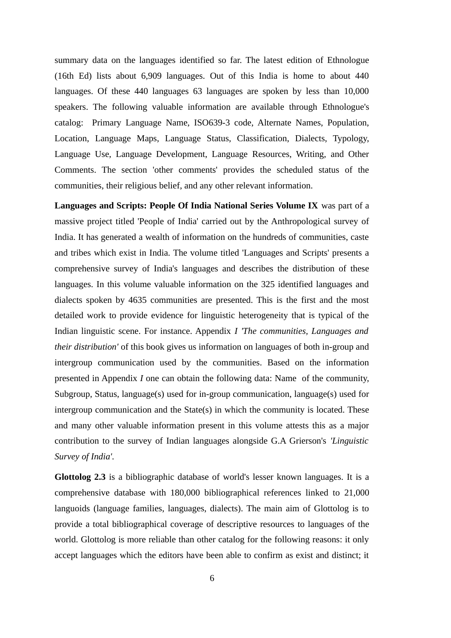summary data on the languages identified so far. The latest edition of Ethnologue (16th Ed) lists about 6,909 languages. Out of this India is home to about 440 languages. Of these 440 languages 63 languages are spoken by less than 10,000 speakers. The following valuable information are available through Ethnologue's catalog: Primary Language Name, ISO639-3 code, Alternate Names, Population, Location, Language Maps, Language Status, Classification, Dialects, Typology, Language Use, Language Development, Language Resources, Writing, and Other Comments. The section 'other comments' provides the scheduled status of the communities, their religious belief, and any other relevant information.

**Languages and Scripts: People Of India National Series Volume IX** was part of a massive project titled 'People of India' carried out by the Anthropological survey of India. It has generated a wealth of information on the hundreds of communities, caste and tribes which exist in India. The volume titled 'Languages and Scripts' presents a comprehensive survey of India's languages and describes the distribution of these languages. In this volume valuable information on the 325 identified languages and dialects spoken by 4635 communities are presented. This is the first and the most detailed work to provide evidence for linguistic heterogeneity that is typical of the Indian linguistic scene. For instance. Appendix *I 'The communities, Languages and their distribution'* of this book gives us information on languages of both in-group and intergroup communication used by the communities. Based on the information presented in Appendix *I* one can obtain the following data: Name of the community, Subgroup, Status, language(s) used for in-group communication, language(s) used for intergroup communication and the State(s) in which the community is located. These and many other valuable information present in this volume attests this as a major contribution to the survey of Indian languages alongside G.A Grierson's *'Linguistic Survey of India'.*

**Glottolog 2.3** is a bibliographic database of world's lesser known languages. It is a comprehensive database with 180,000 bibliographical references linked to 21,000 languoids (language families, languages, dialects). The main aim of Glottolog is to provide a total bibliographical coverage of descriptive resources to languages of the world. Glottolog is more reliable than other catalog for the following reasons: it only accept languages which the editors have been able to confirm as exist and distinct; it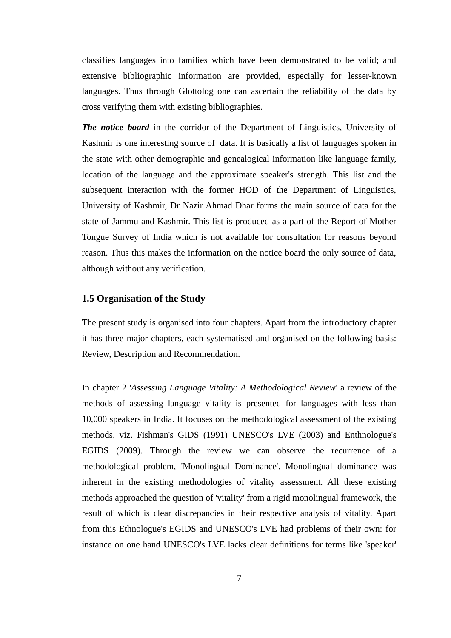classifies languages into families which have been demonstrated to be valid; and extensive bibliographic information are provided, especially for lesser-known languages. Thus through Glottolog one can ascertain the reliability of the data by cross verifying them with existing bibliographies.

*The notice board* in the corridor of the Department of Linguistics, University of Kashmir is one interesting source of data. It is basically a list of languages spoken in the state with other demographic and genealogical information like language family, location of the language and the approximate speaker's strength. This list and the subsequent interaction with the former HOD of the Department of Linguistics, University of Kashmir, Dr Nazir Ahmad Dhar forms the main source of data for the state of Jammu and Kashmir. This list is produced as a part of the Report of Mother Tongue Survey of India which is not available for consultation for reasons beyond reason. Thus this makes the information on the notice board the only source of data, although without any verification.

#### <span id="page-16-0"></span>**1.5 Organisation of the Study**

The present study is organised into four chapters. Apart from the introductory chapter it has three major chapters, each systematised and organised on the following basis: Review, Description and Recommendation.

In chapter 2 '*Assessing Language Vitality: A Methodological Review*' a review of the methods of assessing language vitality is presented for languages with less than 10,000 speakers in India. It focuses on the methodological assessment of the existing methods, viz. Fishman's GIDS (1991) UNESCO's LVE (2003) and Enthnologue's EGIDS (2009). Through the review we can observe the recurrence of a methodological problem, 'Monolingual Dominance'. Monolingual dominance was inherent in the existing methodologies of vitality assessment. All these existing methods approached the question of 'vitality' from a rigid monolingual framework, the result of which is clear discrepancies in their respective analysis of vitality. Apart from this Ethnologue's EGIDS and UNESCO's LVE had problems of their own: for instance on one hand UNESCO's LVE lacks clear definitions for terms like 'speaker'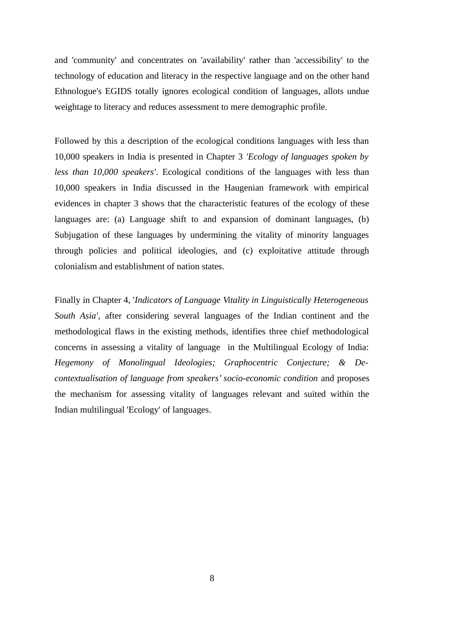and 'community' and concentrates on 'availability' rather than 'accessibility' to the technology of education and literacy in the respective language and on the other hand Ethnologue's EGIDS totally ignores ecological condition of languages, allots undue weightage to literacy and reduces assessment to mere demographic profile.

Followed by this a description of the ecological conditions languages with less than 10,000 speakers in India is presented in Chapter 3 *'Ecology of languages spoken by less than 10,000 speakers'*. Ecological conditions of the languages with less than 10,000 speakers in India discussed in the Haugenian framework with empirical evidences in chapter 3 shows that the characteristic features of the ecology of these languages are: (a) Language shift to and expansion of dominant languages, (b) Subjugation of these languages by undermining the vitality of minority languages through policies and political ideologies, and (c) exploitative attitude through colonialism and establishment of nation states.

Finally in Chapter 4, '*Indicators of Language Vitality in Linguistically Heterogeneous South Asia'*, after considering several languages of the Indian continent and the methodological flaws in the existing methods, identifies three chief methodological concerns in assessing a vitality of language in the Multilingual Ecology of India: *Hegemony of Monolingual Ideologies; Graphocentric Conjecture; & Decontextualisation of language from speakers' socio-economic condition* and proposes the mechanism for assessing vitality of languages relevant and suited within the Indian multilingual 'Ecology' of languages.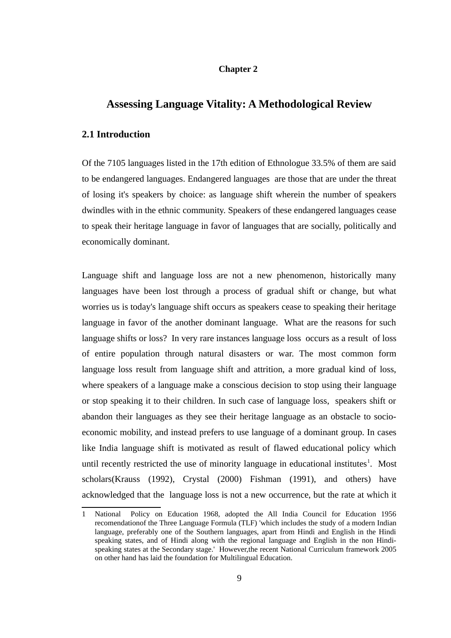#### **Chapter 2**

### <span id="page-18-1"></span><span id="page-18-0"></span>**Assessing Language Vitality: A Methodological Review**

#### **2.1 Introduction**

Of the 7105 languages listed in the 17th edition of Ethnologue 33.5% of them are said to be endangered languages. Endangered languages are those that are under the threat of losing it's speakers by choice: as language shift wherein the number of speakers dwindles with in the ethnic community. Speakers of these endangered languages cease to speak their heritage language in favor of languages that are socially, politically and economically dominant.

Language shift and language loss are not a new phenomenon, historically many languages have been lost through a process of gradual shift or change, but what worries us is today's language shift occurs as speakers cease to speaking their heritage language in favor of the another dominant language. What are the reasons for such language shifts or loss? In very rare instances language loss occurs as a result of loss of entire population through natural disasters or war. The most common form language loss result from language shift and attrition, a more gradual kind of loss, where speakers of a language make a conscious decision to stop using their language or stop speaking it to their children. In such case of language loss, speakers shift or abandon their languages as they see their heritage language as an obstacle to socioeconomic mobility, and instead prefers to use language of a dominant group. In cases like India language shift is motivated as result of flawed educational policy which until recently restricted the use of minority language in educational institutes<sup>[1](#page-18-2)</sup>. Most scholars(Krauss (1992), Crystal (2000) Fishman (1991), and others) have acknowledged that the language loss is not a new occurrence, but the rate at which it

<span id="page-18-2"></span><sup>1</sup> National Policy on Education 1968, adopted the All India Council for Education 1956 recomendationof the Three Language Formula (TLF) 'which includes the study of a modern Indian language, preferably one of the Southern languages, apart from Hindi and English in the Hindi speaking states, and of Hindi along with the regional language and English in the non Hindispeaking states at the Secondary stage.' However,the recent National Curriculum framework 2005 on other hand has laid the foundation for Multilingual Education.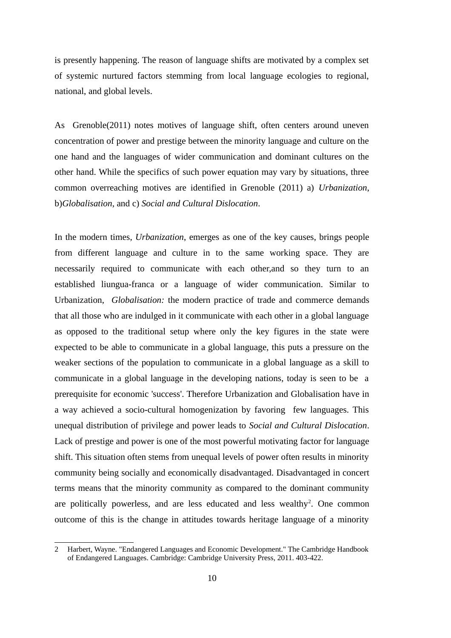is presently happening. The reason of language shifts are motivated by a complex set of systemic nurtured factors stemming from local language ecologies to regional, national, and global levels.

As Grenoble(2011) notes motives of language shift, often centers around uneven concentration of power and prestige between the minority language and culture on the one hand and the languages of wider communication and dominant cultures on the other hand. While the specifics of such power equation may vary by situations, three common overreaching motives are identified in Grenoble (2011) a) *Urbanization*, b)*Globalisation*, and c) *Social and Cultural Dislocation*.

In the modern times, *Urbanization*, emerges as one of the key causes, brings people from different language and culture in to the same working space. They are necessarily required to communicate with each other,and so they turn to an established liungua-franca or a language of wider communication. Similar to Urbanization, *Globalisation:* the modern practice of trade and commerce demands that all those who are indulged in it communicate with each other in a global language as opposed to the traditional setup where only the key figures in the state were expected to be able to communicate in a global language, this puts a pressure on the weaker sections of the population to communicate in a global language as a skill to communicate in a global language in the developing nations, today is seen to be a prerequisite for economic 'success'. Therefore Urbanization and Globalisation have in a way achieved a socio-cultural homogenization by favoring few languages. This unequal distribution of privilege and power leads to *Social and Cultural Dislocation*. Lack of prestige and power is one of the most powerful motivating factor for language shift. This situation often stems from unequal levels of power often results in minority community being socially and economically disadvantaged. Disadvantaged in concert terms means that the minority community as compared to the dominant community are politically powerless, and are less educated and less wealthy<sup>[2](#page-19-0)</sup>. One common outcome of this is the change in attitudes towards heritage language of a minority

<span id="page-19-0"></span><sup>2</sup> Harbert, Wayne. "Endangered Languages and Economic Development." The Cambridge Handbook of Endangered Languages. Cambridge: Cambridge University Press, 2011. 403-422.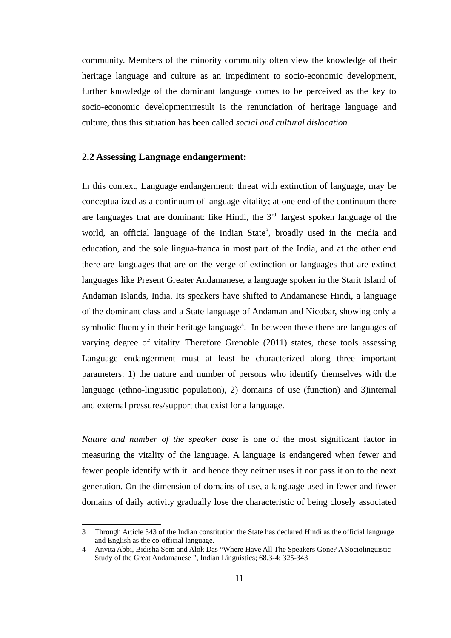community. Members of the minority community often view the knowledge of their heritage language and culture as an impediment to socio-economic development, further knowledge of the dominant language comes to be perceived as the key to socio-economic development:result is the renunciation of heritage language and culture, thus this situation has been called *social and cultural dislocation.* 

#### <span id="page-20-0"></span>**2.2 Assessing Language endangerment:**

In this context, Language endangerment: threat with extinction of language, may be conceptualized as a continuum of language vitality; at one end of the continuum there are languages that are dominant: like Hindi, the  $3<sup>rd</sup>$  largest spoken language of the world, an official language of the Indian State<sup>[3](#page-20-1)</sup>, broadly used in the media and education, and the sole lingua-franca in most part of the India, and at the other end there are languages that are on the verge of extinction or languages that are extinct languages like Present Greater Andamanese, a language spoken in the Starit Island of Andaman Islands, India. Its speakers have shifted to Andamanese Hindi, a language of the dominant class and a State language of Andaman and Nicobar, showing only a symbolic fluency in their heritage language<sup>[4](#page-20-2)</sup>. In between these there are languages of varying degree of vitality. Therefore Grenoble (2011) states, these tools assessing Language endangerment must at least be characterized along three important parameters: 1) the nature and number of persons who identify themselves with the language (ethno-lingusitic population), 2) domains of use (function) and 3)internal and external pressures/support that exist for a language.

*Nature and number of the speaker base* is one of the most significant factor in measuring the vitality of the language. A language is endangered when fewer and fewer people identify with it and hence they neither uses it nor pass it on to the next generation. On the dimension of domains of use, a language used in fewer and fewer domains of daily activity gradually lose the characteristic of being closely associated

<span id="page-20-1"></span><sup>3</sup> Through Article 343 of the Indian constitution the State has declared Hindi as the official language and English as the co-official language.

<span id="page-20-2"></span><sup>4</sup> Anvita Abbi, Bidisha Som and Alok Das "Where Have All The Speakers Gone? A Sociolinguistic Study of the Great Andamanese ", Indian Linguistics; 68.3-4: 325-343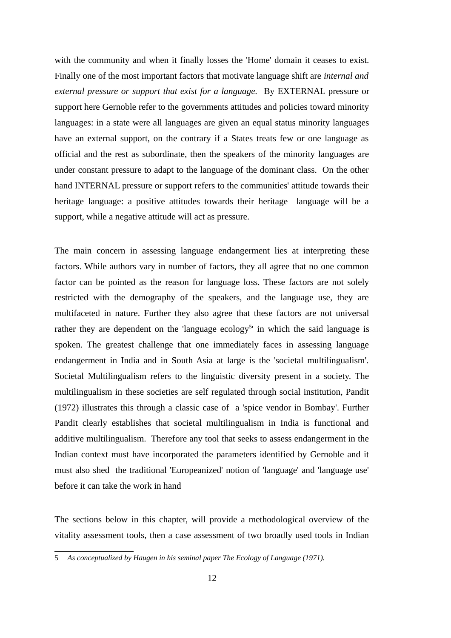with the community and when it finally losses the 'Home' domain it ceases to exist. Finally one of the most important factors that motivate language shift are *internal and external pressure or support that exist for a language.* By EXTERNAL pressure or support here Gernoble refer to the governments attitudes and policies toward minority languages: in a state were all languages are given an equal status minority languages have an external support, on the contrary if a States treats few or one language as official and the rest as subordinate, then the speakers of the minority languages are under constant pressure to adapt to the language of the dominant class. On the other hand INTERNAL pressure or support refers to the communities' attitude towards their heritage language: a positive attitudes towards their heritage language will be a support, while a negative attitude will act as pressure.

The main concern in assessing language endangerment lies at interpreting these factors. While authors vary in number of factors, they all agree that no one common factor can be pointed as the reason for language loss. These factors are not solely restricted with the demography of the speakers, and the language use, they are multifaceted in nature. Further they also agree that these factors are not universal rather they are dependent on the 'language ecology<sup>[5](#page-21-0)</sup>' in which the said language is spoken. The greatest challenge that one immediately faces in assessing language endangerment in India and in South Asia at large is the 'societal multilingualism'. Societal Multilingualism refers to the linguistic diversity present in a society. The multilingualism in these societies are self regulated through social institution, Pandit (1972) illustrates this through a classic case of a 'spice vendor in Bombay'. Further Pandit clearly establishes that societal multilingualism in India is functional and additive multilingualism. Therefore any tool that seeks to assess endangerment in the Indian context must have incorporated the parameters identified by Gernoble and it must also shed the traditional 'Europeanized' notion of 'language' and 'language use' before it can take the work in hand

The sections below in this chapter, will provide a methodological overview of the vitality assessment tools, then a case assessment of two broadly used tools in Indian

<span id="page-21-0"></span><sup>5</sup> *As conceptualized by Haugen in his seminal paper The Ecology of Language (1971).*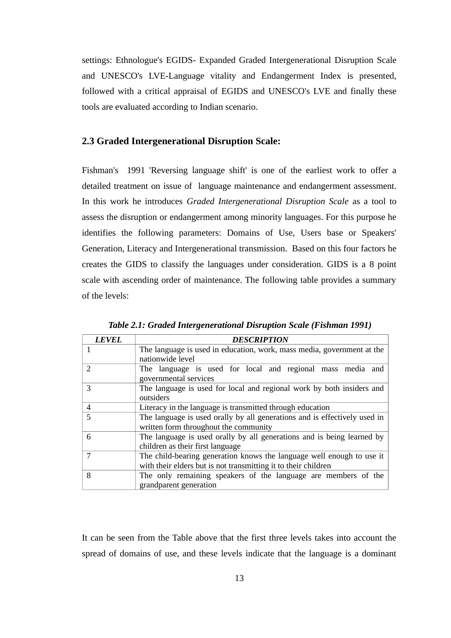settings: Ethnologue's EGIDS- Expanded Graded Intergenerational Disruption Scale and UNESCO's LVE-Language vitality and Endangerment Index is presented, followed with a critical appraisal of EGIDS and UNESCO's LVE and finally these tools are evaluated according to Indian scenario.

#### <span id="page-22-0"></span>**2.3 Graded Intergenerational Disruption Scale:**

Fishman's 1991 'Reversing language shift' is one of the earliest work to offer a detailed treatment on issue of language maintenance and endangerment assessment. In this work he introduces *Graded Intergenerational Disruption Scale* as a tool to assess the disruption or endangerment among minority languages. For this purpose he identifies the following parameters: Domains of Use, Users base or Speakers' Generation, Literacy and Intergenerational transmission. Based on this four factors he creates the GIDS to classify the languages under consideration. GIDS is a 8 point scale with ascending order of maintenance. The following table provides a summary of the levels:

| <b>LEVEL</b>   | <b>DESCRIPTION</b>                                                                                                                      |  |  |
|----------------|-----------------------------------------------------------------------------------------------------------------------------------------|--|--|
|                | The language is used in education, work, mass media, government at the<br>nationwide level                                              |  |  |
| $\mathcal{D}$  | The language is used for local and regional mass media and<br>governmental services                                                     |  |  |
| 3              | The language is used for local and regional work by both insiders and<br>outsiders                                                      |  |  |
| $\overline{4}$ | Literacy in the language is transmitted through education                                                                               |  |  |
| 5              | The language is used orally by all generations and is effectively used in<br>written form throughout the community                      |  |  |
| 6              | The language is used orally by all generations and is being learned by<br>children as their first language                              |  |  |
| 7              | The child-bearing generation knows the language well enough to use it<br>with their elders but is not transmitting it to their children |  |  |
| 8              | The only remaining speakers of the language are members of the<br>grandparent generation                                                |  |  |

 *Table 2.1: Graded Intergenerational Disruption Scale (Fishman 1991)*

It can be seen from the Table above that the first three levels takes into account the spread of domains of use, and these levels indicate that the language is a dominant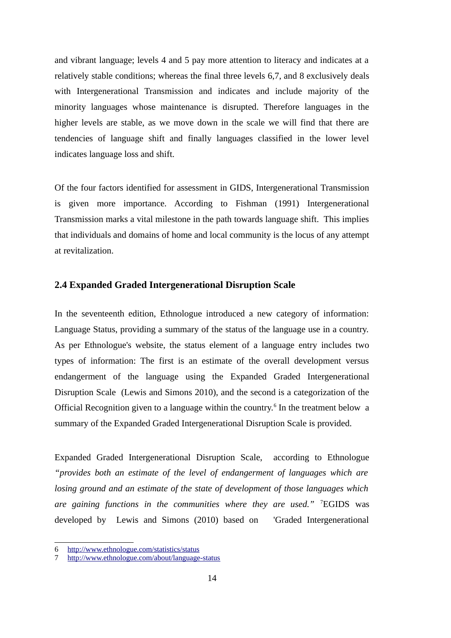and vibrant language; levels 4 and 5 pay more attention to literacy and indicates at a relatively stable conditions; whereas the final three levels 6,7, and 8 exclusively deals with Intergenerational Transmission and indicates and include majority of the minority languages whose maintenance is disrupted. Therefore languages in the higher levels are stable, as we move down in the scale we will find that there are tendencies of language shift and finally languages classified in the lower level indicates language loss and shift.

Of the four factors identified for assessment in GIDS, Intergenerational Transmission is given more importance. According to Fishman (1991) Intergenerational Transmission marks a vital milestone in the path towards language shift. This implies that individuals and domains of home and local community is the locus of any attempt at revitalization.

#### <span id="page-23-0"></span>**2.4 Expanded Graded Intergenerational Disruption Scale**

In the seventeenth edition, Ethnologue introduced a new category of information: Language Status, providing a summary of the status of the language use in a country. As per Ethnologue's website, the status element of a language entry includes two types of information: The first is an estimate of the overall development versus endangerment of the language using the Expanded Graded Intergenerational Disruption Scale (Lewis and Simons 2010), and the second is a categorization of the Official Recognition given to a language within the country.<sup>[6](#page-23-1)</sup> In the treatment below a summary of the Expanded Graded Intergenerational Disruption Scale is provided.

Expanded Graded Intergenerational Disruption Scale, according to Ethnologue *"provides both an estimate of the level of endangerment of languages which are losing ground and an estimate of the state of development of those languages which are gaining functions in the communities where they are used."* [7](#page-23-2)EGIDS was developed by Lewis and Simons (2010) based on 'Graded Intergenerational

<span id="page-23-1"></span><sup>6</sup><http://www.ethnologue.com/statistics/status>

<span id="page-23-2"></span><sup>7</sup> <http://www.ethnologue.com/about/language-status>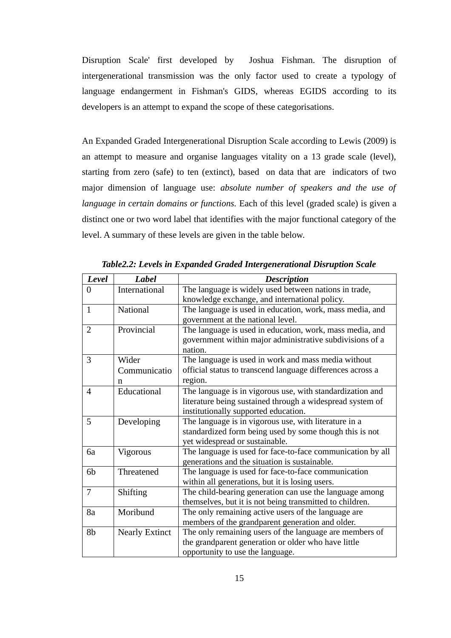Disruption Scale' first developed by Joshua Fishman. The disruption of intergenerational transmission was the only factor used to create a typology of language endangerment in Fishman's GIDS, whereas EGIDS according to its developers is an attempt to expand the scope of these categorisations.

An Expanded Graded Intergenerational Disruption Scale according to Lewis (2009) is an attempt to measure and organise languages vitality on a 13 grade scale (level), starting from zero (safe) to ten (extinct), based on data that are indicators of two major dimension of language use: *absolute number of speakers and the use of language in certain domains or functions.* Each of this level (graded scale) is given a distinct one or two word label that identifies with the major functional category of the level. A summary of these levels are given in the table below.

| <b>Level</b>   | <b>Label</b>          | <b>Description</b>                                         |  |
|----------------|-----------------------|------------------------------------------------------------|--|
| 0              | International         | The language is widely used between nations in trade,      |  |
|                |                       | knowledge exchange, and international policy.              |  |
| $\mathbf{1}$   | <b>National</b>       | The language is used in education, work, mass media, and   |  |
|                |                       | government at the national level.                          |  |
| $\overline{2}$ | Provincial            | The language is used in education, work, mass media, and   |  |
|                |                       | government within major administrative subdivisions of a   |  |
|                |                       | nation.                                                    |  |
| 3              | Wider                 | The language is used in work and mass media without        |  |
|                | Communicatio          | official status to transcend language differences across a |  |
|                | $\mathbf n$           | region.                                                    |  |
| 4              | Educational           | The language is in vigorous use, with standardization and  |  |
|                |                       | literature being sustained through a widespread system of  |  |
|                |                       | institutionally supported education.                       |  |
| 5              | Developing            | The language is in vigorous use, with literature in a      |  |
|                |                       | standardized form being used by some though this is not    |  |
|                |                       | yet widespread or sustainable.                             |  |
| 6a             | Vigorous              | The language is used for face-to-face communication by all |  |
|                |                       | generations and the situation is sustainable.              |  |
| 6b             | Threatened            | The language is used for face-to-face communication        |  |
|                |                       | within all generations, but it is losing users.            |  |
| 7              | Shifting              | The child-bearing generation can use the language among    |  |
|                |                       | themselves, but it is not being transmitted to children.   |  |
| 8a             | Moribund              | The only remaining active users of the language are        |  |
|                |                       | members of the grandparent generation and older.           |  |
| 8b             | <b>Nearly Extinct</b> | The only remaining users of the language are members of    |  |
|                |                       | the grandparent generation or older who have little        |  |
|                |                       | opportunity to use the language.                           |  |

*Table2.2: Levels in Expanded Graded Intergenerational Disruption Scale*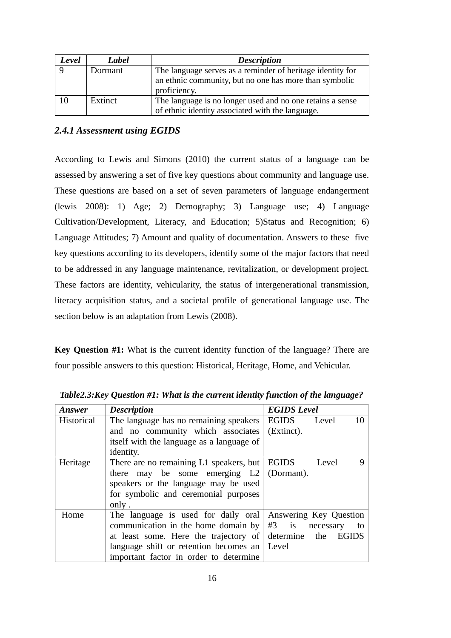<span id="page-25-0"></span>

| Level | Label   | <b>Description</b>                                         |  |
|-------|---------|------------------------------------------------------------|--|
|       | Dormant | The language serves as a reminder of heritage identity for |  |
|       |         | an ethnic community, but no one has more than symbolic     |  |
|       |         | proficiency.                                               |  |
| 10    | Extinct | The language is no longer used and no one retains a sense  |  |
|       |         | of ethnic identity associated with the language.           |  |

#### *2.4.1 Assessment using EGIDS*

According to Lewis and Simons (2010) the current status of a language can be assessed by answering a set of five key questions about community and language use. These questions are based on a set of seven parameters of language endangerment (lewis 2008): 1) Age; 2) Demography; 3) Language use; 4) Language Cultivation/Development, Literacy, and Education; 5)Status and Recognition; 6) Language Attitudes; 7) Amount and quality of documentation. Answers to these five key questions according to its developers, identify some of the major factors that need to be addressed in any language maintenance, revitalization, or development project. These factors are identity, vehicularity, the status of intergenerational transmission, literacy acquisition status, and a societal profile of generational language use. The section below is an adaptation from Lewis (2008).

**Key Question #1:** What is the current identity function of the language? There are four possible answers to this question: Historical, Heritage, Home, and Vehicular.

| Answer     | <b>Description</b>                             | <b>EGIDS</b> Level               |
|------------|------------------------------------------------|----------------------------------|
| Historical | The language has no remaining speakers         | 10<br>EGIDS<br>Level             |
|            | and no community which associates              | (Extinct).                       |
|            | itself with the language as a language of      |                                  |
|            | identity.                                      |                                  |
| Heritage   | There are no remaining $L1$ speakers, but      | 9<br>EGIDS<br>Level              |
|            | may be some emerging $L2$ (Dormant).<br>there  |                                  |
|            | speakers or the language may be used           |                                  |
|            | for symbolic and ceremonial purposes           |                                  |
|            | only.                                          |                                  |
| Home       | The language is used for daily oral            | Answering Key Question           |
|            | communication in the home domain by            | $#3$ is<br>necessary<br>to       |
|            | at least some. Here the trajectory of          | determine<br>the<br><b>EGIDS</b> |
|            | language shift or retention becomes an $\vert$ | Level                            |
|            | important factor in order to determine         |                                  |

*Table2.3:Key Question #1: What is the current identity function of the language?*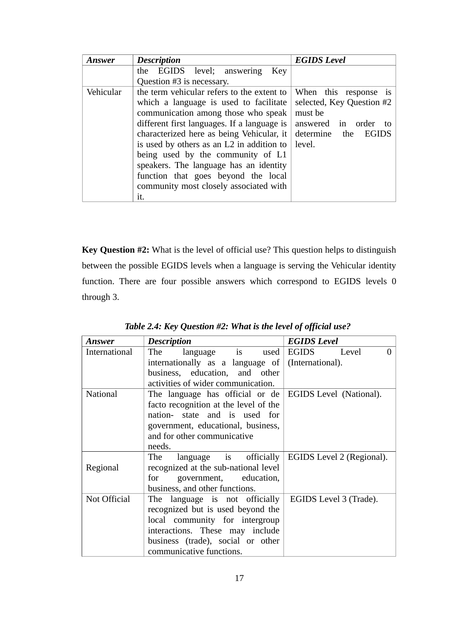| Answer    | <b>Description</b>                          | <b>EGIDS Level</b>        |
|-----------|---------------------------------------------|---------------------------|
|           | the EGIDS level; answering<br>Kev           |                           |
|           | Question #3 is necessary.                   |                           |
| Vehicular | the term vehicular refers to the extent to  | When this response is     |
|           | which a language is used to facilitate      | selected, Key Question #2 |
|           | communication among those who speak         | must be                   |
|           | different first languages. If a language is | answered in order<br>to   |
|           | characterized here as being Vehicular, it   | determine the EGIDS       |
|           | is used by others as an L2 in addition to   | level.                    |
|           | being used by the community of L1           |                           |
|           | speakers. The language has an identity      |                           |
|           | function that goes beyond the local         |                           |
|           | community most closely associated with      |                           |
|           | it.                                         |                           |

**Key Question #2:** What is the level of official use? This question helps to distinguish between the possible EGIDS levels when a language is serving the Vehicular identity function. There are four possible answers which correspond to EGIDS levels 0 through 3.

| Answer          | <b>Description</b>                                    | <b>EGIDS</b> Level        |
|-----------------|-------------------------------------------------------|---------------------------|
| International   | language is used EGIDS Level<br>The                   | $\Omega$                  |
|                 | internationally as a language of $ $ (International). |                           |
|                 | business, education, and other                        |                           |
|                 | activities of wider communication.                    |                           |
| <b>National</b> | The language has official or de                       | EGIDS Level (National).   |
|                 | facto recognition at the level of the                 |                           |
|                 | nation- state and is used for                         |                           |
|                 | government, educational, business,                    |                           |
|                 | and for other communicative                           |                           |
|                 | needs.                                                |                           |
|                 | language is officially<br>The                         | EGIDS Level 2 (Regional). |
| Regional        | recognized at the sub-national level                  |                           |
|                 | government, education,<br>for                         |                           |
|                 | business, and other functions.                        |                           |
| Not Official    | The language is not officially                        | EGIDS Level 3 (Trade).    |
|                 | recognized but is used beyond the                     |                           |
|                 | local community for intergroup                        |                           |
|                 | interactions. These may include                       |                           |
|                 | business (trade), social or other                     |                           |
|                 | communicative functions.                              |                           |

*Table 2.4: Key Question #2: What is the level of official use?*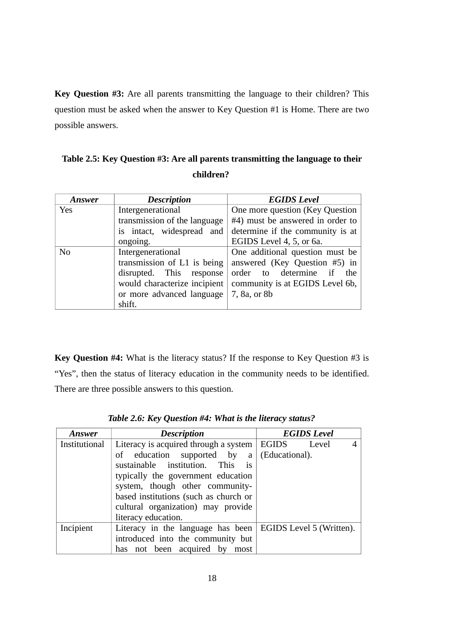**Key Question #3:** Are all parents transmitting the language to their children? This question must be asked when the answer to Key Question #1 is Home. There are two possible answers.

| Table 2.5: Key Question #3: Are all parents transmitting the language to their |
|--------------------------------------------------------------------------------|
| children?                                                                      |

| Answer         | <b>Description</b>           | <b>EGIDS</b> Level               |  |
|----------------|------------------------------|----------------------------------|--|
| Yes            | Intergenerational            | One more question (Key Question  |  |
|                | transmission of the language | #4) must be answered in order to |  |
|                | is intact, widespread and    | determine if the community is at |  |
|                | ongoing.                     | EGIDS Level 4, 5, or 6a.         |  |
| N <sub>0</sub> | Intergenerational            | One additional question must be  |  |
|                | transmission of L1 is being  | answered (Key Question #5) in    |  |
|                | disrupted. This response     | order to determine if<br>the     |  |
|                | would characterize incipient | community is at EGIDS Level 6b,  |  |
|                | or more advanced language    | 7, 8a, or 8b                     |  |
|                | shift.                       |                                  |  |

**Key Question #4:** What is the literacy status? If the response to Key Question #3 is "Yes", then the status of literacy education in the community needs to be identified. There are three possible answers to this question.

| <b>Answer</b> | <b>Description</b>                                                | <b>EGIDS</b> Level |
|---------------|-------------------------------------------------------------------|--------------------|
| Institutional | Literacy is acquired through a system $\vert$ EGIDS               | Level              |
|               | of education supported by $a \mid (Educational)$ .                |                    |
|               | sustainable institution. This is                                  |                    |
|               | typically the government education                                |                    |
|               | system, though other community-                                   |                    |
|               | based institutions (such as church or                             |                    |
|               | cultural organization) may provide                                |                    |
|               | literacy education.                                               |                    |
| Incipient     | Literacy in the language has been $\mid$ EGIDS Level 5 (Written). |                    |
|               | introduced into the community but                                 |                    |
|               | has not been acquired by<br>most                                  |                    |

*Table 2.6: Key Question #4: What is the literacy status?*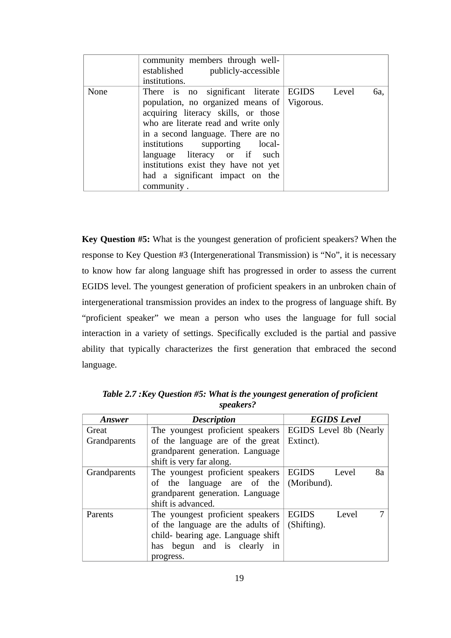|      | community members through well-<br>established publicly-accessible<br>institutions.                                                                                                                                                                                                                                                                                         |             |     |
|------|-----------------------------------------------------------------------------------------------------------------------------------------------------------------------------------------------------------------------------------------------------------------------------------------------------------------------------------------------------------------------------|-------------|-----|
| None | There is no significant literate<br>population, no organized means of $\sqrt{\ }$ Vigorous.<br>acquiring literacy skills, or those<br>who are literate read and write only<br>in a second language. There are no<br>institutions supporting local-<br>language literacy or if such<br>institutions exist they have not yet<br>had a significant impact on the<br>community. | EGIDS Level | 6a, |

**Key Question #5:** What is the youngest generation of proficient speakers? When the response to Key Question #3 (Intergenerational Transmission) is "No", it is necessary to know how far along language shift has progressed in order to assess the current EGIDS level. The youngest generation of proficient speakers in an unbroken chain of intergenerational transmission provides an index to the progress of language shift. By "proficient speaker" we mean a person who uses the language for full social interaction in a variety of settings. Specifically excluded is the partial and passive ability that typically characterizes the first generation that embraced the second language.

| Answer       | <b>Description</b>                 | <b>EGIDS</b> Level          |
|--------------|------------------------------------|-----------------------------|
| Great        | The youngest proficient speakers   | EGIDS Level 8b (Nearly      |
| Grandparents | of the language are of the great   | Extinct).                   |
|              | grandparent generation. Language   |                             |
|              | shift is very far along.           |                             |
| Grandparents | The youngest proficient speakers   | 8a<br><b>EGIDS</b><br>Level |
|              | of the language are of the         | (Moribund).                 |
|              | grandparent generation. Language   |                             |
|              | shift is advanced.                 |                             |
| Parents      | The youngest proficient speakers   | 7<br><b>EGIDS</b><br>Level  |
|              | of the language are the adults of  | (Shifting).                 |
|              | child- bearing age. Language shift |                             |
|              | has begun and is clearly<br>in     |                             |
|              | progress.                          |                             |

 *Table 2.7 :Key Question #5: What is the youngest generation of proficient speakers?*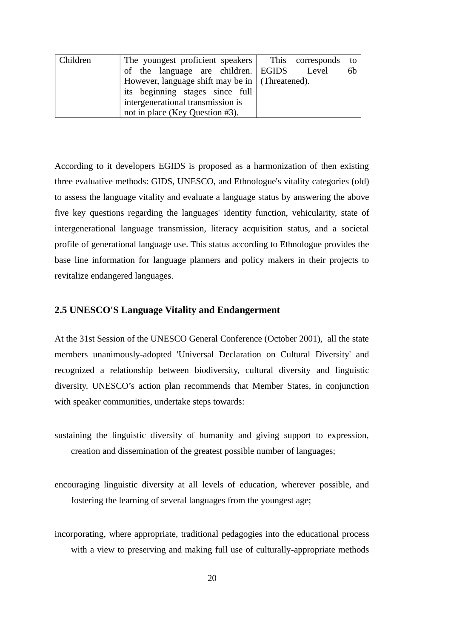| Children | The youngest proficient speakers This corresponds       | to |
|----------|---------------------------------------------------------|----|
|          | of the language are children. EGIDS Level               | 6b |
|          | However, language shift may be in $\vert$ (Threatened). |    |
|          | its beginning stages since full                         |    |
|          | intergenerational transmission is                       |    |
|          | not in place (Key Question #3).                         |    |

According to it developers EGIDS is proposed as a harmonization of then existing three evaluative methods: GIDS, UNESCO, and Ethnologue's vitality categories (old) to assess the language vitality and evaluate a language status by answering the above five key questions regarding the languages' identity function, vehicularity, state of intergenerational language transmission, literacy acquisition status, and a societal profile of generational language use. This status according to Ethnologue provides the base line information for language planners and policy makers in their projects to revitalize endangered languages.

#### <span id="page-29-0"></span>**2.5 UNESCO'S Language Vitality and Endangerment**

At the 31st Session of the UNESCO General Conference (October 2001), all the state members unanimously-adopted 'Universal Declaration on Cultural Diversity' and recognized a relationship between biodiversity, cultural diversity and linguistic diversity. UNESCO's action plan recommends that Member States, in conjunction with speaker communities, undertake steps towards:

sustaining the linguistic diversity of humanity and giving support to expression, creation and dissemination of the greatest possible number of languages;

encouraging linguistic diversity at all levels of education, wherever possible, and fostering the learning of several languages from the youngest age;

incorporating, where appropriate, traditional pedagogies into the educational process with a view to preserving and making full use of culturally-appropriate methods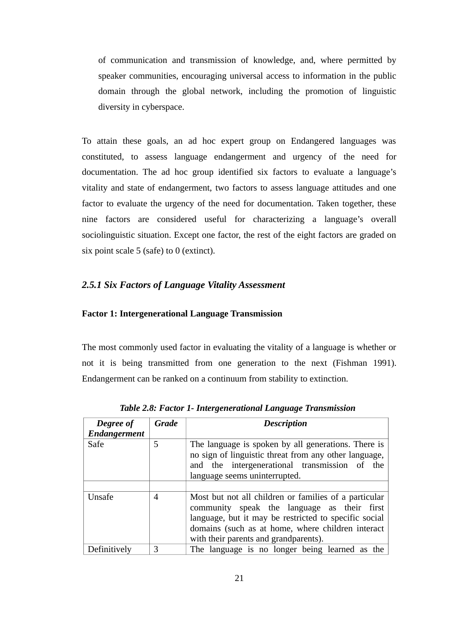of communication and transmission of knowledge, and, where permitted by speaker communities, encouraging universal access to information in the public domain through the global network, including the promotion of linguistic diversity in cyberspace.

To attain these goals, an ad hoc expert group on Endangered languages was constituted, to assess language endangerment and urgency of the need for documentation. The ad hoc group identified six factors to evaluate a language's vitality and state of endangerment, two factors to assess language attitudes and one factor to evaluate the urgency of the need for documentation. Taken together, these nine factors are considered useful for characterizing a language's overall sociolinguistic situation. Except one factor, the rest of the eight factors are graded on six point scale 5 (safe) to 0 (extinct).

#### <span id="page-30-0"></span>*2.5.1 Six Factors of Language Vitality Assessment*

#### **Factor 1: Intergenerational Language Transmission**

The most commonly used factor in evaluating the vitality of a language is whether or not it is being transmitted from one generation to the next (Fishman 1991). Endangerment can be ranked on a continuum from stability to extinction.

| <b>Degree of</b><br><b>Endangerment</b> | Grade | <b>Description</b>                                                                                                                                                                                                                                          |
|-----------------------------------------|-------|-------------------------------------------------------------------------------------------------------------------------------------------------------------------------------------------------------------------------------------------------------------|
| Safe                                    | 5     | The language is spoken by all generations. There is<br>no sign of linguistic threat from any other language,<br>and the intergenerational transmission of the<br>language seems uninterrupted.                                                              |
| Unsafe                                  | 4     | Most but not all children or families of a particular<br>community speak the language as their first<br>language, but it may be restricted to specific social<br>domains (such as at home, where children interact<br>with their parents and grandparents). |
| Definitively                            | 3     | The language is no longer being learned as the                                                                                                                                                                                                              |

*Table 2.8: Factor 1- Intergenerational Language Transmission*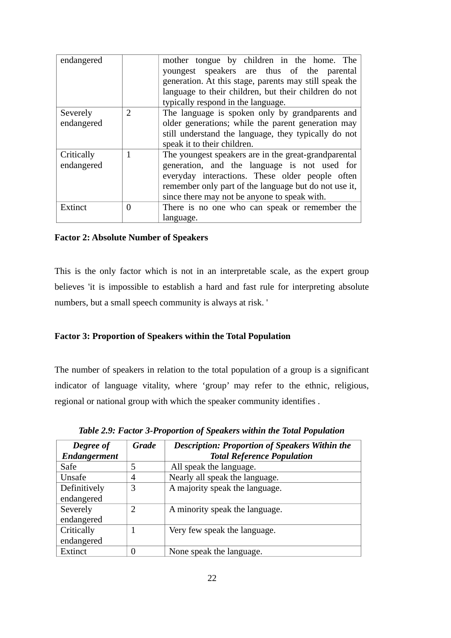| endangered |                | mother tongue by children in the home. The             |
|------------|----------------|--------------------------------------------------------|
|            |                | youngest speakers are thus of the parental             |
|            |                | generation. At this stage, parents may still speak the |
|            |                | language to their children, but their children do not  |
|            |                | typically respond in the language.                     |
| Severely   | $\overline{2}$ | The language is spoken only by grandparents and        |
| endangered |                | older generations; while the parent generation may     |
|            |                | still understand the language, they typically do not   |
|            |                | speak it to their children.                            |
| Critically | $\mathbf{1}$   | The youngest speakers are in the great-grandparental   |
| endangered |                | generation, and the language is not used for           |
|            |                | everyday interactions. These older people often        |
|            |                | remember only part of the language but do not use it,  |
|            |                | since there may not be anyone to speak with.           |
| Extinct    | 0              | There is no one who can speak or remember the          |
|            |                | language.                                              |

#### **Factor 2: Absolute Number of Speakers**

This is the only factor which is not in an interpretable scale, as the expert group believes 'it is impossible to establish a hard and fast rule for interpreting absolute numbers, but a small speech community is always at risk. '

#### **Factor 3: Proportion of Speakers within the Total Population**

The number of speakers in relation to the total population of a group is a significant indicator of language vitality, where 'group' may refer to the ethnic, religious, regional or national group with which the speaker community identifies .

| Degree of           | <b>Grade</b> | <b>Description: Proportion of Speakers Within the</b> |
|---------------------|--------------|-------------------------------------------------------|
| <b>Endangerment</b> |              | <b>Total Reference Population</b>                     |
| Safe                | 5            | All speak the language.                               |
| Unsafe              | 4            | Nearly all speak the language.                        |
| Definitively        | 3            | A majority speak the language.                        |
| endangered          |              |                                                       |
| Severely            | 2            | A minority speak the language.                        |
| endangered          |              |                                                       |
| Critically          |              | Very few speak the language.                          |
| endangered          |              |                                                       |
| Extinct             |              | None speak the language.                              |

*Table 2.9: Factor 3-Proportion of Speakers within the Total Population*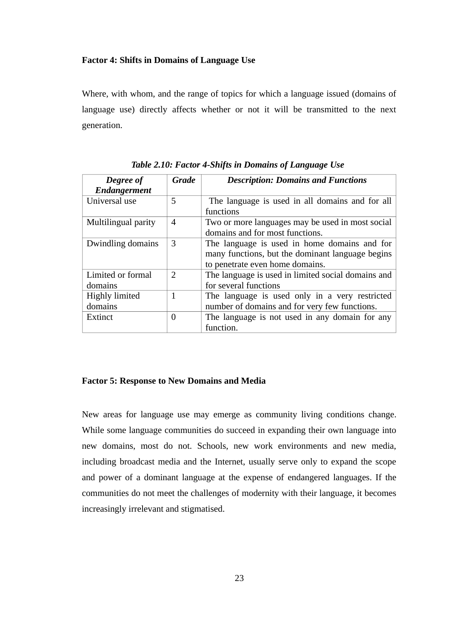#### **Factor 4: Shifts in Domains of Language Use**

Where, with whom, and the range of topics for which a language issued (domains of language use) directly affects whether or not it will be transmitted to the next generation.

| Degree of<br><b>Endangerment</b> | <b>Grade</b>   | <b>Description: Domains and Functions</b>                                                                                           |
|----------------------------------|----------------|-------------------------------------------------------------------------------------------------------------------------------------|
| Universal use                    | 5              | The language is used in all domains and for all<br>functions                                                                        |
| Multilingual parity              | 4              | Two or more languages may be used in most social<br>domains and for most functions.                                                 |
| Dwindling domains                | 3              | The language is used in home domains and for<br>many functions, but the dominant language begins<br>to penetrate even home domains. |
| Limited or formal<br>domains     | $\overline{2}$ | The language is used in limited social domains and<br>for several functions                                                         |
| Highly limited<br>domains        | 1              | The language is used only in a very restricted<br>number of domains and for very few functions.                                     |
| Extinct                          | $\Omega$       | The language is not used in any domain for any<br>function.                                                                         |

*Table 2.10: Factor 4-Shifts in Domains of Language Use* 

#### **Factor 5: Response to New Domains and Media**

New areas for language use may emerge as community living conditions change. While some language communities do succeed in expanding their own language into new domains, most do not. Schools, new work environments and new media, including broadcast media and the Internet, usually serve only to expand the scope and power of a dominant language at the expense of endangered languages. If the communities do not meet the challenges of modernity with their language, it becomes increasingly irrelevant and stigmatised.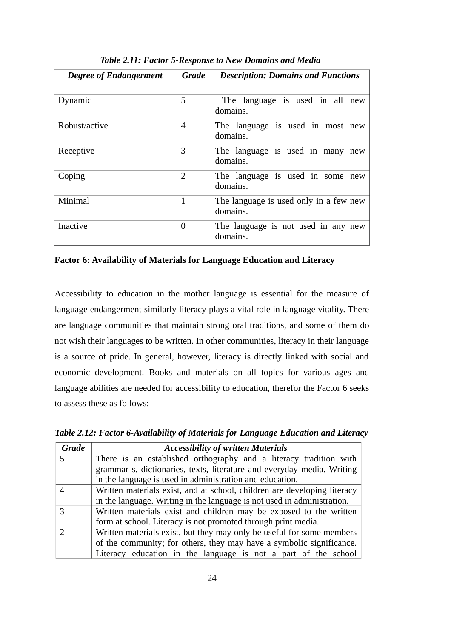| <b>Degree of Endangerment</b> | <b>Grade</b>             | <b>Description: Domains and Functions</b>          |
|-------------------------------|--------------------------|----------------------------------------------------|
| Dynamic                       | 5                        | The language is used in all new<br>domains.        |
| Robust/active                 | $\overline{\mathcal{A}}$ | The language is used in most new<br>domains.       |
| Receptive                     | 3                        | The language is used in many new<br>domains.       |
| Coping                        | 2                        | The language is used in some new<br>domains.       |
| Minimal                       | 1                        | The language is used only in a few new<br>domains. |
| <b>Inactive</b>               | $\Omega$                 | The language is not used in any new<br>domains.    |

*Table 2.11: Factor 5-Response to New Domains and Media* 

#### **Factor 6: Availability of Materials for Language Education and Literacy**

Accessibility to education in the mother language is essential for the measure of language endangerment similarly literacy plays a vital role in language vitality. There are language communities that maintain strong oral traditions, and some of them do not wish their languages to be written. In other communities, literacy in their language is a source of pride. In general, however, literacy is directly linked with social and economic development. Books and materials on all topics for various ages and language abilities are needed for accessibility to education, therefor the Factor 6 seeks to assess these as follows:

| <b>Grade</b> | <b>Accessibility of written Materials</b>                                |
|--------------|--------------------------------------------------------------------------|
| 5.           | There is an established orthography and a literacy tradition with        |
|              | grammar s, dictionaries, texts, literature and everyday media. Writing   |
|              | in the language is used in administration and education.                 |
|              | Written materials exist, and at school, children are developing literacy |
|              | in the language. Writing in the language is not used in administration.  |
|              | Written materials exist and children may be exposed to the written       |
|              | form at school. Literacy is not promoted through print media.            |
|              | Written materials exist, but they may only be useful for some members    |
|              | of the community; for others, they may have a symbolic significance.     |
|              | Literacy education in the language is not a part of the school           |

*Table 2.12: Factor 6-Availability of Materials for Language Education and Literacy*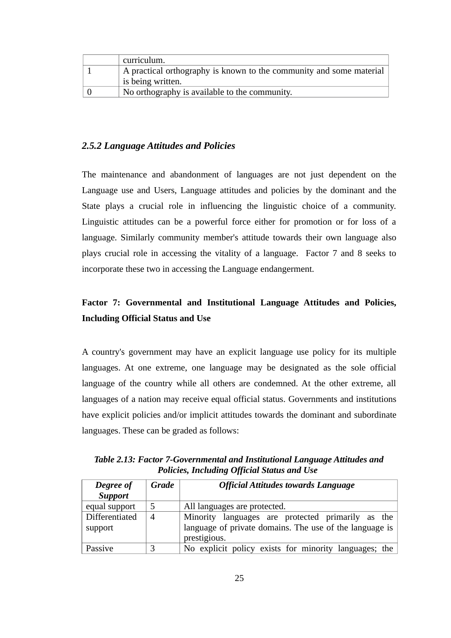| curriculum.                                                         |
|---------------------------------------------------------------------|
| A practical orthography is known to the community and some material |
| is being written.                                                   |
| No orthography is available to the community.                       |

#### <span id="page-34-0"></span>*2.5.2 Language Attitudes and Policies*

The maintenance and abandonment of languages are not just dependent on the Language use and Users, Language attitudes and policies by the dominant and the State plays a crucial role in influencing the linguistic choice of a community. Linguistic attitudes can be a powerful force either for promotion or for loss of a language. Similarly community member's attitude towards their own language also plays crucial role in accessing the vitality of a language. Factor 7 and 8 seeks to incorporate these two in accessing the Language endangerment.

## **Factor 7: Governmental and Institutional Language Attitudes and Policies, Including Official Status and Use**

A country's government may have an explicit language use policy for its multiple languages. At one extreme, one language may be designated as the sole official language of the country while all others are condemned. At the other extreme, all languages of a nation may receive equal official status. Governments and institutions have explicit policies and/or implicit attitudes towards the dominant and subordinate languages. These can be graded as follows:

| Degree of<br><b>Support</b> | <b>Grade</b>   | <b>Official Attitudes towards Language</b>                                                                                   |
|-----------------------------|----------------|------------------------------------------------------------------------------------------------------------------------------|
| equal support               | 5              | All languages are protected.                                                                                                 |
| Differentiated<br>support   | $\overline{4}$ | Minority languages are protected primarily as the<br>language of private domains. The use of the language is<br>prestigious. |
| Passive                     |                | No explicit policy exists for minority languages; the                                                                        |

*Table 2.13: Factor 7-Governmental and Institutional Language Attitudes and Policies, Including Official Status and Use*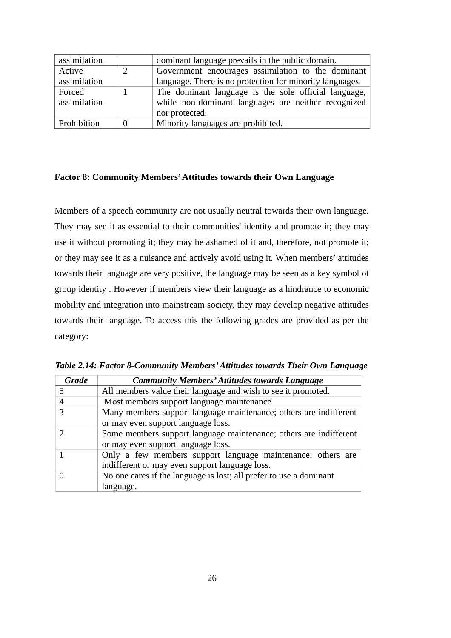| assimilation | dominant language prevails in the public domain.         |
|--------------|----------------------------------------------------------|
| Active       | Government encourages assimilation to the dominant       |
| assimilation | language. There is no protection for minority languages. |
| Forced       | The dominant language is the sole official language,     |
| assimilation | while non-dominant languages are neither recognized      |
|              | nor protected.                                           |
| Prohibition  | Minority languages are prohibited.                       |

#### **Factor 8: Community Members' Attitudes towards their Own Language**

Members of a speech community are not usually neutral towards their own language. They may see it as essential to their communities' identity and promote it; they may use it without promoting it; they may be ashamed of it and, therefore, not promote it; or they may see it as a nuisance and actively avoid using it. When members' attitudes towards their language are very positive, the language may be seen as a key symbol of group identity . However if members view their language as a hindrance to economic mobility and integration into mainstream society, they may develop negative attitudes towards their language. To access this the following grades are provided as per the category:

| <b>Grade</b> | <b>Community Members' Attitudes towards Language</b>               |
|--------------|--------------------------------------------------------------------|
| 5            | All members value their language and wish to see it promoted.      |
|              | Most members support language maintenance                          |
| 3            | Many members support language maintenance; others are indifferent  |
|              | or may even support language loss.                                 |
| ר            | Some members support language maintenance; others are indifferent  |
|              | or may even support language loss.                                 |
|              | Only a few members support language maintenance; others are        |
|              | indifferent or may even support language loss.                     |
|              | No one cares if the language is lost; all prefer to use a dominant |
|              | language.                                                          |

*Table 2.14: Factor 8-Community Members' Attitudes towards Their Own Language*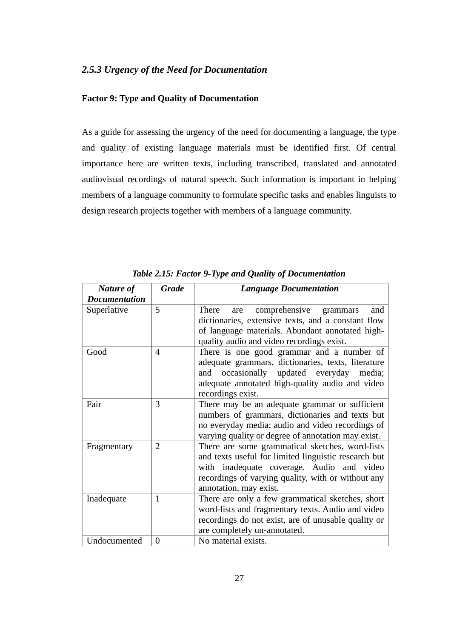### *2.5.3 Urgency of the Need for Documentation*

## **Factor 9: Type and Quality of Documentation**

As a guide for assessing the urgency of the need for documenting a language, the type and quality of existing language materials must be identified first. Of central importance here are written texts, including transcribed, translated and annotated audiovisual recordings of natural speech. Such information is important in helping members of a language community to formulate specific tasks and enables linguists to design research projects together with members of a language community.

| <b>Nature of</b>     | <b>Grade</b>   | <b>Language Documentation</b>                                                                                                                                                                                                        |
|----------------------|----------------|--------------------------------------------------------------------------------------------------------------------------------------------------------------------------------------------------------------------------------------|
| <b>Documentation</b> |                |                                                                                                                                                                                                                                      |
| Superlative          | 5              | comprehensive grammars<br><b>There</b><br>and<br>are<br>dictionaries, extensive texts, and a constant flow<br>of language materials. Abundant annotated high-<br>quality audio and video recordings exist.                           |
| Good                 | $\overline{4}$ | There is one good grammar and a number of<br>adequate grammars, dictionaries, texts, literature<br>occasionally updated everyday<br>and<br>media;<br>adequate annotated high-quality audio and video<br>recordings exist.            |
| Fair                 | 3              | There may be an adequate grammar or sufficient<br>numbers of grammars, dictionaries and texts but<br>no everyday media; audio and video recordings of<br>varying quality or degree of annotation may exist.                          |
| Fragmentary          | $\overline{2}$ | There are some grammatical sketches, word-lists<br>and texts useful for limited linguistic research but<br>with inadequate coverage. Audio and video<br>recordings of varying quality, with or without any<br>annotation, may exist. |
| Inadequate           | $\mathbf{1}$   | There are only a few grammatical sketches, short<br>word-lists and fragmentary texts. Audio and video<br>recordings do not exist, are of unusable quality or<br>are completely un-annotated.                                         |
| Undocumented         | $\overline{0}$ | No material exists.                                                                                                                                                                                                                  |

*Table 2.15: Factor 9-Type and Quality of Documentation*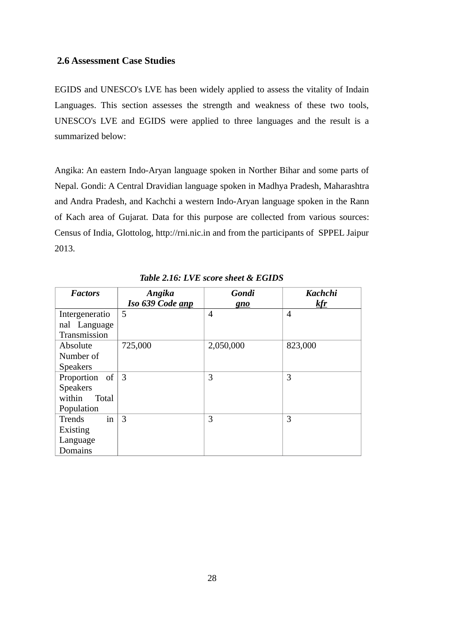## **2.6 Assessment Case Studies**

EGIDS and UNESCO's LVE has been widely applied to assess the vitality of Indain Languages. This section assesses the strength and weakness of these two tools, UNESCO's LVE and EGIDS were applied to three languages and the result is a summarized below:

Angika: An eastern Indo-Aryan language spoken in Norther Bihar and some parts of Nepal. Gondi: A Central Dravidian language spoken in Madhya Pradesh, Maharashtra and Andra Pradesh, and Kachchi a western Indo-Aryan language spoken in the Rann of Kach area of Gujarat. Data for this purpose are collected from various sources: Census of India, Glottolog, http://rni.nic.in and from the participants of SPPEL Jaipur 2013.

| <b>Factors</b>      | Angika           | <b>Gondi</b> | <b>Kachchi</b> |
|---------------------|------------------|--------------|----------------|
|                     | Iso 639 Code anp | gno          | kfr            |
| Intergeneratio      | .5               | 4            | $\overline{4}$ |
| nal Language        |                  |              |                |
| Transmission        |                  |              |                |
| Absolute            | 725,000          | 2,050,000    | 823,000        |
| Number of           |                  |              |                |
| <b>Speakers</b>     |                  |              |                |
| Proportion of       | $\overline{3}$   | 3            | 3              |
| <b>Speakers</b>     |                  |              |                |
| within<br>Total     |                  |              |                |
| Population          |                  |              |                |
| in<br><b>Trends</b> | 3                | 3            | 3              |
| Existing            |                  |              |                |
| Language            |                  |              |                |
| Domains             |                  |              |                |

*Table 2.16: LVE score sheet & EGIDS*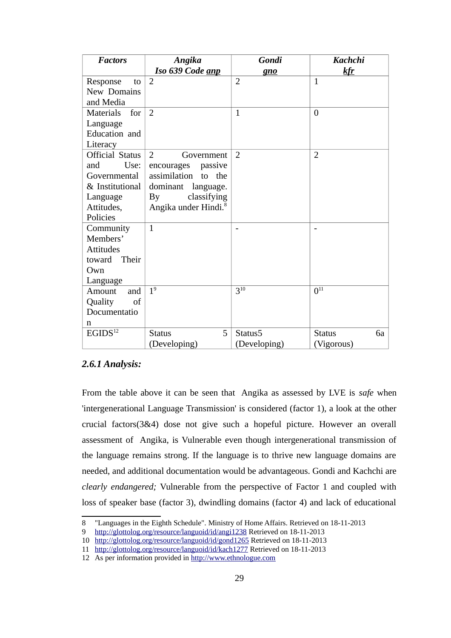| <b>Factors</b>          | Angika                           | Gondi               | <b>Kachchi</b>      |
|-------------------------|----------------------------------|---------------------|---------------------|
|                         | Iso 639 Code anp                 | gno                 | <u>kfr</u>          |
| Response<br>to          | $\overline{2}$                   | $\overline{2}$      | $\mathbf{1}$        |
| New Domains             |                                  |                     |                     |
| and Media               |                                  |                     |                     |
| <b>Materials</b><br>for | 2                                | $\mathbf{1}$        | $\theta$            |
| Language                |                                  |                     |                     |
| Education and           |                                  |                     |                     |
| Literacy                |                                  |                     |                     |
| <b>Official Status</b>  | $\overline{2}$<br>Government     | $\overline{2}$      | $\overline{2}$      |
| and<br>Use:             | passive<br>encourages            |                     |                     |
| Governmental            | assimilation to the              |                     |                     |
| & Institutional         | dominant language.               |                     |                     |
| Language                | classifying<br>By                |                     |                     |
| Attitudes,              | Angika under Hindi. <sup>8</sup> |                     |                     |
| Policies                |                                  |                     |                     |
| Community               | $\mathbf{1}$                     |                     |                     |
| Members'                |                                  |                     |                     |
| <b>Attitudes</b>        |                                  |                     |                     |
| toward<br>Their         |                                  |                     |                     |
| Own                     |                                  |                     |                     |
| Language                |                                  |                     |                     |
| Amount<br>and           | $\overline{1^9}$                 | $3^{10}$            | $\overline{0^{11}}$ |
| of<br>Quality           |                                  |                     |                     |
| Documentatio            |                                  |                     |                     |
| n                       |                                  |                     |                     |
| $EGIDS^{12}$            | 5<br><b>Status</b>               | Status <sub>5</sub> | 6a<br><b>Status</b> |
|                         | (Developing)                     | (Developing)        | (Vigorous)          |

# *2.6.1 Analysis:*

From the table above it can be seen that Angika as assessed by LVE is *safe* when 'intergenerational Language Transmission' is considered (factor 1), a look at the other crucial factors(3&4) dose not give such a hopeful picture. However an overall assessment of Angika, is Vulnerable even though intergenerational transmission of the language remains strong. If the language is to thrive new language domains are needed, and additional documentation would be advantageous. Gondi and Kachchi are *clearly endangered;* Vulnerable from the perspective of Factor 1 and coupled with loss of speaker base (factor 3), dwindling domains (factor 4) and lack of educational

<span id="page-38-0"></span><sup>8</sup> "Languages in the Eighth Schedule". Ministry of Home Affairs. Retrieved on 18-11-2013

<span id="page-38-1"></span><sup>9</sup><http://glottolog.org/resource/languoid/id/angi1238>Retrieved on 18-11-2013

<span id="page-38-2"></span><sup>10</sup> <http://glottolog.org/resource/languoid/id/gond1265>Retrieved on 18-11-2013

<span id="page-38-3"></span><sup>11</sup> <http://glottolog.org/resource/languoid/id/kach1277>Retrieved on 18-11-2013

<span id="page-38-4"></span><sup>12</sup> As per information provided in [http://www.ethnologue.com](http://www.ethnologue.com/)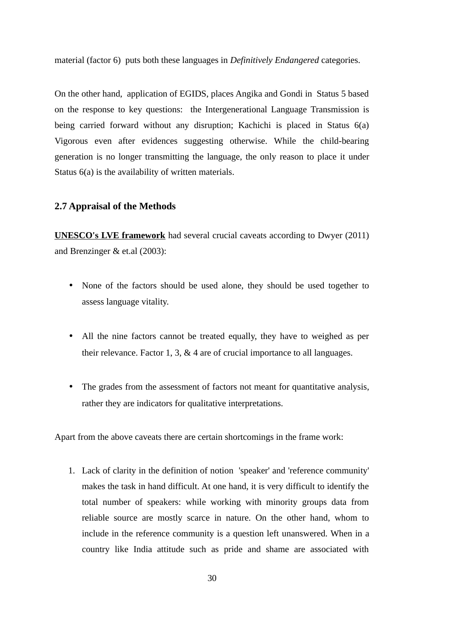material (factor 6) puts both these languages in *Definitively Endangered* categories.

On the other hand, application of EGIDS, places Angika and Gondi in Status 5 based on the response to key questions: the Intergenerational Language Transmission is being carried forward without any disruption; Kachichi is placed in Status 6(a) Vigorous even after evidences suggesting otherwise. While the child-bearing generation is no longer transmitting the language, the only reason to place it under Status 6(a) is the availability of written materials.

#### **2.7 Appraisal of the Methods**

**UNESCO's LVE framework** had several crucial caveats according to Dwyer (2011) and Brenzinger & et.al (2003):

- None of the factors should be used alone, they should be used together to assess language vitality.
- All the nine factors cannot be treated equally, they have to weighed as per their relevance. Factor 1, 3, & 4 are of crucial importance to all languages.
- The grades from the assessment of factors not meant for quantitative analysis, rather they are indicators for qualitative interpretations.

Apart from the above caveats there are certain shortcomings in the frame work:

1. Lack of clarity in the definition of notion 'speaker' and 'reference community' makes the task in hand difficult. At one hand, it is very difficult to identify the total number of speakers: while working with minority groups data from reliable source are mostly scarce in nature. On the other hand, whom to include in the reference community is a question left unanswered. When in a country like India attitude such as pride and shame are associated with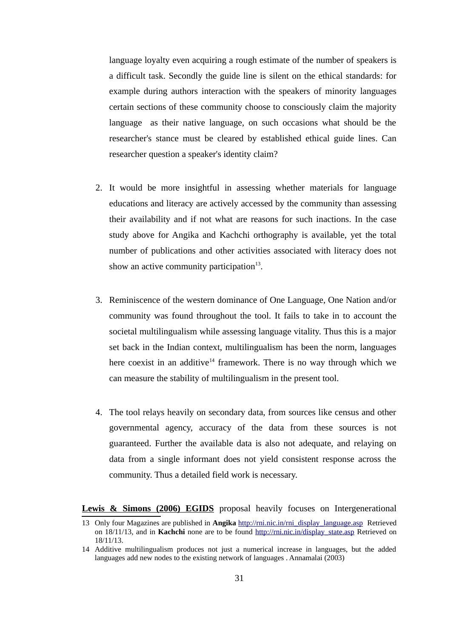language loyalty even acquiring a rough estimate of the number of speakers is a difficult task. Secondly the guide line is silent on the ethical standards: for example during authors interaction with the speakers of minority languages certain sections of these community choose to consciously claim the majority language as their native language, on such occasions what should be the researcher's stance must be cleared by established ethical guide lines. Can researcher question a speaker's identity claim?

- 2. It would be more insightful in assessing whether materials for language educations and literacy are actively accessed by the community than assessing their availability and if not what are reasons for such inactions. In the case study above for Angika and Kachchi orthography is available, yet the total number of publications and other activities associated with literacy does not show an active community participation $^{13}$  $^{13}$  $^{13}$ .
- 3. Reminiscence of the western dominance of One Language, One Nation and/or community was found throughout the tool. It fails to take in to account the societal multilingualism while assessing language vitality. Thus this is a major set back in the Indian context, multilingualism has been the norm, languages here coexist in an additive<sup>[14](#page-40-1)</sup> framework. There is no way through which we can measure the stability of multilingualism in the present tool.
- 4. The tool relays heavily on secondary data, from sources like census and other governmental agency, accuracy of the data from these sources is not guaranteed. Further the available data is also not adequate, and relaying on data from a single informant does not yield consistent response across the community. Thus a detailed field work is necessary.

Lewis & Simons (2006) EGIDS proposal heavily focuses on Intergenerational

<span id="page-40-0"></span><sup>13</sup> Only four Magazines are published in **Angika** [http://rni.nic.in/rni\\_display\\_language.asp](http://rni.nic.in/rni_display_language.asp) Retrieved on 18/11/13, and in **Kachchi** none are to be found [http://rni.nic.in/display\\_state.asp](http://rni.nic.in/display_state.asp) Retrieved on 18/11/13.

<span id="page-40-1"></span><sup>14</sup> Additive multilingualism produces not just a numerical increase in languages, but the added languages add new nodes to the existing network of languages . Annamalai (2003)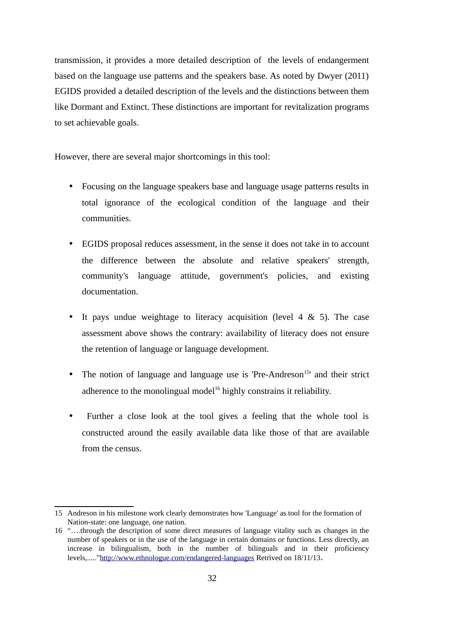transmission, it provides a more detailed description of the levels of endangerment based on the language use patterns and the speakers base. As noted by Dwyer (2011) EGIDS provided a detailed description of the levels and the distinctions between them like Dormant and Extinct. These distinctions are important for revitalization programs to set achievable goals.

However, there are several major shortcomings in this tool:

- Focusing on the language speakers base and language usage patterns results in total ignorance of the ecological condition of the language and their communities.
- EGIDS proposal reduces assessment, in the sense it does not take in to account the difference between the absolute and relative speakers' strength, community's language attitude, government's policies, and existing documentation.
- It pays undue weightage to literacy acquisition (level  $4 \& 5$ ). The case assessment above shows the contrary: availability of literacy does not ensure the retention of language or language development.
- The notion of language and language use is 'Pre-Andreson<sup>[15](#page-41-0)</sup>' and their strict adherence to the monolingual model<sup>[16](#page-41-1)</sup> highly constrains it reliability.
- Further a close look at the tool gives a feeling that the whole tool is constructed around the easily available data like those of that are available from the census.

<span id="page-41-0"></span><sup>15</sup> Andreson in his milestone work clearly demonstrates how 'Language' as tool for the formation of Nation-state: one language, one nation.

<span id="page-41-1"></span><sup>16</sup> "….through the description of some direct measures of language vitality such as changes in the number of speakers or in the use of the language in certain domains or functions. Less directly, an increase in bilingualism, both in the number of bilinguals and in their proficiency levels,.....["http://www.ethnologue.com/endangered-languages](http://www.ethnologue.com/endangered-languages) Retrived on 18/11/13.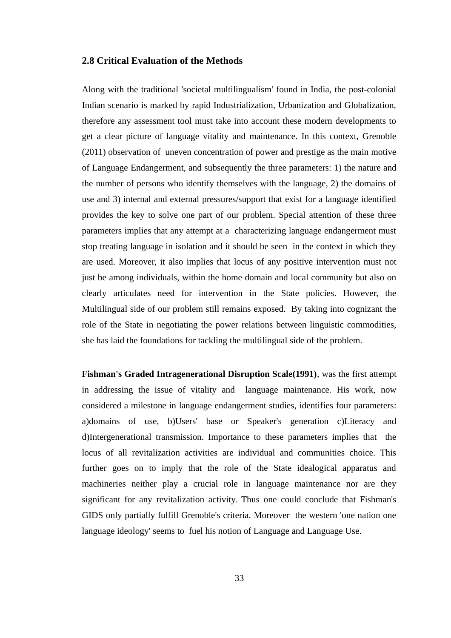### **2.8 Critical Evaluation of the Methods**

Along with the traditional 'societal multilingualism' found in India, the post-colonial Indian scenario is marked by rapid Industrialization, Urbanization and Globalization, therefore any assessment tool must take into account these modern developments to get a clear picture of language vitality and maintenance. In this context, Grenoble (2011) observation of uneven concentration of power and prestige as the main motive of Language Endangerment, and subsequently the three parameters: 1) the nature and the number of persons who identify themselves with the language, 2) the domains of use and 3) internal and external pressures/support that exist for a language identified provides the key to solve one part of our problem. Special attention of these three parameters implies that any attempt at a characterizing language endangerment must stop treating language in isolation and it should be seen in the context in which they are used. Moreover, it also implies that locus of any positive intervention must not just be among individuals, within the home domain and local community but also on clearly articulates need for intervention in the State policies. However, the Multilingual side of our problem still remains exposed. By taking into cognizant the role of the State in negotiating the power relations between linguistic commodities, she has laid the foundations for tackling the multilingual side of the problem.

**Fishman's Graded Intragenerational Disruption Scale(1991)**, was the first attempt in addressing the issue of vitality and language maintenance. His work, now considered a milestone in language endangerment studies, identifies four parameters: a)domains of use, b)Users' base or Speaker's generation c)Literacy and d)Intergenerational transmission. Importance to these parameters implies that the locus of all revitalization activities are individual and communities choice. This further goes on to imply that the role of the State idealogical apparatus and machineries neither play a crucial role in language maintenance nor are they significant for any revitalization activity. Thus one could conclude that Fishman's GIDS only partially fulfill Grenoble's criteria. Moreover the western 'one nation one language ideology' seems to fuel his notion of Language and Language Use.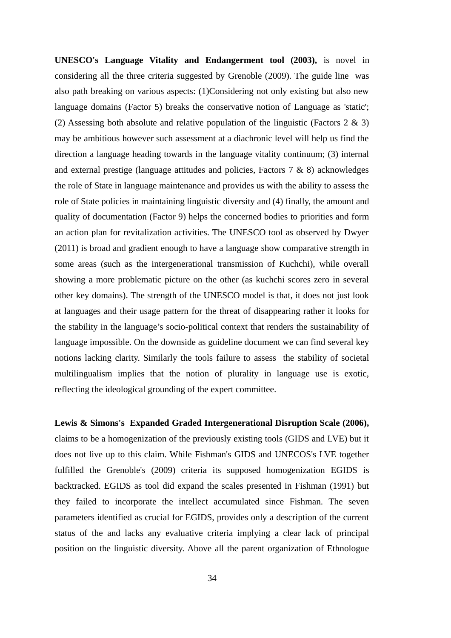**UNESCO's Language Vitality and Endangerment tool (2003),** is novel in considering all the three criteria suggested by Grenoble (2009). The guide line was also path breaking on various aspects: (1)Considering not only existing but also new language domains (Factor 5) breaks the conservative notion of Language as 'static'; (2) Assessing both absolute and relative population of the linguistic (Factors 2 & 3) may be ambitious however such assessment at a diachronic level will help us find the direction a language heading towards in the language vitality continuum; (3) internal and external prestige (language attitudes and policies, Factors 7 & 8) acknowledges the role of State in language maintenance and provides us with the ability to assess the role of State policies in maintaining linguistic diversity and (4) finally, the amount and quality of documentation (Factor 9) helps the concerned bodies to priorities and form an action plan for revitalization activities. The UNESCO tool as observed by Dwyer (2011) is broad and gradient enough to have a language show comparative strength in some areas (such as the intergenerational transmission of Kuchchi), while overall showing a more problematic picture on the other (as kuchchi scores zero in several other key domains). The strength of the UNESCO model is that, it does not just look at languages and their usage pattern for the threat of disappearing rather it looks for the stability in the language's socio-political context that renders the sustainability of language impossible. On the downside as guideline document we can find several key notions lacking clarity. Similarly the tools failure to assess the stability of societal multilingualism implies that the notion of plurality in language use is exotic, reflecting the ideological grounding of the expert committee.

**Lewis & Simons's Expanded Graded Intergenerational Disruption Scale (2006),** claims to be a homogenization of the previously existing tools (GIDS and LVE) but it does not live up to this claim. While Fishman's GIDS and UNECOS's LVE together fulfilled the Grenoble's (2009) criteria its supposed homogenization EGIDS is backtracked. EGIDS as tool did expand the scales presented in Fishman (1991) but they failed to incorporate the intellect accumulated since Fishman. The seven parameters identified as crucial for EGIDS, provides only a description of the current status of the and lacks any evaluative criteria implying a clear lack of principal position on the linguistic diversity. Above all the parent organization of Ethnologue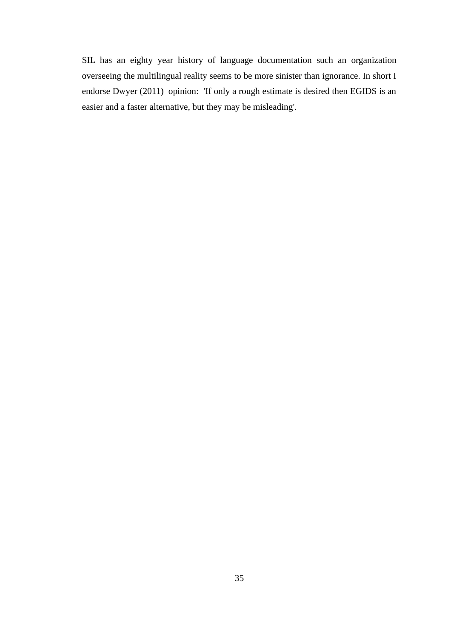SIL has an eighty year history of language documentation such an organization overseeing the multilingual reality seems to be more sinister than ignorance. In short I endorse Dwyer (2011) opinion: 'If only a rough estimate is desired then EGIDS is an easier and a faster alternative, but they may be misleading'.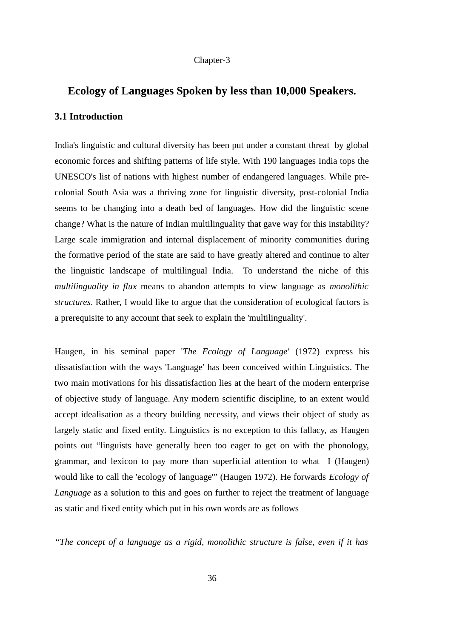#### Chapter-3

# **Ecology of Languages Spoken by less than 10,000 Speakers.**

### **3.1 Introduction**

India's linguistic and cultural diversity has been put under a constant threat by global economic forces and shifting patterns of life style. With 190 languages India tops the UNESCO's list of nations with highest number of endangered languages. While precolonial South Asia was a thriving zone for linguistic diversity, post-colonial India seems to be changing into a death bed of languages. How did the linguistic scene change? What is the nature of Indian multilinguality that gave way for this instability? Large scale immigration and internal displacement of minority communities during the formative period of the state are said to have greatly altered and continue to alter the linguistic landscape of multilingual India. To understand the niche of this *multilinguality in flux* means to abandon attempts to view language as *monolithic structures*. Rather, I would like to argue that the consideration of ecological factors is a prerequisite to any account that seek to explain the 'multilinguality'.

Haugen, in his seminal paper '*The Ecology of Language'* (1972) express his dissatisfaction with the ways 'Language' has been conceived within Linguistics. The two main motivations for his dissatisfaction lies at the heart of the modern enterprise of objective study of language. Any modern scientific discipline, to an extent would accept idealisation as a theory building necessity, and views their object of study as largely static and fixed entity. Linguistics is no exception to this fallacy, as Haugen points out "linguists have generally been too eager to get on with the phonology, grammar, and lexicon to pay more than superficial attention to what I (Haugen) would like to call the 'ecology of language'" (Haugen 1972). He forwards *Ecology of Language* as a solution to this and goes on further to reject the treatment of language as static and fixed entity which put in his own words are as follows

*"The concept of a language as a rigid, monolithic structure is false, even if it has*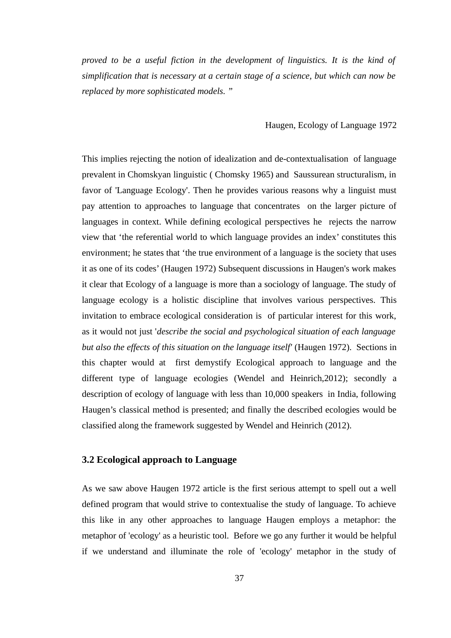*proved to be a useful fiction in the development of linguistics. It is the kind of simplification that is necessary at a certain stage of a science, but which can now be replaced by more sophisticated models. "* 

#### Haugen, Ecology of Language 1972

This implies rejecting the notion of idealization and de-contextualisation of language prevalent in Chomskyan linguistic ( Chomsky 1965) and Saussurean structuralism, in favor of 'Language Ecology'. Then he provides various reasons why a linguist must pay attention to approaches to language that concentrates on the larger picture of languages in context. While defining ecological perspectives he rejects the narrow view that 'the referential world to which language provides an index' constitutes this environment; he states that 'the true environment of a language is the society that uses it as one of its codes' (Haugen 1972) Subsequent discussions in Haugen's work makes it clear that Ecology of a language is more than a sociology of language. The study of language ecology is a holistic discipline that involves various perspectives. This invitation to embrace ecological consideration is of particular interest for this work, as it would not just '*describe the social and psychological situation of each language but also the effects of this situation on the language itself'* (Haugen 1972). Sections in this chapter would at first demystify Ecological approach to language and the different type of language ecologies (Wendel and Heinrich,2012); secondly a description of ecology of language with less than 10,000 speakers in India, following Haugen's classical method is presented; and finally the described ecologies would be classified along the framework suggested by Wendel and Heinrich (2012).

# **3.2 Ecological approach to Language**

As we saw above Haugen 1972 article is the first serious attempt to spell out a well defined program that would strive to contextualise the study of language. To achieve this like in any other approaches to language Haugen employs a metaphor: the metaphor of 'ecology' as a heuristic tool. Before we go any further it would be helpful if we understand and illuminate the role of 'ecology' metaphor in the study of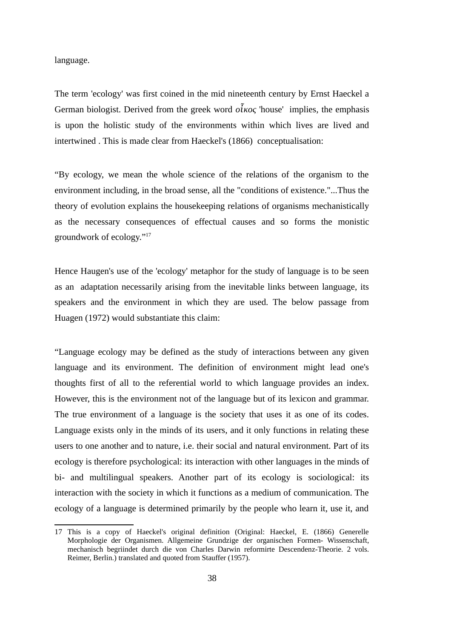#### language.

The term 'ecology' was first coined in the mid nineteenth century by Ernst Haeckel a German biologist. Derived from the greek word *ο κος ἶ* 'house' implies, the emphasis is upon the holistic study of the environments within which lives are lived and intertwined . This is made clear from Haeckel's (1866) conceptualisation:

"By ecology, we mean the whole science of the relations of the organism to the environment including, in the broad sense, all the "conditions of existence."...Thus the theory of evolution explains the housekeeping relations of organisms mechanistically as the necessary consequences of effectual causes and so forms the monistic groundwork of ecology."[17](#page-47-0)

Hence Haugen's use of the 'ecology' metaphor for the study of language is to be seen as an adaptation necessarily arising from the inevitable links between language, its speakers and the environment in which they are used. The below passage from Huagen (1972) would substantiate this claim:

"Language ecology may be defined as the study of interactions between any given language and its environment. The definition of environment might lead one's thoughts first of all to the referential world to which language provides an index. However, this is the environment not of the language but of its lexicon and grammar. The true environment of a language is the society that uses it as one of its codes. Language exists only in the minds of its users, and it only functions in relating these users to one another and to nature, i.e. their social and natural environment. Part of its ecology is therefore psychological: its interaction with other languages in the minds of bi- and multilingual speakers. Another part of its ecology is sociological: its interaction with the society in which it functions as a medium of communication. The ecology of a language is determined primarily by the people who learn it, use it, and

<span id="page-47-0"></span><sup>17</sup> This is a copy of Haeckel's original definition (Original: Haeckel, E. (1866) Generelle Morphologie der Organismen. Allgemeine Grundzige der organischen Formen- Wissenschaft, mechanisch begriindet durch die von Charles Darwin reformirte Descendenz-Theorie. 2 vols. Reimer, Berlin.) translated and quoted from Stauffer (1957).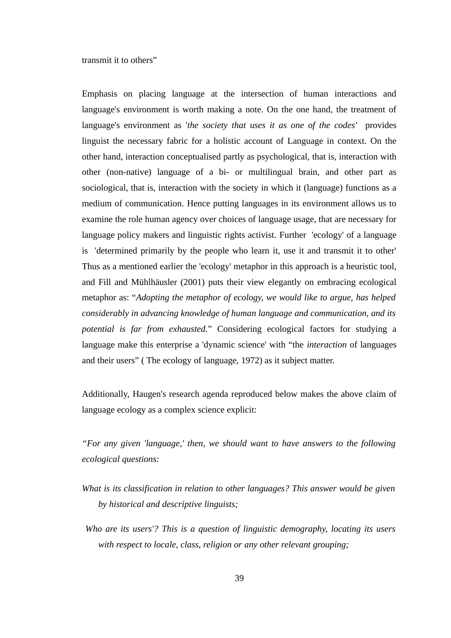transmit it to others"

Emphasis on placing language at the intersection of human interactions and language's environment is worth making a note. On the one hand, the treatment of language's environment as '*the society that uses it as one of the codes'* provides linguist the necessary fabric for a holistic account of Language in context. On the other hand, interaction conceptualised partly as psychological, that is, interaction with other (non-native) language of a bi- or multilingual brain, and other part as sociological, that is, interaction with the society in which it (language) functions as a medium of communication. Hence putting languages in its environment allows us to examine the role human agency over choices of language usage, that are necessary for language policy makers and linguistic rights activist. Further 'ecology' of a language is 'determined primarily by the people who learn it, use it and transmit it to other' Thus as a mentioned earlier the 'ecology' metaphor in this approach is a heuristic tool, and Fill and Mühlhäusler (2001) puts their view elegantly on embracing ecological metaphor as: "*Adopting the metaphor of ecology, we would like to argue, has helped considerably in advancing knowledge of human language and communication, and its potential is far from exhausted.*" Considering ecological factors for studying a language make this enterprise a 'dynamic science' with "the *interaction* of languages and their users" ( The ecology of language, 1972) as it subject matter.

Additionally, Haugen's research agenda reproduced below makes the above claim of language ecology as a complex science explicit:

*"For any given 'language,' then, we should want to have answers to the following ecological questions:* 

- *What is its classification in relation to other languages? This answer would be given by historical and descriptive linguists;*
- *Who are its users'? This is a question of linguistic demography, locating its users with respect to locale, class, religion or any other relevant grouping;*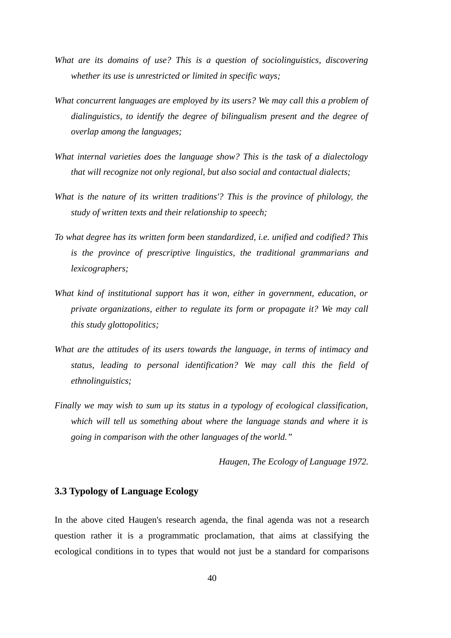- *What are its domains of use? This is a question of sociolinguistics, discovering whether its use is unrestricted or limited in specific ways;*
- *What concurrent languages are employed by its users? We may call this a problem of dialinguistics, to identify the degree of bilingualism present and the degree of overlap among the languages;*
- *What internal varieties does the language show? This is the task of a dialectology that will recognize not only regional, but also social and contactual dialects;*
- *What is the nature of its written traditions'? This is the province of philology, the study of written texts and their relationship to speech;*
- *To what degree has its written form been standardized, i.e. unified and codified? This is the province of prescriptive linguistics, the traditional grammarians and lexicographers;*
- *What kind of institutional support has it won, either in government, education, or private organizations, either to regulate its form or propagate it? We may call this study glottopolitics;*
- *What are the attitudes of its users towards the language, in terms of intimacy and status, leading to personal identification? We may call this the field of ethnolinguistics;*
- *Finally we may wish to sum up its status in a typology of ecological classification, which will tell us something about where the language stands and where it is going in comparison with the other languages of the world."*

*Haugen, The Ecology of Language 1972.*

#### **3.3 Typology of Language Ecology**

In the above cited Haugen's research agenda, the final agenda was not a research question rather it is a programmatic proclamation, that aims at classifying the ecological conditions in to types that would not just be a standard for comparisons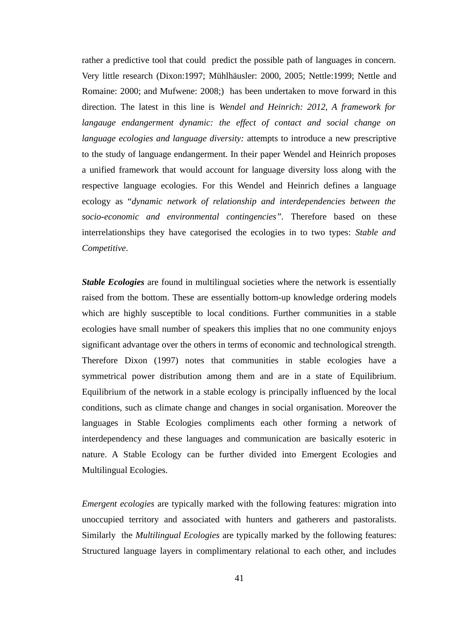rather a predictive tool that could predict the possible path of languages in concern. Very little research (Dixon:1997; Mühlhäusler: 2000, 2005; Nettle:1999; Nettle and Romaine: 2000; and Mufwene: 2008;) has been undertaken to move forward in this direction. The latest in this line is *Wendel and Heinrich: 2012, A framework for langauge endangerment dynamic: the effect of contact and social change on language ecologies and language diversity:* attempts to introduce a new prescriptive to the study of language endangerment. In their paper Wendel and Heinrich proposes a unified framework that would account for language diversity loss along with the respective language ecologies. For this Wendel and Heinrich defines a language ecology as "*dynamic network of relationship and interdependencies between the socio-economic and environmental contingencies".* Therefore based on these interrelationships they have categorised the ecologies in to two types: *Stable and Competitive*.

*Stable Ecologies* are found in multilingual societies where the network is essentially raised from the bottom. These are essentially bottom-up knowledge ordering models which are highly susceptible to local conditions. Further communities in a stable ecologies have small number of speakers this implies that no one community enjoys significant advantage over the others in terms of economic and technological strength. Therefore Dixon (1997) notes that communities in stable ecologies have a symmetrical power distribution among them and are in a state of Equilibrium. Equilibrium of the network in a stable ecology is principally influenced by the local conditions, such as climate change and changes in social organisation. Moreover the languages in Stable Ecologies compliments each other forming a network of interdependency and these languages and communication are basically esoteric in nature. A Stable Ecology can be further divided into Emergent Ecologies and Multilingual Ecologies.

*Emergent ecologies* are typically marked with the following features: migration into unoccupied territory and associated with hunters and gatherers and pastoralists. Similarly the *Multilingual Ecologies* are typically marked by the following features: Structured language layers in complimentary relational to each other, and includes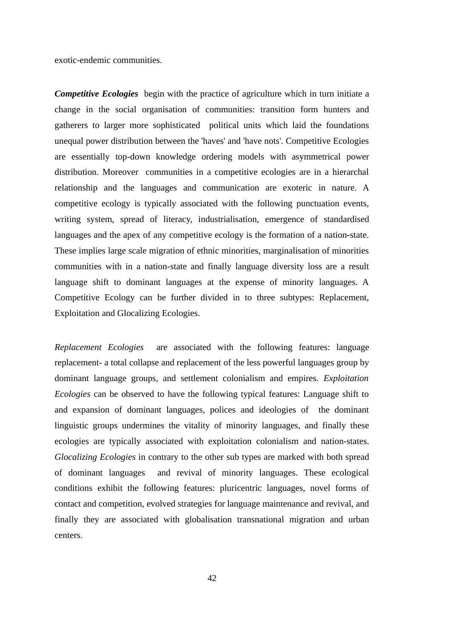exotic-endemic communities.

*Competitive Ecologies* begin with the practice of agriculture which in turn initiate a change in the social organisation of communities: transition form hunters and gatherers to larger more sophisticated political units which laid the foundations unequal power distribution between the 'haves' and 'have nots'. Competitive Ecologies are essentially top-down knowledge ordering models with asymmetrical power distribution. Moreover communities in a competitive ecologies are in a hierarchal relationship and the languages and communication are exoteric in nature. A competitive ecology is typically associated with the following punctuation events, writing system, spread of literacy, industrialisation, emergence of standardised languages and the apex of any competitive ecology is the formation of a nation-state. These implies large scale migration of ethnic minorities, marginalisation of minorities communities with in a nation-state and finally language diversity loss are a result language shift to dominant languages at the expense of minority languages. A Competitive Ecology can be further divided in to three subtypes: Replacement, Exploitation and Glocalizing Ecologies.

*Replacement Ecologies* are associated with the following features: language replacement- a total collapse and replacement of the less powerful languages group by dominant language groups, and settlement colonialism and empires. *Exploitation Ecologies* can be observed to have the following typical features: Language shift to and expansion of dominant languages, polices and ideologies of the dominant linguistic groups undermines the vitality of minority languages, and finally these ecologies are typically associated with exploitation colonialism and nation-states. *Glocalizing Ecologies* in contrary to the other sub types are marked with both spread of dominant languages and revival of minority languages. These ecological conditions exhibit the following features: pluricentric languages, novel forms of contact and competition, evolved strategies for language maintenance and revival, and finally they are associated with globalisation transnational migration and urban centers.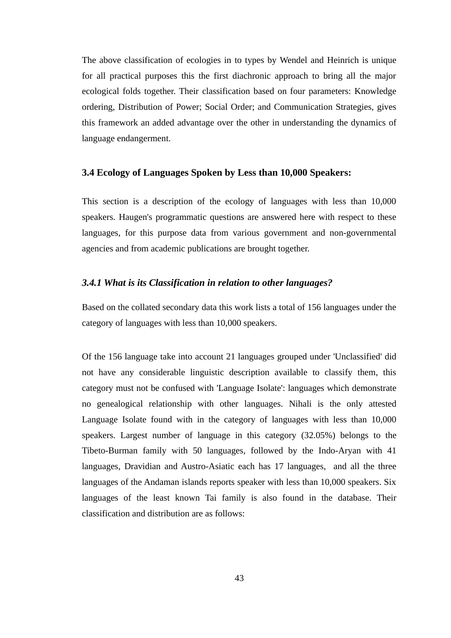The above classification of ecologies in to types by Wendel and Heinrich is unique for all practical purposes this the first diachronic approach to bring all the major ecological folds together. Their classification based on four parameters: Knowledge ordering, Distribution of Power; Social Order; and Communication Strategies, gives this framework an added advantage over the other in understanding the dynamics of language endangerment.

#### **3.4 Ecology of Languages Spoken by Less than 10,000 Speakers:**

This section is a description of the ecology of languages with less than 10,000 speakers. Haugen's programmatic questions are answered here with respect to these languages, for this purpose data from various government and non-governmental agencies and from academic publications are brought together.

#### *3.4.1 What is its Classification in relation to other languages?*

Based on the collated secondary data this work lists a total of 156 languages under the category of languages with less than 10,000 speakers.

Of the 156 language take into account 21 languages grouped under 'Unclassified' did not have any considerable linguistic description available to classify them, this category must not be confused with 'Language Isolate': languages which demonstrate no genealogical relationship with other languages. Nihali is the only attested Language Isolate found with in the category of languages with less than 10,000 speakers. Largest number of language in this category (32.05%) belongs to the Tibeto-Burman family with 50 languages, followed by the Indo-Aryan with 41 languages, Dravidian and Austro-Asiatic each has 17 languages, and all the three languages of the Andaman islands reports speaker with less than 10,000 speakers. Six languages of the least known Tai family is also found in the database. Their classification and distribution are as follows: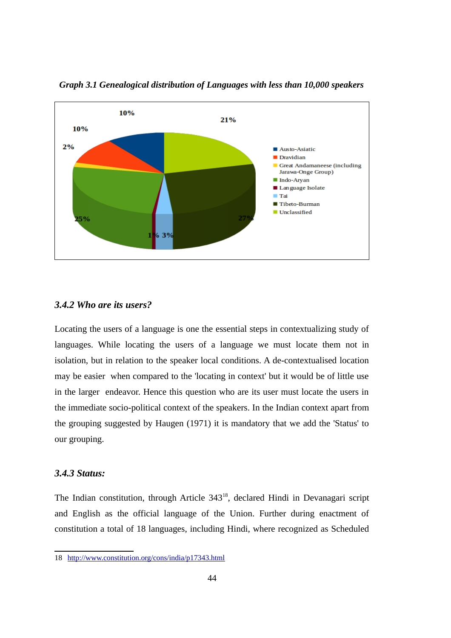

*Graph 3.1 Genealogical distribution of Languages with less than 10,000 speakers*

### *3.4.2 Who are its users?*

Locating the users of a language is one the essential steps in contextualizing study of languages. While locating the users of a language we must locate them not in isolation, but in relation to the speaker local conditions. A de-contextualised location may be easier when compared to the 'locating in context' but it would be of little use in the larger endeavor. Hence this question who are its user must locate the users in the immediate socio-political context of the speakers. In the Indian context apart from the grouping suggested by Haugen (1971) it is mandatory that we add the 'Status' to our grouping.

## *3.4.3 Status:*

The Indian constitution, through Article 343<sup>[18](#page-53-0)</sup>, declared Hindi in Devanagari script and English as the official language of the Union. Further during enactment of constitution a total of 18 languages, including Hindi, where recognized as Scheduled

<span id="page-53-0"></span><sup>18</sup><http://www.constitution.org/cons/india/p17343.html>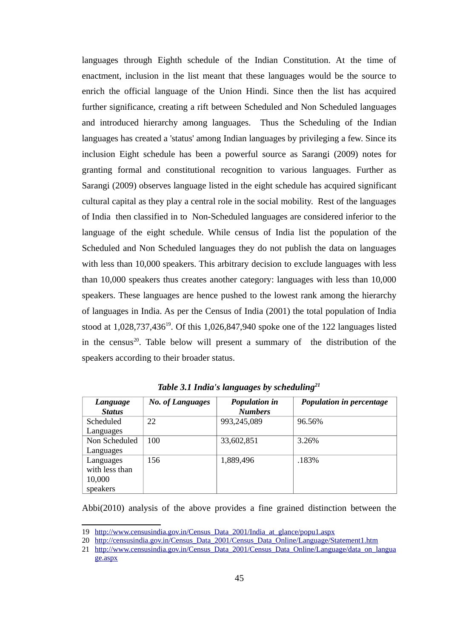languages through Eighth schedule of the Indian Constitution. At the time of enactment, inclusion in the list meant that these languages would be the source to enrich the official language of the Union Hindi. Since then the list has acquired further significance, creating a rift between Scheduled and Non Scheduled languages and introduced hierarchy among languages. Thus the Scheduling of the Indian languages has created a 'status' among Indian languages by privileging a few. Since its inclusion Eight schedule has been a powerful source as Sarangi (2009) notes for granting formal and constitutional recognition to various languages. Further as Sarangi (2009) observes language listed in the eight schedule has acquired significant cultural capital as they play a central role in the social mobility. Rest of the languages of India then classified in to Non-Scheduled languages are considered inferior to the language of the eight schedule. While census of India list the population of the Scheduled and Non Scheduled languages they do not publish the data on languages with less than 10,000 speakers. This arbitrary decision to exclude languages with less than 10,000 speakers thus creates another category: languages with less than 10,000 speakers. These languages are hence pushed to the lowest rank among the hierarchy of languages in India. As per the Census of India (2001) the total population of India stood at  $1,028,737,436^{19}$  $1,028,737,436^{19}$  $1,028,737,436^{19}$ . Of this  $1,026,847,940$  spoke one of the 122 languages listed in the census<sup>[20](#page-54-1)</sup>. Table below will present a summary of the distribution of the speakers according to their broader status.

| Language<br><b>Status</b>                         | <b>No. of Languages</b> | <b>Population in</b><br><b>Numbers</b> | Population in percentage |
|---------------------------------------------------|-------------------------|----------------------------------------|--------------------------|
| Scheduled<br>Languages                            | 22                      | 993,245,089                            | 96.56%                   |
| Non Scheduled<br>Languages                        | 100                     | 33,602,851                             | 3.26%                    |
| Languages<br>with less than<br>10,000<br>speakers | 156                     | 1,889,496                              | .183%                    |

*Table 3.1 India's languages by scheduling[21](#page-54-2)*

Abbi(2010) analysis of the above provides a fine grained distinction between the

<span id="page-54-0"></span><sup>19</sup> http://www.censusindia.gov.in/Census Data 2001/India at glance/popu1.aspx

<span id="page-54-1"></span><sup>20</sup> [http://censusindia.gov.in/Census\\_Data\\_2001/Census\\_Data\\_Online/Language/Statement1.htm](http://censusindia.gov.in/Census_Data_2001/Census_Data_Online/Language/Statement1.htm)

<span id="page-54-2"></span><sup>21</sup> [http://www.censusindia.gov.in/Census\\_Data\\_2001/Census\\_Data\\_Online/Language/data\\_on\\_langua](http://www.censusindia.gov.in/Census_Data_2001/Census_Data_Online/Language/data_on_language.aspx) [ge.aspx](http://www.censusindia.gov.in/Census_Data_2001/Census_Data_Online/Language/data_on_language.aspx)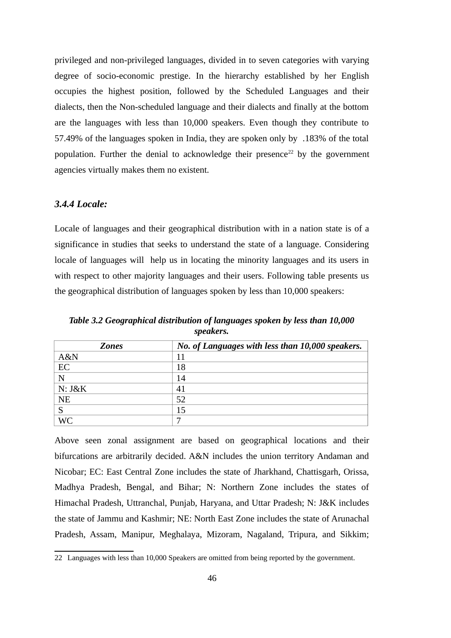privileged and non-privileged languages, divided in to seven categories with varying degree of socio-economic prestige. In the hierarchy established by her English occupies the highest position, followed by the Scheduled Languages and their dialects, then the Non-scheduled language and their dialects and finally at the bottom are the languages with less than 10,000 speakers. Even though they contribute to 57.49% of the languages spoken in India, they are spoken only by .183% of the total population. Further the denial to acknowledge their presence<sup>[22](#page-55-0)</sup> by the government agencies virtually makes them no existent.

## *3.4.4 Locale:*

Locale of languages and their geographical distribution with in a nation state is of a significance in studies that seeks to understand the state of a language. Considering locale of languages will help us in locating the minority languages and its users in with respect to other majority languages and their users. Following table presents us the geographical distribution of languages spoken by less than 10,000 speakers:

*Table 3.2 Geographical distribution of languages spoken by less than 10,000 speakers.*

| <b>Zones</b> | No. of Languages with less than 10,000 speakers. |
|--------------|--------------------------------------------------|
| A&N          | 11                                               |
| EC           | 18                                               |
| N            | 14                                               |
| N: J&K       | 41                                               |
| <b>NE</b>    | 52                                               |
|              | 15                                               |
| <b>WC</b>    |                                                  |

Above seen zonal assignment are based on geographical locations and their bifurcations are arbitrarily decided. A&N includes the union territory Andaman and Nicobar; EC: East Central Zone includes the state of Jharkhand, Chattisgarh, Orissa, Madhya Pradesh, Bengal, and Bihar; N: Northern Zone includes the states of Himachal Pradesh, Uttranchal, Punjab, Haryana, and Uttar Pradesh; N: J&K includes the state of Jammu and Kashmir; NE: North East Zone includes the state of Arunachal Pradesh, Assam, Manipur, Meghalaya, Mizoram, Nagaland, Tripura, and Sikkim;

<span id="page-55-0"></span><sup>22</sup> Languages with less than 10,000 Speakers are omitted from being reported by the government.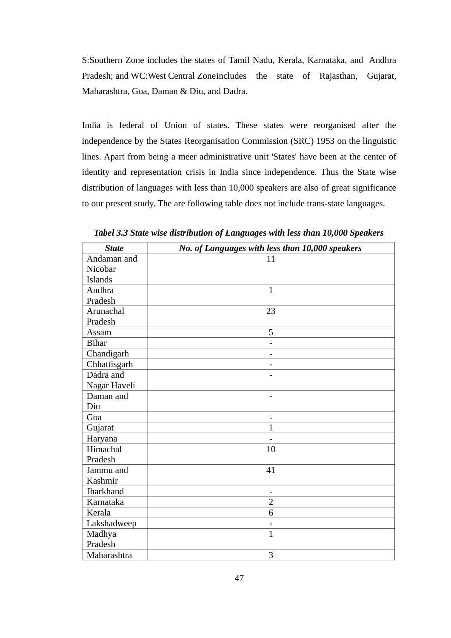S:Southern Zone includes the states of Tamil Nadu, Kerala, Karnataka, and Andhra Pradesh; and WC:West Central Zoneincludes the state of Rajasthan, Gujarat, Maharashtra, Goa, Daman & Diu, and Dadra.

India is federal of Union of states. These states were reorganised after the independence by the States Reorganisation Commission (SRC) 1953 on the linguistic lines. Apart from being a meer administrative unit 'States' have been at the center of identity and representation crisis in India since independence. Thus the State wise distribution of languages with less than 10,000 speakers are also of great significance to our present study. The are following table does not include trans-state languages.

| <b>State</b>   | No. of Languages with less than 10,000 speakers |
|----------------|-------------------------------------------------|
| Andaman and    | 11                                              |
| Nicobar        |                                                 |
| <b>Islands</b> |                                                 |
| Andhra         | $\mathbf{1}$                                    |
| Pradesh        |                                                 |
| Arunachal      | 23                                              |
| Pradesh        |                                                 |
| Assam          | 5                                               |
| <b>Bihar</b>   | $\overline{\phantom{0}}$                        |
| Chandigarh     | -                                               |
| Chhattisgarh   | -                                               |
| Dadra and      |                                                 |
| Nagar Haveli   |                                                 |
| Daman and      | -                                               |
| Diu            |                                                 |
| Goa            |                                                 |
| Gujarat        | $\overline{1}$                                  |
| Haryana        |                                                 |
| Himachal       | 10                                              |
| Pradesh        |                                                 |
| Jammu and      | 41                                              |
| Kashmir        |                                                 |
| Jharkhand      | -                                               |
| Karnataka      | $\overline{2}$                                  |
| Kerala         | 6                                               |
| Lakshadweep    | $\overline{\phantom{0}}$                        |
| Madhya         | $\mathbf{1}$                                    |
| Pradesh        |                                                 |
| Maharashtra    | 3                                               |

*Tabel 3.3 State wise distribution of Languages with less than 10,000 Speakers*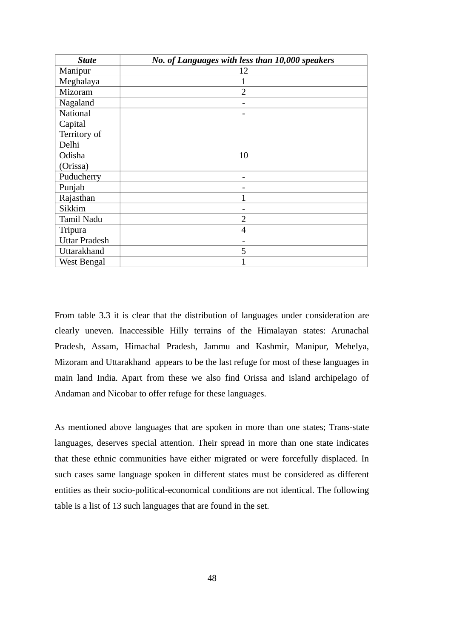| <b>State</b>         | No. of Languages with less than 10,000 speakers |
|----------------------|-------------------------------------------------|
| Manipur              | 12                                              |
| Meghalaya            | 1                                               |
| Mizoram              | $\overline{2}$                                  |
| Nagaland             |                                                 |
| <b>National</b>      |                                                 |
| Capital              |                                                 |
| Territory of         |                                                 |
| Delhi                |                                                 |
| Odisha               | 10                                              |
| (Orissa)             |                                                 |
| Puducherry           |                                                 |
| Punjab               |                                                 |
| Rajasthan            | 1                                               |
| Sikkim               | -                                               |
| <b>Tamil Nadu</b>    | $\overline{2}$                                  |
| Tripura              | 4                                               |
| <b>Uttar Pradesh</b> |                                                 |
| Uttarakhand          | 5                                               |
| West Bengal          |                                                 |

From table 3.3 it is clear that the distribution of languages under consideration are clearly uneven. Inaccessible Hilly terrains of the Himalayan states: Arunachal Pradesh, Assam, Himachal Pradesh, Jammu and Kashmir, Manipur, Mehelya, Mizoram and Uttarakhand appears to be the last refuge for most of these languages in main land India. Apart from these we also find Orissa and island archipelago of Andaman and Nicobar to offer refuge for these languages.

As mentioned above languages that are spoken in more than one states; Trans-state languages, deserves special attention. Their spread in more than one state indicates that these ethnic communities have either migrated or were forcefully displaced. In such cases same language spoken in different states must be considered as different entities as their socio-political-economical conditions are not identical. The following table is a list of 13 such languages that are found in the set.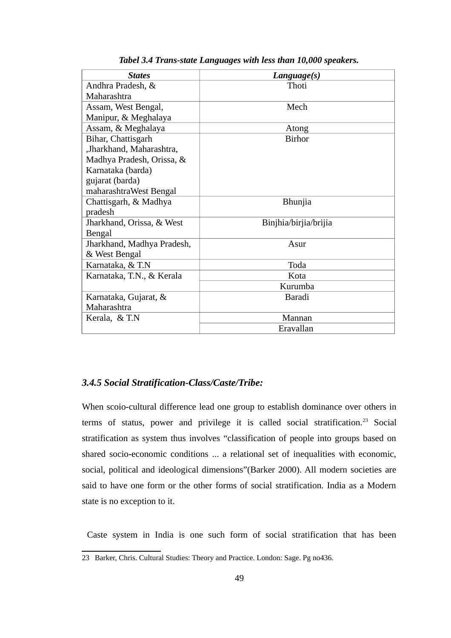| <b>States</b>              | Language(s)           |  |
|----------------------------|-----------------------|--|
| Andhra Pradesh, &          | Thoti                 |  |
| Maharashtra                |                       |  |
| Assam, West Bengal,        | Mech                  |  |
| Manipur, & Meghalaya       |                       |  |
| Assam, & Meghalaya         | Atong                 |  |
| Bihar, Chattisgarh         | <b>Birhor</b>         |  |
| ,Jharkhand, Maharashtra,   |                       |  |
| Madhya Pradesh, Orissa, &  |                       |  |
| Karnataka (barda)          |                       |  |
| gujarat (barda)            |                       |  |
| maharashtraWest Bengal     |                       |  |
| Chattisgarh, & Madhya      | <b>Bhunjia</b>        |  |
| pradesh                    |                       |  |
| Jharkhand, Orissa, & West  | Binjhia/birjia/brijia |  |
| Bengal                     |                       |  |
| Jharkhand, Madhya Pradesh, | Asur                  |  |
| & West Bengal              |                       |  |
| Karnataka, & T.N           | Toda                  |  |
| Karnataka, T.N., & Kerala  | Kota                  |  |
|                            | Kurumba               |  |
| Karnataka, Gujarat, &      | Baradi                |  |
| Maharashtra                |                       |  |
| Kerala, & T.N              | Mannan                |  |
|                            | Eravallan             |  |

*Tabel 3.4 Trans-state Languages with less than 10,000 speakers.*

## *3.4.5 Social Stratification-Class/Caste/Tribe:*

When scoio-cultural difference lead one group to establish dominance over others in terms of status, power and privilege it is called social stratification.<sup>[23](#page-58-0)</sup> Social stratification as system thus involves "classification of people into groups based on shared socio-economic conditions ... a relational set of inequalities with economic, social, political and ideological dimensions"(Barker 2000). All modern societies are said to have one form or the other forms of social stratification. India as a Modern state is no exception to it.

Caste system in India is one such form of social stratification that has been

<span id="page-58-0"></span><sup>23</sup> Barker, Chris. Cultural Studies: Theory and Practice. London: Sage. Pg no436.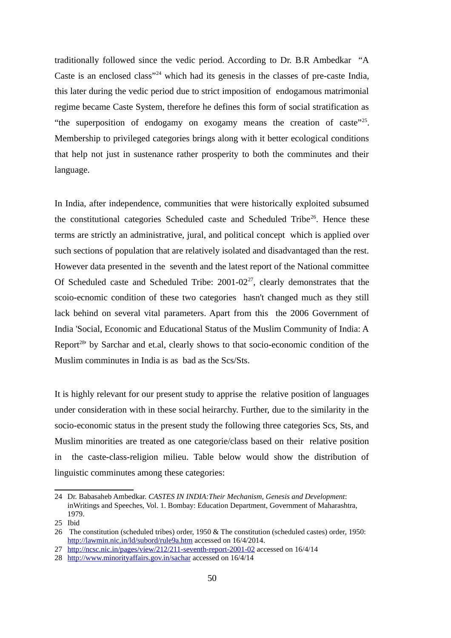traditionally followed since the vedic period. According to Dr. B.R Ambedkar "A Caste is an enclosed class"<sup>[24](#page-59-0)</sup> which had its genesis in the classes of pre-caste India, this later during the vedic period due to strict imposition of endogamous matrimonial regime became Caste System, therefore he defines this form of social stratification as "the superposition of endogamy on exogamy means the creation of caste"<sup>[25](#page-59-1)</sup>. Membership to privileged categories brings along with it better ecological conditions that help not just in sustenance rather prosperity to both the comminutes and their language.

In India, after independence, communities that were historically exploited subsumed the constitutional categories Scheduled caste and Scheduled Tribe<sup>[26](#page-59-2)</sup>. Hence these terms are strictly an administrative, jural, and political concept which is applied over such sections of population that are relatively isolated and disadvantaged than the rest. However data presented in the seventh and the latest report of the National committee Of Scheduled caste and Scheduled Tribe:  $2001-02^{27}$  $2001-02^{27}$  $2001-02^{27}$ , clearly demonstrates that the scoio-ecnomic condition of these two categories hasn't changed much as they still lack behind on several vital parameters. Apart from this the 2006 Government of India 'Social, Economic and Educational Status of the Muslim Community of India: A Report<sup>[28](#page-59-4)</sup>' by Sarchar and et.al, clearly shows to that socio-economic condition of the Muslim comminutes in India is as bad as the Scs/Sts.

It is highly relevant for our present study to apprise the relative position of languages under consideration with in these social heirarchy. Further, due to the similarity in the socio-economic status in the present study the following three categories Scs, Sts, and Muslim minorities are treated as one categorie/class based on their relative position in the caste-class-religion milieu. Table below would show the distribution of linguistic comminutes among these categories:

<span id="page-59-0"></span><sup>24</sup> Dr. Babasaheb Ambedkar. *CASTES IN INDIA:Their Mechanism, Genesis and Development*: inWritings and Speeches, Vol. 1. Bombay: Education Department, Government of Maharashtra, 1979.

<span id="page-59-1"></span><sup>25</sup> Ibid

<span id="page-59-2"></span><sup>26</sup> The constitution (scheduled tribes) order, 1950 & The constitution (scheduled castes) order, 1950: <http://lawmin.nic.in/ld/subord/rule9a.htm>accessed on 16/4/2014.

<span id="page-59-3"></span><sup>27</sup><http://ncsc.nic.in/pages/view/212/211-seventh-report-2001-02>accessed on 16/4/14

<span id="page-59-4"></span><sup>28</sup> <http://www.minorityaffairs.gov.in/sachar>accessed on 16/4/14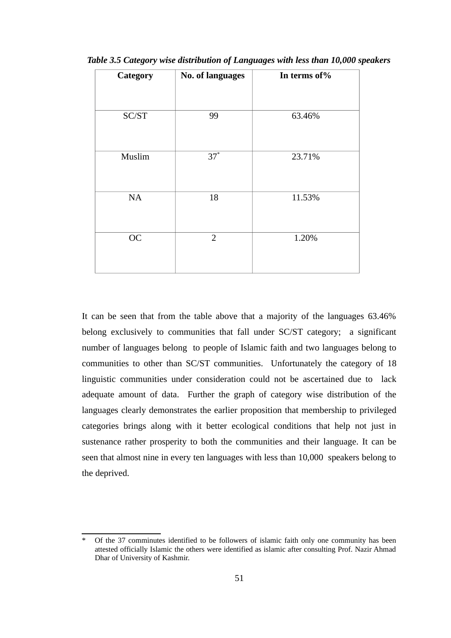| Category  | No. of languages | In terms of% |
|-----------|------------------|--------------|
|           |                  |              |
| SC/ST     | 99               | 63.46%       |
|           |                  |              |
| Muslim    | $37^*$           | 23.71%       |
|           |                  |              |
| NA        | 18               | 11.53%       |
|           |                  |              |
| <b>OC</b> | $\overline{2}$   | 1.20%        |
|           |                  |              |

*Table 3.5 Category wise distribution of Languages with less than 10,000 speakers*

It can be seen that from the table above that a majority of the languages 63.46% belong exclusively to communities that fall under SC/ST category; a significant number of languages belong to people of Islamic faith and two languages belong to communities to other than SC/ST communities. Unfortunately the category of 18 linguistic communities under consideration could not be ascertained due to lack adequate amount of data. Further the graph of category wise distribution of the languages clearly demonstrates the earlier proposition that membership to privileged categories brings along with it better ecological conditions that help not just in sustenance rather prosperity to both the communities and their language. It can be seen that almost nine in every ten languages with less than 10,000 speakers belong to the deprived.

<span id="page-60-0"></span>Of the 37 comminutes identified to be followers of islamic faith only one community has been attested officially Islamic the others were identified as islamic after consulting Prof. Nazir Ahmad Dhar of University of Kashmir.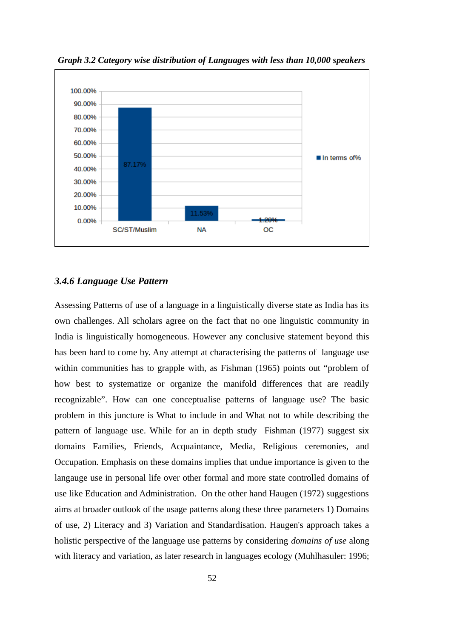

*Graph 3.2 Category wise distribution of Languages with less than 10,000 speakers*

### *3.4.6 Language Use Pattern*

Assessing Patterns of use of a language in a linguistically diverse state as India has its own challenges. All scholars agree on the fact that no one linguistic community in India is linguistically homogeneous. However any conclusive statement beyond this has been hard to come by. Any attempt at characterising the patterns of language use within communities has to grapple with, as Fishman (1965) points out "problem of how best to systematize or organize the manifold differences that are readily recognizable". How can one conceptualise patterns of language use? The basic problem in this juncture is What to include in and What not to while describing the pattern of language use. While for an in depth study Fishman (1977) suggest six domains Families, Friends, Acquaintance, Media, Religious ceremonies, and Occupation. Emphasis on these domains implies that undue importance is given to the langauge use in personal life over other formal and more state controlled domains of use like Education and Administration. On the other hand Haugen (1972) suggestions aims at broader outlook of the usage patterns along these three parameters 1) Domains of use, 2) Literacy and 3) Variation and Standardisation. Haugen's approach takes a holistic perspective of the language use patterns by considering *domains of use* along with literacy and variation, as later research in languages ecology (Muhlhasuler: 1996;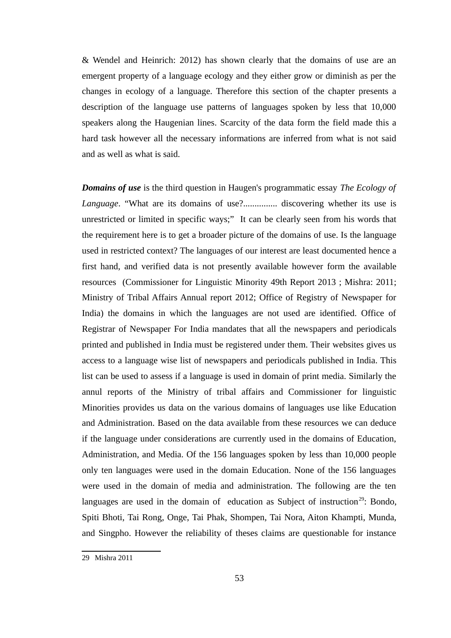& Wendel and Heinrich: 2012) has shown clearly that the domains of use are an emergent property of a language ecology and they either grow or diminish as per the changes in ecology of a language. Therefore this section of the chapter presents a description of the language use patterns of languages spoken by less that 10,000 speakers along the Haugenian lines. Scarcity of the data form the field made this a hard task however all the necessary informations are inferred from what is not said and as well as what is said.

*Domains of use* is the third question in Haugen's programmatic essay *The Ecology of Language*. "What are its domains of use?............... discovering whether its use is unrestricted or limited in specific ways;" It can be clearly seen from his words that the requirement here is to get a broader picture of the domains of use. Is the language used in restricted context? The languages of our interest are least documented hence a first hand, and verified data is not presently available however form the available resources (Commissioner for Linguistic Minority 49th Report 2013 ; Mishra: 2011; Ministry of Tribal Affairs Annual report 2012; Office of Registry of Newspaper for India) the domains in which the languages are not used are identified. Office of Registrar of Newspaper For India mandates that all the newspapers and periodicals printed and published in India must be registered under them. Their websites gives us access to a language wise list of newspapers and periodicals published in India. This list can be used to assess if a language is used in domain of print media. Similarly the annul reports of the Ministry of tribal affairs and Commissioner for linguistic Minorities provides us data on the various domains of languages use like Education and Administration. Based on the data available from these resources we can deduce if the language under considerations are currently used in the domains of Education, Administration, and Media. Of the 156 languages spoken by less than 10,000 people only ten languages were used in the domain Education. None of the 156 languages were used in the domain of media and administration. The following are the ten languages are used in the domain of education as Subject of instruction<sup>[29](#page-62-0)</sup>: Bondo, Spiti Bhoti, Tai Rong, Onge, Tai Phak, Shompen, Tai Nora, Aiton Khampti, Munda, and Singpho. However the reliability of theses claims are questionable for instance

<span id="page-62-0"></span><sup>29</sup> Mishra 2011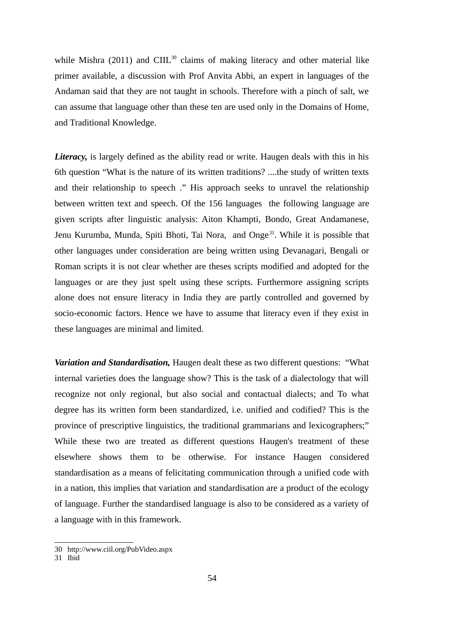while Mishra (2011) and CIIL $^{30}$  $^{30}$  $^{30}$  claims of making literacy and other material like primer available, a discussion with Prof Anvita Abbi, an expert in languages of the Andaman said that they are not taught in schools. Therefore with a pinch of salt, we can assume that language other than these ten are used only in the Domains of Home, and Traditional Knowledge.

*Literacy,* is largely defined as the ability read or write. Haugen deals with this in his 6th question "What is the nature of its written traditions? ....the study of written texts and their relationship to speech ." His approach seeks to unravel the relationship between written text and speech. Of the 156 languages the following language are given scripts after linguistic analysis: Aiton Khampti, Bondo, Great Andamanese, Jenu Kurumba, Munda, Spiti Bhoti, Tai Nora, and Onge<sup>[31](#page-63-1)</sup>. While it is possible that other languages under consideration are being written using Devanagari, Bengali or Roman scripts it is not clear whether are theses scripts modified and adopted for the languages or are they just spelt using these scripts. Furthermore assigning scripts alone does not ensure literacy in India they are partly controlled and governed by socio-economic factors. Hence we have to assume that literacy even if they exist in these languages are minimal and limited.

*Variation and Standardisation,* Haugen dealt these as two different questions: "What internal varieties does the language show? This is the task of a dialectology that will recognize not only regional, but also social and contactual dialects; and To what degree has its written form been standardized, i.e. unified and codified? This is the province of prescriptive linguistics, the traditional grammarians and lexicographers;" While these two are treated as different questions Haugen's treatment of these elsewhere shows them to be otherwise. For instance Haugen considered standardisation as a means of felicitating communication through a unified code with in a nation, this implies that variation and standardisation are a product of the ecology of language. Further the standardised language is also to be considered as a variety of a language with in this framework.

<span id="page-63-0"></span><sup>30</sup> http://www.ciil.org/PubVideo.aspx

<span id="page-63-1"></span><sup>31</sup> Ibid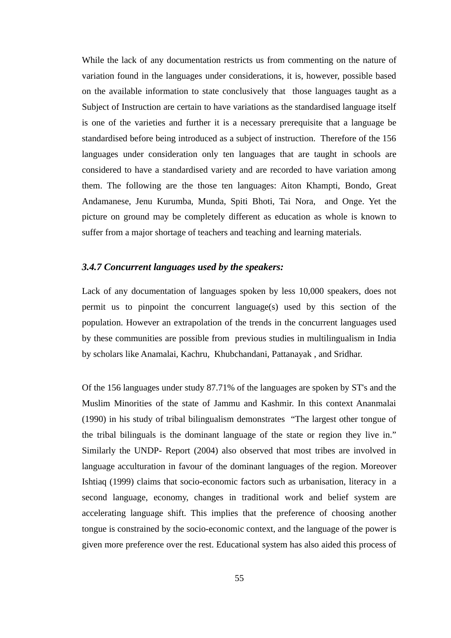While the lack of any documentation restricts us from commenting on the nature of variation found in the languages under considerations, it is, however, possible based on the available information to state conclusively that those languages taught as a Subject of Instruction are certain to have variations as the standardised language itself is one of the varieties and further it is a necessary prerequisite that a language be standardised before being introduced as a subject of instruction. Therefore of the 156 languages under consideration only ten languages that are taught in schools are considered to have a standardised variety and are recorded to have variation among them. The following are the those ten languages: Aiton Khampti, Bondo, Great Andamanese, Jenu Kurumba, Munda, Spiti Bhoti, Tai Nora, and Onge. Yet the picture on ground may be completely different as education as whole is known to suffer from a major shortage of teachers and teaching and learning materials.

#### *3.4.7 Concurrent languages used by the speakers:*

Lack of any documentation of languages spoken by less 10,000 speakers, does not permit us to pinpoint the concurrent language(s) used by this section of the population. However an extrapolation of the trends in the concurrent languages used by these communities are possible from previous studies in multilingualism in India by scholars like Anamalai, Kachru, Khubchandani, Pattanayak , and Sridhar.

Of the 156 languages under study 87.71% of the languages are spoken by ST's and the Muslim Minorities of the state of Jammu and Kashmir. In this context Ananmalai (1990) in his study of tribal bilingualism demonstrates "The largest other tongue of the tribal bilinguals is the dominant language of the state or region they live in." Similarly the UNDP- Report (2004) also observed that most tribes are involved in language acculturation in favour of the dominant languages of the region. Moreover Ishtiaq (1999) claims that socio-economic factors such as urbanisation, literacy in a second language, economy, changes in traditional work and belief system are accelerating language shift. This implies that the preference of choosing another tongue is constrained by the socio-economic context, and the language of the power is given more preference over the rest. Educational system has also aided this process of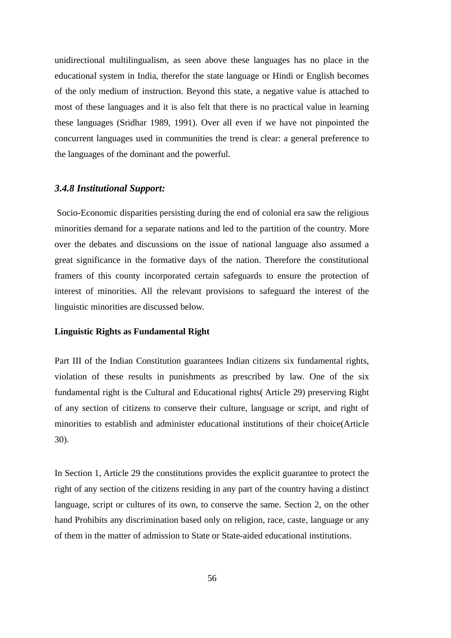unidirectional multilingualism, as seen above these languages has no place in the educational system in India, therefor the state language or Hindi or English becomes of the only medium of instruction. Beyond this state, a negative value is attached to most of these languages and it is also felt that there is no practical value in learning these languages (Sridhar 1989, 1991). Over all even if we have not pinpointed the concurrent languages used in communities the trend is clear: a general preference to the languages of the dominant and the powerful.

### *3.4.8 Institutional Support:*

 Socio-Economic disparities persisting during the end of colonial era saw the religious minorities demand for a separate nations and led to the partition of the country. More over the debates and discussions on the issue of national language also assumed a great significance in the formative days of the nation. Therefore the constitutional framers of this county incorporated certain safeguards to ensure the protection of interest of minorities. All the relevant provisions to safeguard the interest of the linguistic minorities are discussed below.

#### **Linguistic Rights as Fundamental Right**

Part III of the Indian Constitution guarantees Indian citizens six fundamental rights, violation of these results in punishments as prescribed by law. One of the six fundamental right is the Cultural and Educational rights( Article 29) preserving Right of any section of citizens to conserve their culture, language or script, and right of minorities to establish and administer educational institutions of their choice(Article 30).

In Section 1, Article 29 the constitutions provides the explicit guarantee to protect the right of any section of the citizens residing in any part of the country having a distinct language, script or cultures of its own, to conserve the same. Section 2, on the other hand Prohibits any discrimination based only on religion, race, caste, language or any of them in the matter of admission to State or State-aided educational institutions.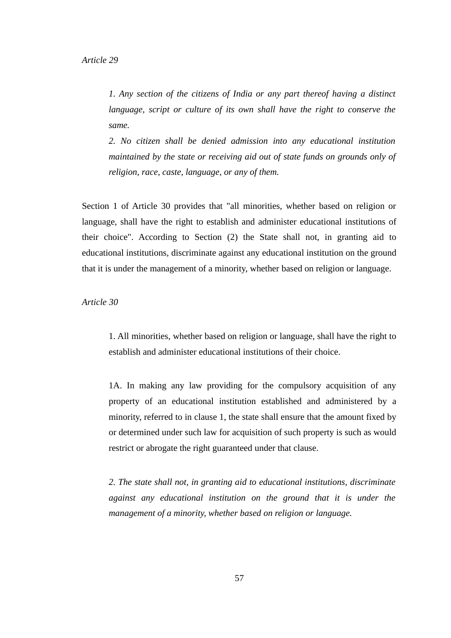*1. Any section of the citizens of India or any part thereof having a distinct language, script or culture of its own shall have the right to conserve the same.*

*2. No citizen shall be denied admission into any educational institution maintained by the state or receiving aid out of state funds on grounds only of religion, race, caste, language, or any of them.*

Section 1 of Article 30 provides that "all minorities, whether based on religion or language, shall have the right to establish and administer educational institutions of their choice". According to Section (2) the State shall not, in granting aid to educational institutions, discriminate against any educational institution on the ground that it is under the management of a minority, whether based on religion or language.

*Article 30*

1. All minorities, whether based on religion or language, shall have the right to establish and administer educational institutions of their choice.

1A. In making any law providing for the compulsory acquisition of any property of an educational institution established and administered by a minority, referred to in clause 1, the state shall ensure that the amount fixed by or determined under such law for acquisition of such property is such as would restrict or abrogate the right guaranteed under that clause.

*2. The state shall not, in granting aid to educational institutions, discriminate against any educational institution on the ground that it is under the management of a minority, whether based on religion or language.*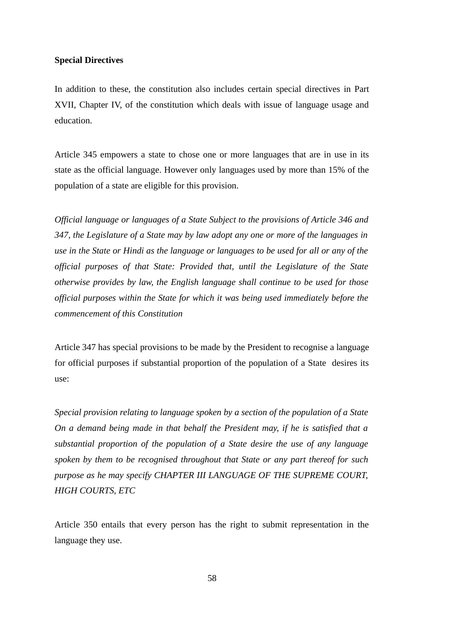#### **Special Directives**

In addition to these, the constitution also includes certain special directives in Part XVII, Chapter IV, of the constitution which deals with issue of language usage and education.

Article 345 empowers a state to chose one or more languages that are in use in its state as the official language. However only languages used by more than 15% of the population of a state are eligible for this provision.

*Official language or languages of a State Subject to the provisions of Article 346 and 347, the Legislature of a State may by law adopt any one or more of the languages in use in the State or Hindi as the language or languages to be used for all or any of the official purposes of that State: Provided that, until the Legislature of the State otherwise provides by law, the English language shall continue to be used for those official purposes within the State for which it was being used immediately before the commencement of this Constitution*

Article 347 has special provisions to be made by the President to recognise a language for official purposes if substantial proportion of the population of a State desires its use:

*Special provision relating to language spoken by a section of the population of a State On a demand being made in that behalf the President may, if he is satisfied that a substantial proportion of the population of a State desire the use of any language spoken by them to be recognised throughout that State or any part thereof for such purpose as he may specify CHAPTER III LANGUAGE OF THE SUPREME COURT, HIGH COURTS, ETC*

Article 350 entails that every person has the right to submit representation in the language they use.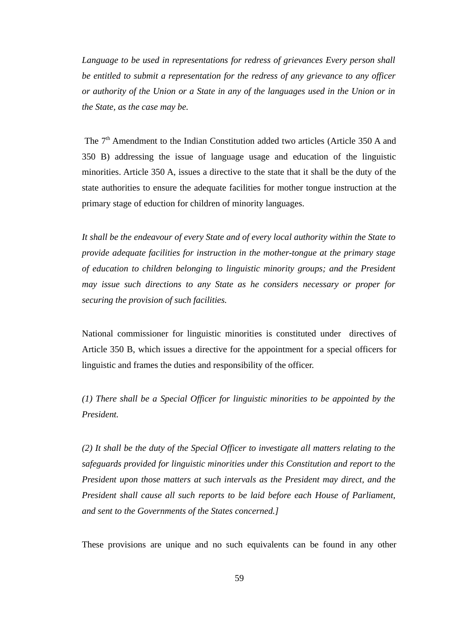*Language to be used in representations for redress of grievances Every person shall be entitled to submit a representation for the redress of any grievance to any officer or authority of the Union or a State in any of the languages used in the Union or in the State, as the case may be.*

The 7<sup>th</sup> Amendment to the Indian Constitution added two articles (Article 350 A and 350 B) addressing the issue of language usage and education of the linguistic minorities. Article 350 A, issues a directive to the state that it shall be the duty of the state authorities to ensure the adequate facilities for mother tongue instruction at the primary stage of eduction for children of minority languages.

*It shall be the endeavour of every State and of every local authority within the State to provide adequate facilities for instruction in the mother-tongue at the primary stage of education to children belonging to linguistic minority groups; and the President may issue such directions to any State as he considers necessary or proper for securing the provision of such facilities.*

National commissioner for linguistic minorities is constituted under directives of Article 350 B, which issues a directive for the appointment for a special officers for linguistic and frames the duties and responsibility of the officer.

*(1) There shall be a Special Officer for linguistic minorities to be appointed by the President.*

*(2) It shall be the duty of the Special Officer to investigate all matters relating to the safeguards provided for linguistic minorities under this Constitution and report to the President upon those matters at such intervals as the President may direct, and the President shall cause all such reports to be laid before each House of Parliament, and sent to the Governments of the States concerned.]*

These provisions are unique and no such equivalents can be found in any other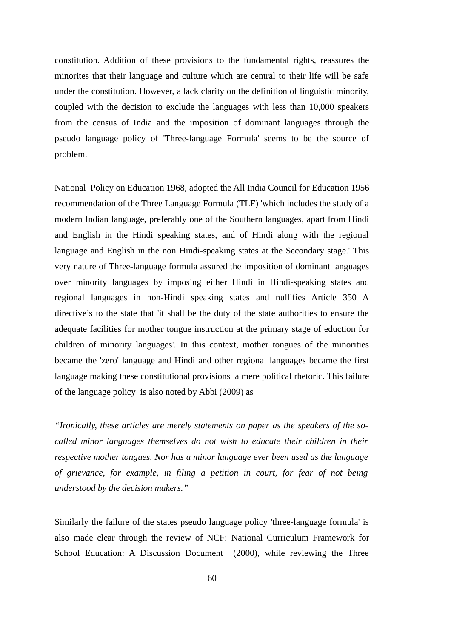constitution. Addition of these provisions to the fundamental rights, reassures the minorites that their language and culture which are central to their life will be safe under the constitution. However, a lack clarity on the definition of linguistic minority, coupled with the decision to exclude the languages with less than 10,000 speakers from the census of India and the imposition of dominant languages through the pseudo language policy of 'Three-language Formula' seems to be the source of problem.

National Policy on Education 1968, adopted the All India Council for Education 1956 recommendation of the Three Language Formula (TLF) 'which includes the study of a modern Indian language, preferably one of the Southern languages, apart from Hindi and English in the Hindi speaking states, and of Hindi along with the regional language and English in the non Hindi-speaking states at the Secondary stage.' This very nature of Three-language formula assured the imposition of dominant languages over minority languages by imposing either Hindi in Hindi-speaking states and regional languages in non-Hindi speaking states and nullifies Article 350 A directive's to the state that 'it shall be the duty of the state authorities to ensure the adequate facilities for mother tongue instruction at the primary stage of eduction for children of minority languages'. In this context, mother tongues of the minorities became the 'zero' language and Hindi and other regional languages became the first language making these constitutional provisions a mere political rhetoric. This failure of the language policy is also noted by Abbi (2009) as

*"Ironically, these articles are merely statements on paper as the speakers of the socalled minor languages themselves do not wish to educate their children in their respective mother tongues. Nor has a minor language ever been used as the language of grievance, for example, in filing a petition in court, for fear of not being understood by the decision makers."* 

Similarly the failure of the states pseudo language policy 'three-language formula' is also made clear through the review of NCF: National Curriculum Framework for School Education: A Discussion Document (2000), while reviewing the Three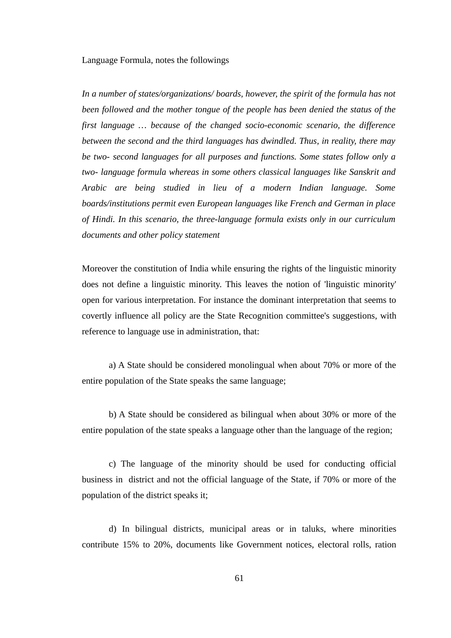#### Language Formula, notes the followings

*In a number of states/organizations/ boards, however, the spirit of the formula has not been followed and the mother tongue of the people has been denied the status of the first language … because of the changed socio-economic scenario, the difference between the second and the third languages has dwindled. Thus, in reality, there may be two- second languages for all purposes and functions. Some states follow only a two- language formula whereas in some others classical languages like Sanskrit and Arabic are being studied in lieu of a modern Indian language. Some boards/institutions permit even European languages like French and German in place of Hindi. In this scenario, the three-language formula exists only in our curriculum documents and other policy statement*

Moreover the constitution of India while ensuring the rights of the linguistic minority does not define a linguistic minority. This leaves the notion of 'linguistic minority' open for various interpretation. For instance the dominant interpretation that seems to covertly influence all policy are the State Recognition committee's suggestions, with reference to language use in administration, that:

a) A State should be considered monolingual when about 70% or more of the entire population of the State speaks the same language;

b) A State should be considered as bilingual when about 30% or more of the entire population of the state speaks a language other than the language of the region;

c) The language of the minority should be used for conducting official business in district and not the official language of the State, if 70% or more of the population of the district speaks it;

d) In bilingual districts, municipal areas or in taluks, where minorities contribute 15% to 20%, documents like Government notices, electoral rolls, ration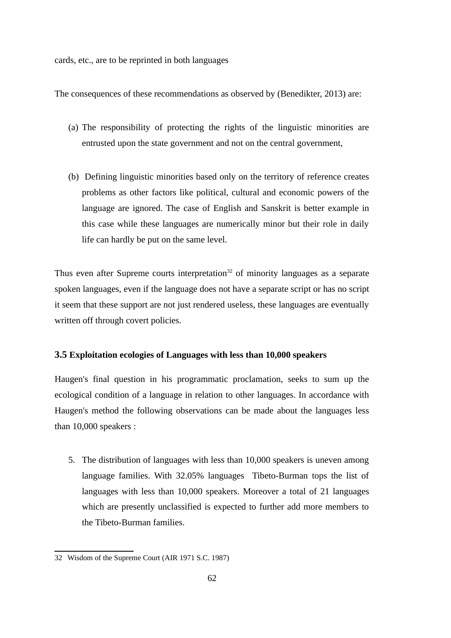cards, etc., are to be reprinted in both languages

The consequences of these recommendations as observed by (Benedikter, 2013) are:

- (a) The responsibility of protecting the rights of the linguistic minorities are entrusted upon the state government and not on the central government,
- (b) Defining linguistic minorities based only on the territory of reference creates problems as other factors like political, cultural and economic powers of the language are ignored. The case of English and Sanskrit is better example in this case while these languages are numerically minor but their role in daily life can hardly be put on the same level.

Thus even after Supreme courts interpretation<sup>[32](#page-71-0)</sup> of minority languages as a separate spoken languages, even if the language does not have a separate script or has no script it seem that these support are not just rendered useless, these languages are eventually written off through covert policies.

### **3.5 Exploitation ecologies of Languages with less than 10,000 speakers**

Haugen's final question in his programmatic proclamation, seeks to sum up the ecological condition of a language in relation to other languages. In accordance with Haugen's method the following observations can be made about the languages less than 10,000 speakers :

5. The distribution of languages with less than 10,000 speakers is uneven among language families. With 32.05% languages Tibeto-Burman tops the list of languages with less than 10,000 speakers. Moreover a total of 21 languages which are presently unclassified is expected to further add more members to the Tibeto-Burman families.

<span id="page-71-0"></span><sup>32</sup> Wisdom of the Supreme Court (AIR 1971 S.C. 1987)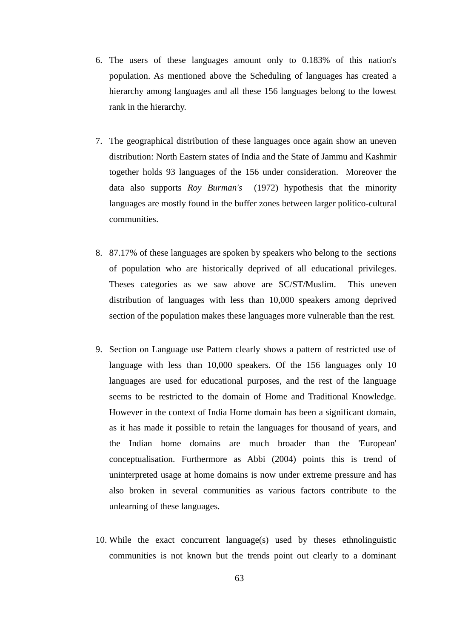- 6. The users of these languages amount only to 0.183% of this nation's population. As mentioned above the Scheduling of languages has created a hierarchy among languages and all these 156 languages belong to the lowest rank in the hierarchy.
- 7. The geographical distribution of these languages once again show an uneven distribution: North Eastern states of India and the State of Jammu and Kashmir together holds 93 languages of the 156 under consideration. Moreover the data also supports *Roy Burman's* (1972) hypothesis that the minority languages are mostly found in the buffer zones between larger politico-cultural communities.
- 8. 87.17% of these languages are spoken by speakers who belong to the sections of population who are historically deprived of all educational privileges. Theses categories as we saw above are SC/ST/Muslim. This uneven distribution of languages with less than 10,000 speakers among deprived section of the population makes these languages more vulnerable than the rest.
- 9. Section on Language use Pattern clearly shows a pattern of restricted use of language with less than 10,000 speakers. Of the 156 languages only 10 languages are used for educational purposes, and the rest of the language seems to be restricted to the domain of Home and Traditional Knowledge. However in the context of India Home domain has been a significant domain, as it has made it possible to retain the languages for thousand of years, and the Indian home domains are much broader than the 'European' conceptualisation. Furthermore as Abbi (2004) points this is trend of uninterpreted usage at home domains is now under extreme pressure and has also broken in several communities as various factors contribute to the unlearning of these languages.
- 10. While the exact concurrent language(s) used by theses ethnolinguistic communities is not known but the trends point out clearly to a dominant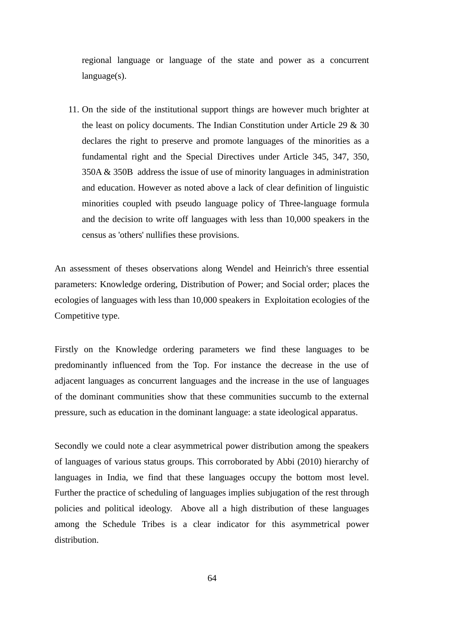regional language or language of the state and power as a concurrent language(s).

11. On the side of the institutional support things are however much brighter at the least on policy documents. The Indian Constitution under Article 29 & 30 declares the right to preserve and promote languages of the minorities as a fundamental right and the Special Directives under Article 345, 347, 350, 350A & 350B address the issue of use of minority languages in administration and education. However as noted above a lack of clear definition of linguistic minorities coupled with pseudo language policy of Three-language formula and the decision to write off languages with less than 10,000 speakers in the census as 'others' nullifies these provisions.

An assessment of theses observations along Wendel and Heinrich's three essential parameters: Knowledge ordering, Distribution of Power; and Social order; places the ecologies of languages with less than 10,000 speakers in Exploitation ecologies of the Competitive type.

Firstly on the Knowledge ordering parameters we find these languages to be predominantly influenced from the Top. For instance the decrease in the use of adjacent languages as concurrent languages and the increase in the use of languages of the dominant communities show that these communities succumb to the external pressure, such as education in the dominant language: a state ideological apparatus.

Secondly we could note a clear asymmetrical power distribution among the speakers of languages of various status groups. This corroborated by Abbi (2010) hierarchy of languages in India, we find that these languages occupy the bottom most level. Further the practice of scheduling of languages implies subjugation of the rest through policies and political ideology. Above all a high distribution of these languages among the Schedule Tribes is a clear indicator for this asymmetrical power distribution.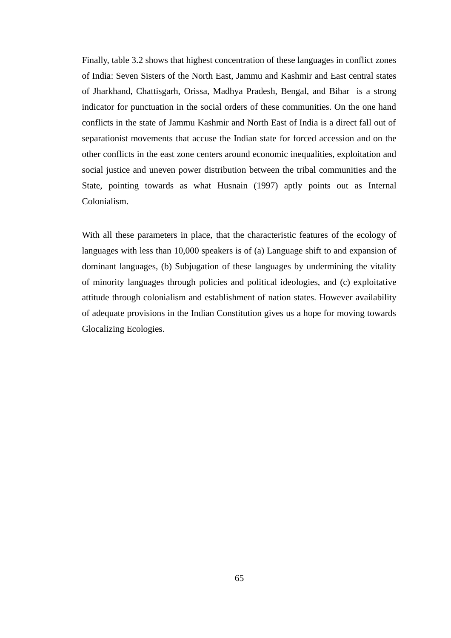Finally, table 3.2 shows that highest concentration of these languages in conflict zones of India: Seven Sisters of the North East, Jammu and Kashmir and East central states of Jharkhand, Chattisgarh, Orissa, Madhya Pradesh, Bengal, and Bihar is a strong indicator for punctuation in the social orders of these communities. On the one hand conflicts in the state of Jammu Kashmir and North East of India is a direct fall out of separationist movements that accuse the Indian state for forced accession and on the other conflicts in the east zone centers around economic inequalities, exploitation and social justice and uneven power distribution between the tribal communities and the State, pointing towards as what Husnain (1997) aptly points out as Internal Colonialism.

With all these parameters in place, that the characteristic features of the ecology of languages with less than 10,000 speakers is of (a) Language shift to and expansion of dominant languages, (b) Subjugation of these languages by undermining the vitality of minority languages through policies and political ideologies, and (c) exploitative attitude through colonialism and establishment of nation states. However availability of adequate provisions in the Indian Constitution gives us a hope for moving towards Glocalizing Ecologies.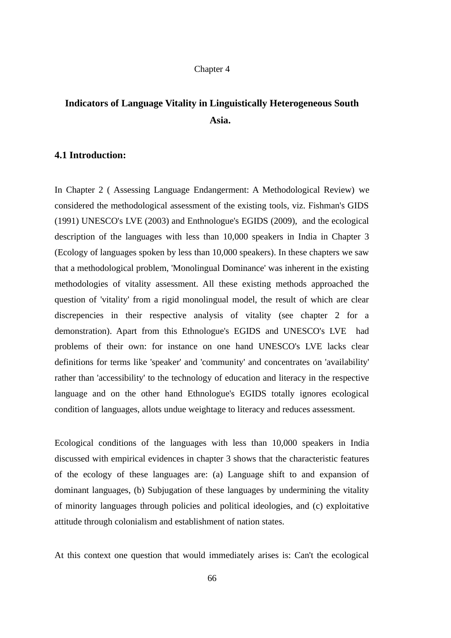#### Chapter 4

# **Indicators of Language Vitality in Linguistically Heterogeneous South Asia.**

## **4.1 Introduction:**

In Chapter 2 ( Assessing Language Endangerment: A Methodological Review) we considered the methodological assessment of the existing tools, viz. Fishman's GIDS (1991) UNESCO's LVE (2003) and Enthnologue's EGIDS (2009), and the ecological description of the languages with less than 10,000 speakers in India in Chapter 3 (Ecology of languages spoken by less than 10,000 speakers). In these chapters we saw that a methodological problem, 'Monolingual Dominance' was inherent in the existing methodologies of vitality assessment. All these existing methods approached the question of 'vitality' from a rigid monolingual model, the result of which are clear discrepencies in their respective analysis of vitality (see chapter 2 for a demonstration). Apart from this Ethnologue's EGIDS and UNESCO's LVE had problems of their own: for instance on one hand UNESCO's LVE lacks clear definitions for terms like 'speaker' and 'community' and concentrates on 'availability' rather than 'accessibility' to the technology of education and literacy in the respective language and on the other hand Ethnologue's EGIDS totally ignores ecological condition of languages, allots undue weightage to literacy and reduces assessment.

Ecological conditions of the languages with less than 10,000 speakers in India discussed with empirical evidences in chapter 3 shows that the characteristic features of the ecology of these languages are: (a) Language shift to and expansion of dominant languages, (b) Subjugation of these languages by undermining the vitality of minority languages through policies and political ideologies, and (c) exploitative attitude through colonialism and establishment of nation states.

At this context one question that would immediately arises is: Can't the ecological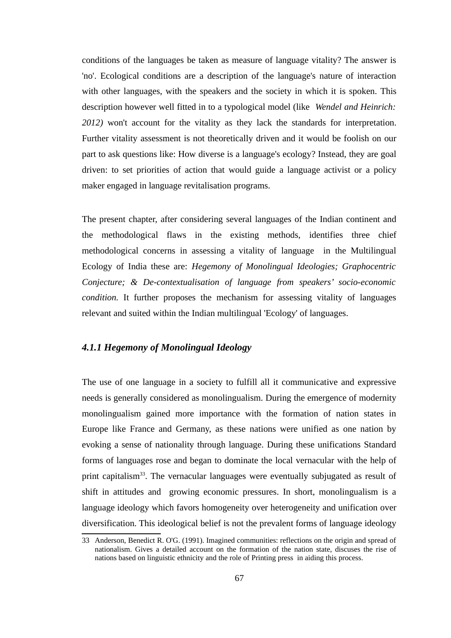conditions of the languages be taken as measure of language vitality? The answer is 'no'. Ecological conditions are a description of the language's nature of interaction with other languages, with the speakers and the society in which it is spoken. This description however well fitted in to a typological model (like *Wendel and Heinrich: 2012)* won't account for the vitality as they lack the standards for interpretation. Further vitality assessment is not theoretically driven and it would be foolish on our part to ask questions like: How diverse is a language's ecology? Instead, they are goal driven: to set priorities of action that would guide a language activist or a policy maker engaged in language revitalisation programs.

The present chapter, after considering several languages of the Indian continent and the methodological flaws in the existing methods, identifies three chief methodological concerns in assessing a vitality of language in the Multilingual Ecology of India these are: *Hegemony of Monolingual Ideologies; Graphocentric Conjecture; & De-contextualisation of language from speakers' socio-economic condition.* It further proposes the mechanism for assessing vitality of languages relevant and suited within the Indian multilingual 'Ecology' of languages.

## *4.1.1 Hegemony of Monolingual Ideology*

The use of one language in a society to fulfill all it communicative and expressive needs is generally considered as monolingualism. During the emergence of modernity monolingualism gained more importance with the formation of nation states in Europe like France and Germany, as these nations were unified as one nation by evoking a sense of nationality through language. During these unifications Standard forms of languages rose and began to dominate the local vernacular with the help of print capitalism<sup>[33](#page-76-0)</sup>. The vernacular languages were eventually subjugated as result of shift in attitudes and growing economic pressures. In short, monolingualism is a language ideology which favors homogeneity over heterogeneity and unification over diversification. This ideological belief is not the prevalent forms of language ideology

<span id="page-76-0"></span><sup>33</sup> Anderson, Benedict R. O'G. (1991). Imagined communities: reflections on the origin and spread of nationalism. Gives a detailed account on the formation of the nation state, discuses the rise of nations based on linguistic ethnicity and the role of Printing press in aiding this process.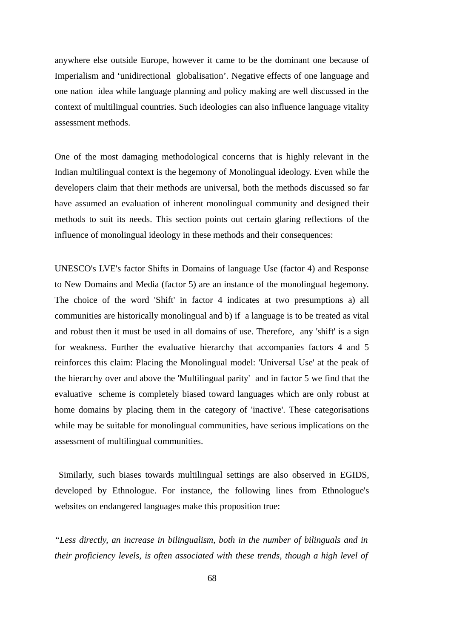anywhere else outside Europe, however it came to be the dominant one because of Imperialism and 'unidirectional globalisation'. Negative effects of one language and one nation idea while language planning and policy making are well discussed in the context of multilingual countries. Such ideologies can also influence language vitality assessment methods.

One of the most damaging methodological concerns that is highly relevant in the Indian multilingual context is the hegemony of Monolingual ideology. Even while the developers claim that their methods are universal, both the methods discussed so far have assumed an evaluation of inherent monolingual community and designed their methods to suit its needs. This section points out certain glaring reflections of the influence of monolingual ideology in these methods and their consequences:

UNESCO's LVE's factor Shifts in Domains of language Use (factor 4) and Response to New Domains and Media (factor 5) are an instance of the monolingual hegemony. The choice of the word 'Shift' in factor 4 indicates at two presumptions a) all communities are historically monolingual and b) if a language is to be treated as vital and robust then it must be used in all domains of use. Therefore, any 'shift' is a sign for weakness. Further the evaluative hierarchy that accompanies factors 4 and 5 reinforces this claim: Placing the Monolingual model: 'Universal Use' at the peak of the hierarchy over and above the 'Multilingual parity' and in factor 5 we find that the evaluative scheme is completely biased toward languages which are only robust at home domains by placing them in the category of 'inactive'. These categorisations while may be suitable for monolingual communities, have serious implications on the assessment of multilingual communities.

 Similarly, such biases towards multilingual settings are also observed in EGIDS, developed by Ethnologue. For instance, the following lines from Ethnologue's websites on endangered languages make this proposition true:

*"Less directly, an increase in bilingualism, both in the number of bilinguals and in their proficiency levels, is often associated with these trends, though a high level of*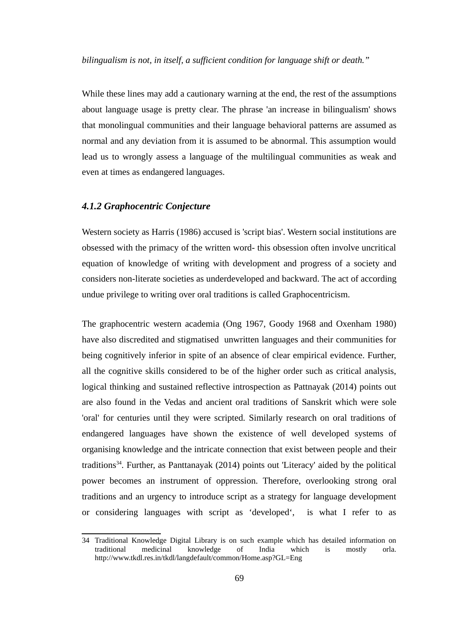*bilingualism is not, in itself, a sufficient condition for language shift or death."*

While these lines may add a cautionary warning at the end, the rest of the assumptions about language usage is pretty clear. The phrase 'an increase in bilingualism' shows that monolingual communities and their language behavioral patterns are assumed as normal and any deviation from it is assumed to be abnormal. This assumption would lead us to wrongly assess a language of the multilingual communities as weak and even at times as endangered languages.

#### *4.1.2 Graphocentric Conjecture*

Western society as Harris (1986) accused is 'script bias'. Western social institutions are obsessed with the primacy of the written word- this obsession often involve uncritical equation of knowledge of writing with development and progress of a society and considers non-literate societies as underdeveloped and backward. The act of according undue privilege to writing over oral traditions is called Graphocentricism.

The graphocentric western academia (Ong 1967, Goody 1968 and Oxenham 1980) have also discredited and stigmatised unwritten languages and their communities for being cognitively inferior in spite of an absence of clear empirical evidence. Further, all the cognitive skills considered to be of the higher order such as critical analysis, logical thinking and sustained reflective introspection as Pattnayak (2014) points out are also found in the Vedas and ancient oral traditions of Sanskrit which were sole 'oral' for centuries until they were scripted. Similarly research on oral traditions of endangered languages have shown the existence of well developed systems of organising knowledge and the intricate connection that exist between people and their traditions<sup>[34](#page-78-0)</sup>. Further, as Panttanayak (2014) points out 'Literacy' aided by the political power becomes an instrument of oppression. Therefore, overlooking strong oral traditions and an urgency to introduce script as a strategy for language development or considering languages with script as 'developed', is what I refer to as

<span id="page-78-0"></span><sup>34</sup> Traditional Knowledge Digital Library is on such example which has detailed information on traditional medicinal knowledge of India which is mostly orla. http://www.tkdl.res.in/tkdl/langdefault/common/Home.asp?GL=Eng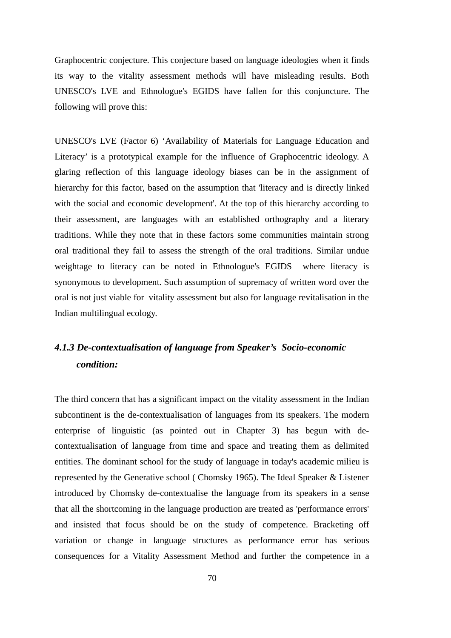Graphocentric conjecture. This conjecture based on language ideologies when it finds its way to the vitality assessment methods will have misleading results. Both UNESCO's LVE and Ethnologue's EGIDS have fallen for this conjuncture. The following will prove this:

UNESCO's LVE (Factor 6) 'Availability of Materials for Language Education and Literacy' is a prototypical example for the influence of Graphocentric ideology. A glaring reflection of this language ideology biases can be in the assignment of hierarchy for this factor, based on the assumption that 'literacy and is directly linked with the social and economic development'. At the top of this hierarchy according to their assessment, are languages with an established orthography and a literary traditions. While they note that in these factors some communities maintain strong oral traditional they fail to assess the strength of the oral traditions. Similar undue weightage to literacy can be noted in Ethnologue's EGIDS where literacy is synonymous to development. Such assumption of supremacy of written word over the oral is not just viable for vitality assessment but also for language revitalisation in the Indian multilingual ecology.

# *4.1.3 De-contextualisation of language from Speaker's Socio-economic condition:*

The third concern that has a significant impact on the vitality assessment in the Indian subcontinent is the de-contextualisation of languages from its speakers. The modern enterprise of linguistic (as pointed out in Chapter 3) has begun with decontextualisation of language from time and space and treating them as delimited entities. The dominant school for the study of language in today's academic milieu is represented by the Generative school ( Chomsky 1965). The Ideal Speaker & Listener introduced by Chomsky de-contextualise the language from its speakers in a sense that all the shortcoming in the language production are treated as 'performance errors' and insisted that focus should be on the study of competence. Bracketing off variation or change in language structures as performance error has serious consequences for a Vitality Assessment Method and further the competence in a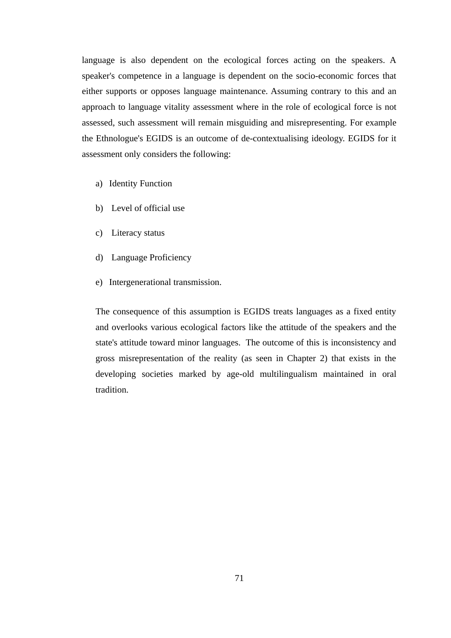language is also dependent on the ecological forces acting on the speakers. A speaker's competence in a language is dependent on the socio-economic forces that either supports or opposes language maintenance. Assuming contrary to this and an approach to language vitality assessment where in the role of ecological force is not assessed, such assessment will remain misguiding and misrepresenting. For example the Ethnologue's EGIDS is an outcome of de-contextualising ideology. EGIDS for it assessment only considers the following:

- a) Identity Function
- b) Level of official use
- c) Literacy status
- d) Language Proficiency
- e) Intergenerational transmission.

The consequence of this assumption is EGIDS treats languages as a fixed entity and overlooks various ecological factors like the attitude of the speakers and the state's attitude toward minor languages. The outcome of this is inconsistency and gross misrepresentation of the reality (as seen in Chapter 2) that exists in the developing societies marked by age-old multilingualism maintained in oral tradition.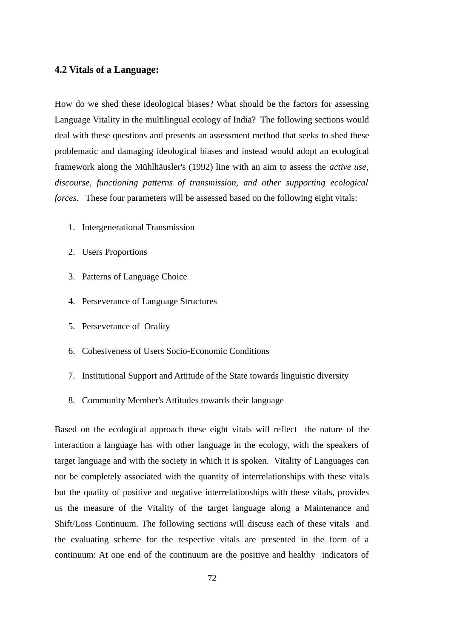#### **4.2 Vitals of a Language:**

How do we shed these ideological biases? What should be the factors for assessing Language Vitality in the multilingual ecology of India? The following sections would deal with these questions and presents an assessment method that seeks to shed these problematic and damaging ideological biases and instead would adopt an ecological framework along the Mühlhäusler's (1992) line with an aim to assess the *active use, discourse, functioning patterns of transmission, and other supporting ecological forces.* These four parameters will be assessed based on the following eight vitals:

- 1. Intergenerational Transmission
- 2. Users Proportions
- 3. Patterns of Language Choice
- 4. Perseverance of Language Structures
- 5. Perseverance of Orality
- 6. Cohesiveness of Users Socio-Economic Conditions
- 7. Institutional Support and Attitude of the State towards linguistic diversity
- 8. Community Member's Attitudes towards their language

Based on the ecological approach these eight vitals will reflect the nature of the interaction a language has with other language in the ecology, with the speakers of target language and with the society in which it is spoken. Vitality of Languages can not be completely associated with the quantity of interrelationships with these vitals but the quality of positive and negative interrelationships with these vitals, provides us the measure of the Vitality of the target language along a Maintenance and Shift/Loss Continuum. The following sections will discuss each of these vitals and the evaluating scheme for the respective vitals are presented in the form of a continuum: At one end of the continuum are the positive and healthy indicators of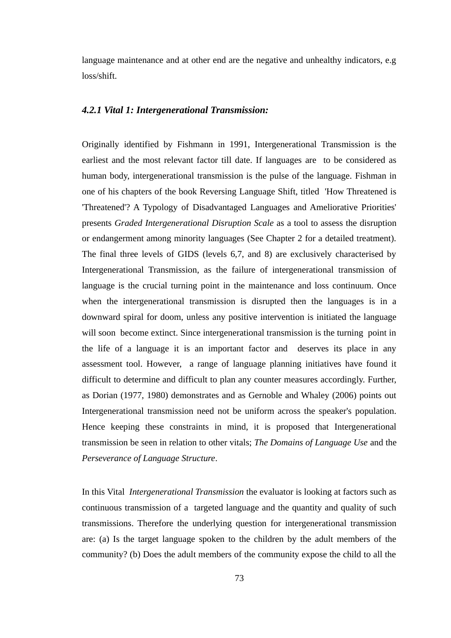language maintenance and at other end are the negative and unhealthy indicators, e.g loss/shift.

#### *4.2.1 Vital 1: Intergenerational Transmission:*

Originally identified by Fishmann in 1991, Intergenerational Transmission is the earliest and the most relevant factor till date. If languages are to be considered as human body, intergenerational transmission is the pulse of the language. Fishman in one of his chapters of the book Reversing Language Shift, titled 'How Threatened is 'Threatened'? A Typology of Disadvantaged Languages and Ameliorative Priorities' presents *Graded Intergenerational Disruption Scale* as a tool to assess the disruption or endangerment among minority languages (See Chapter 2 for a detailed treatment). The final three levels of GIDS (levels 6,7, and 8) are exclusively characterised by Intergenerational Transmission, as the failure of intergenerational transmission of language is the crucial turning point in the maintenance and loss continuum. Once when the intergenerational transmission is disrupted then the languages is in a downward spiral for doom, unless any positive intervention is initiated the language will soon become extinct. Since intergenerational transmission is the turning point in the life of a language it is an important factor and deserves its place in any assessment tool. However, a range of language planning initiatives have found it difficult to determine and difficult to plan any counter measures accordingly. Further, as Dorian (1977, 1980) demonstrates and as Gernoble and Whaley (2006) points out Intergenerational transmission need not be uniform across the speaker's population. Hence keeping these constraints in mind, it is proposed that Intergenerational transmission be seen in relation to other vitals; *The Domains of Language Use* and the *Perseverance of Language Structure*.

In this Vital *Intergenerational Transmission* the evaluator is looking at factors such as continuous transmission of a targeted language and the quantity and quality of such transmissions. Therefore the underlying question for intergenerational transmission are: (a) Is the target language spoken to the children by the adult members of the community? (b) Does the adult members of the community expose the child to all the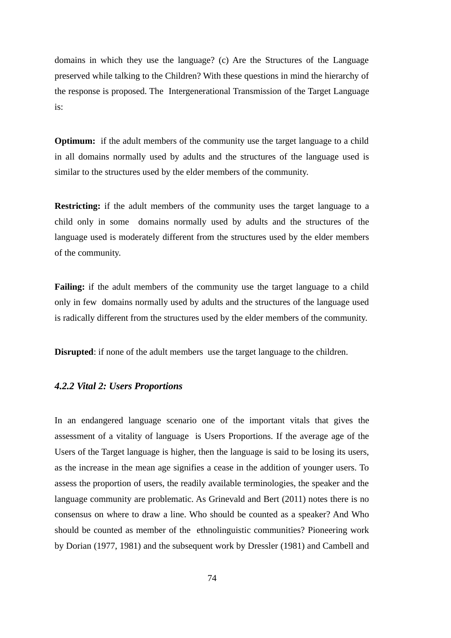domains in which they use the language? (c) Are the Structures of the Language preserved while talking to the Children? With these questions in mind the hierarchy of the response is proposed. The Intergenerational Transmission of the Target Language is:

**Optimum:** if the adult members of the community use the target language to a child in all domains normally used by adults and the structures of the language used is similar to the structures used by the elder members of the community.

**Restricting:** if the adult members of the community uses the target language to a child only in some domains normally used by adults and the structures of the language used is moderately different from the structures used by the elder members of the community.

**Failing:** if the adult members of the community use the target language to a child only in few domains normally used by adults and the structures of the language used is radically different from the structures used by the elder members of the community.

**Disrupted**: if none of the adult members use the target language to the children.

### *4.2.2 Vital 2: Users Proportions*

In an endangered language scenario one of the important vitals that gives the assessment of a vitality of language is Users Proportions. If the average age of the Users of the Target language is higher, then the language is said to be losing its users, as the increase in the mean age signifies a cease in the addition of younger users. To assess the proportion of users, the readily available terminologies, the speaker and the language community are problematic. As Grinevald and Bert (2011) notes there is no consensus on where to draw a line. Who should be counted as a speaker? And Who should be counted as member of the ethnolinguistic communities? Pioneering work by Dorian (1977, 1981) and the subsequent work by Dressler (1981) and Cambell and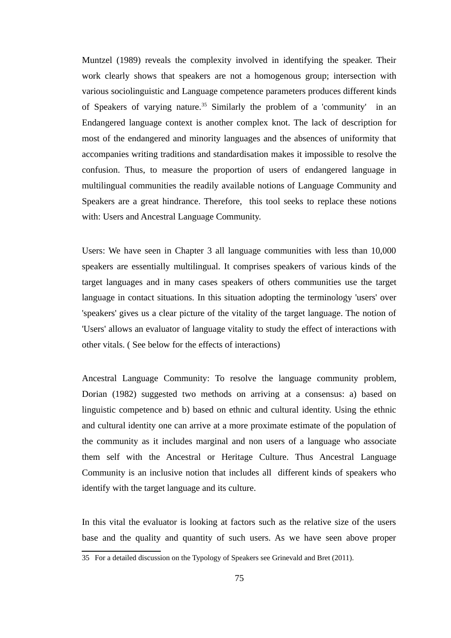Muntzel (1989) reveals the complexity involved in identifying the speaker. Their work clearly shows that speakers are not a homogenous group; intersection with various sociolinguistic and Language competence parameters produces different kinds of Speakers of varying nature.<sup>[35](#page-84-0)</sup> Similarly the problem of a 'community' in an Endangered language context is another complex knot. The lack of description for most of the endangered and minority languages and the absences of uniformity that accompanies writing traditions and standardisation makes it impossible to resolve the confusion. Thus, to measure the proportion of users of endangered language in multilingual communities the readily available notions of Language Community and Speakers are a great hindrance. Therefore, this tool seeks to replace these notions with: Users and Ancestral Language Community.

Users: We have seen in Chapter 3 all language communities with less than 10,000 speakers are essentially multilingual. It comprises speakers of various kinds of the target languages and in many cases speakers of others communities use the target language in contact situations. In this situation adopting the terminology 'users' over 'speakers' gives us a clear picture of the vitality of the target language. The notion of 'Users' allows an evaluator of language vitality to study the effect of interactions with other vitals. ( See below for the effects of interactions)

Ancestral Language Community: To resolve the language community problem, Dorian (1982) suggested two methods on arriving at a consensus: a) based on linguistic competence and b) based on ethnic and cultural identity. Using the ethnic and cultural identity one can arrive at a more proximate estimate of the population of the community as it includes marginal and non users of a language who associate them self with the Ancestral or Heritage Culture. Thus Ancestral Language Community is an inclusive notion that includes all different kinds of speakers who identify with the target language and its culture.

In this vital the evaluator is looking at factors such as the relative size of the users base and the quality and quantity of such users. As we have seen above proper

<span id="page-84-0"></span><sup>35</sup> For a detailed discussion on the Typology of Speakers see Grinevald and Bret (2011).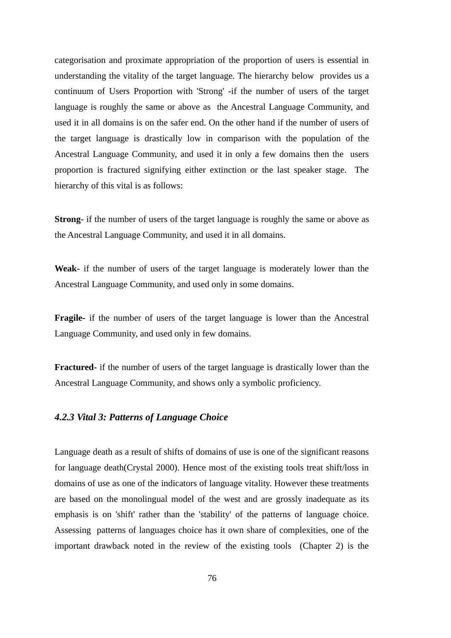categorisation and proximate appropriation of the proportion of users is essential in understanding the vitality of the target language. The hierarchy below provides us a continuum of Users Proportion with 'Strong' -if the number of users of the target language is roughly the same or above as the Ancestral Language Community, and used it in all domains is on the safer end. On the other hand if the number of users of the target language is drastically low in comparison with the population of the Ancestral Language Community, and used it in only a few domains then the users proportion is fractured signifying either extinction or the last speaker stage. The hierarchy of this vital is as follows:

**Strong**- if the number of users of the target language is roughly the same or above as the Ancestral Language Community, and used it in all domains.

**Weak-** if the number of users of the target language is moderately lower than the Ancestral Language Community, and used only in some domains.

**Fragile-** if the number of users of the target language is lower than the Ancestral Language Community, and used only in few domains.

**Fractured-** if the number of users of the target language is drastically lower than the Ancestral Language Community, and shows only a symbolic proficiency.

## *4.2.3 Vital 3: Patterns of Language Choice*

Language death as a result of shifts of domains of use is one of the significant reasons for language death(Crystal 2000). Hence most of the existing tools treat shift/loss in domains of use as one of the indicators of language vitality. However these treatments are based on the monolingual model of the west and are grossly inadequate as its emphasis is on 'shift' rather than the 'stability' of the patterns of language choice. Assessing patterns of languages choice has it own share of complexities, one of the important drawback noted in the review of the existing tools (Chapter 2) is the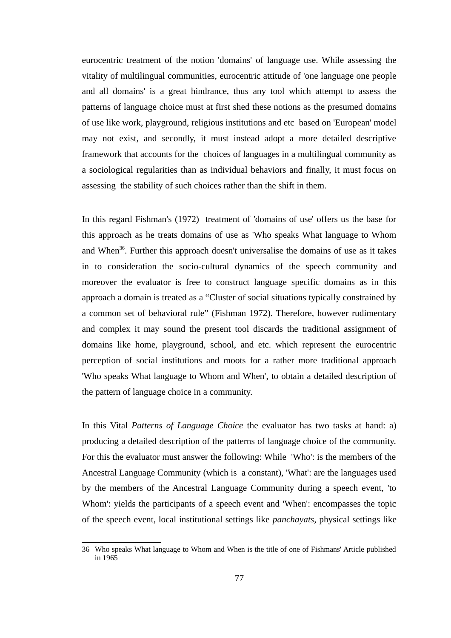eurocentric treatment of the notion 'domains' of language use. While assessing the vitality of multilingual communities, eurocentric attitude of 'one language one people and all domains' is a great hindrance, thus any tool which attempt to assess the patterns of language choice must at first shed these notions as the presumed domains of use like work, playground, religious institutions and etc based on 'European' model may not exist, and secondly, it must instead adopt a more detailed descriptive framework that accounts for the choices of languages in a multilingual community as a sociological regularities than as individual behaviors and finally, it must focus on assessing the stability of such choices rather than the shift in them.

In this regard Fishman's (1972) treatment of 'domains of use' offers us the base for this approach as he treats domains of use as 'Who speaks What language to Whom and When<sup>[36](#page-86-0)</sup>. Further this approach doesn't universalise the domains of use as it takes in to consideration the socio-cultural dynamics of the speech community and moreover the evaluator is free to construct language specific domains as in this approach a domain is treated as a "Cluster of social situations typically constrained by a common set of behavioral rule" (Fishman 1972). Therefore, however rudimentary and complex it may sound the present tool discards the traditional assignment of domains like home, playground, school, and etc. which represent the eurocentric perception of social institutions and moots for a rather more traditional approach 'Who speaks What language to Whom and When', to obtain a detailed description of the pattern of language choice in a community.

In this Vital *Patterns of Language Choice* the evaluator has two tasks at hand: a) producing a detailed description of the patterns of language choice of the community. For this the evaluator must answer the following: While 'Who': is the members of the Ancestral Language Community (which is a constant), 'What': are the languages used by the members of the Ancestral Language Community during a speech event, 'to Whom': yields the participants of a speech event and 'When': encompasses the topic of the speech event, local institutional settings like *panchayats,* physical settings like

<span id="page-86-0"></span><sup>36</sup> Who speaks What language to Whom and When is the title of one of Fishmans' Article published in 1965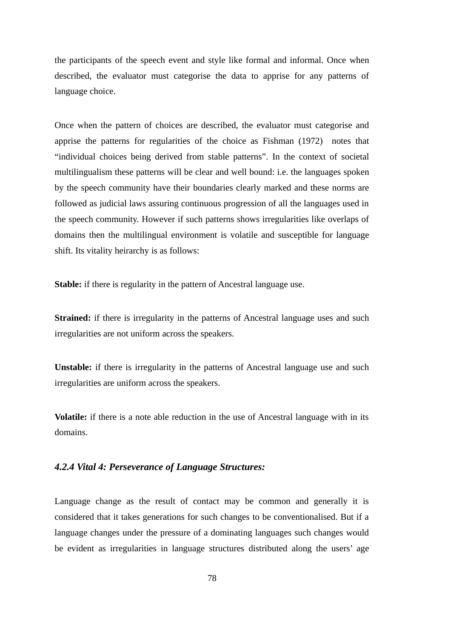the participants of the speech event and style like formal and informal. Once when described, the evaluator must categorise the data to apprise for any patterns of language choice.

Once when the pattern of choices are described, the evaluator must categorise and apprise the patterns for regularities of the choice as Fishman (1972) notes that "individual choices being derived from stable patterns". In the context of societal multilingualism these patterns will be clear and well bound: i.e. the languages spoken by the speech community have their boundaries clearly marked and these norms are followed as judicial laws assuring continuous progression of all the languages used in the speech community. However if such patterns shows irregularities like overlaps of domains then the multilingual environment is volatile and susceptible for language shift. Its vitality heirarchy is as follows:

**Stable:** if there is regularity in the pattern of Ancestral language use.

Strained: if there is irregularity in the patterns of Ancestral language uses and such irregularities are not uniform across the speakers.

**Unstable:** if there is irregularity in the patterns of Ancestral language use and such irregularities are uniform across the speakers.

**Volatile:** if there is a note able reduction in the use of Ancestral language with in its domains.

#### *4.2.4 Vital 4: Perseverance of Language Structures:*

Language change as the result of contact may be common and generally it is considered that it takes generations for such changes to be conventionalised. But if a language changes under the pressure of a dominating languages such changes would be evident as irregularities in language structures distributed along the users' age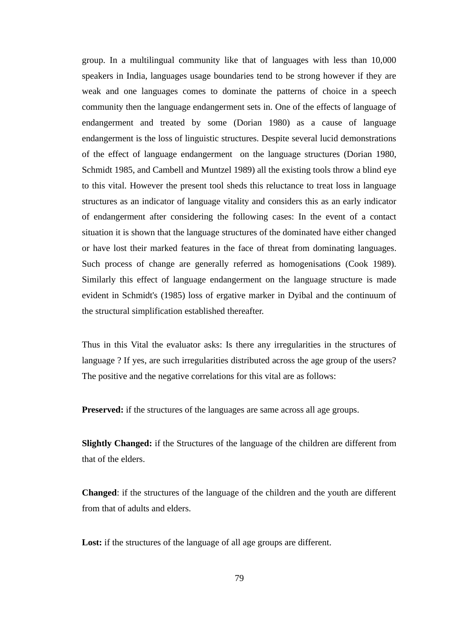group. In a multilingual community like that of languages with less than 10,000 speakers in India, languages usage boundaries tend to be strong however if they are weak and one languages comes to dominate the patterns of choice in a speech community then the language endangerment sets in. One of the effects of language of endangerment and treated by some (Dorian 1980) as a cause of language endangerment is the loss of linguistic structures. Despite several lucid demonstrations of the effect of language endangerment on the language structures (Dorian 1980, Schmidt 1985, and Cambell and Muntzel 1989) all the existing tools throw a blind eye to this vital. However the present tool sheds this reluctance to treat loss in language structures as an indicator of language vitality and considers this as an early indicator of endangerment after considering the following cases: In the event of a contact situation it is shown that the language structures of the dominated have either changed or have lost their marked features in the face of threat from dominating languages. Such process of change are generally referred as homogenisations (Cook 1989). Similarly this effect of language endangerment on the language structure is made evident in Schmidt's (1985) loss of ergative marker in Dyibal and the continuum of the structural simplification established thereafter.

Thus in this Vital the evaluator asks: Is there any irregularities in the structures of language ? If yes, are such irregularities distributed across the age group of the users? The positive and the negative correlations for this vital are as follows:

**Preserved:** if the structures of the languages are same across all age groups.

**Slightly Changed:** if the Structures of the language of the children are different from that of the elders.

**Changed**: if the structures of the language of the children and the youth are different from that of adults and elders.

**Lost:** if the structures of the language of all age groups are different.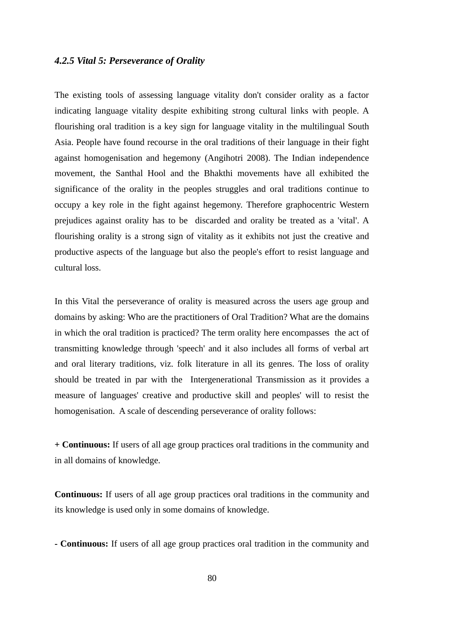### *4.2.5 Vital 5: Perseverance of Orality*

The existing tools of assessing language vitality don't consider orality as a factor indicating language vitality despite exhibiting strong cultural links with people. A flourishing oral tradition is a key sign for language vitality in the multilingual South Asia. People have found recourse in the oral traditions of their language in their fight against homogenisation and hegemony (Angihotri 2008). The Indian independence movement, the Santhal Hool and the Bhakthi movements have all exhibited the significance of the orality in the peoples struggles and oral traditions continue to occupy a key role in the fight against hegemony. Therefore graphocentric Western prejudices against orality has to be discarded and orality be treated as a 'vital'. A flourishing orality is a strong sign of vitality as it exhibits not just the creative and productive aspects of the language but also the people's effort to resist language and cultural loss.

In this Vital the perseverance of orality is measured across the users age group and domains by asking: Who are the practitioners of Oral Tradition? What are the domains in which the oral tradition is practiced? The term orality here encompasses the act of transmitting knowledge through 'speech' and it also includes all forms of verbal art and oral literary traditions, viz. folk literature in all its genres. The loss of orality should be treated in par with the Intergenerational Transmission as it provides a measure of languages' creative and productive skill and peoples' will to resist the homogenisation. A scale of descending perseverance of orality follows:

**+ Continuous:** If users of all age group practices oral traditions in the community and in all domains of knowledge.

**Continuous:** If users of all age group practices oral traditions in the community and its knowledge is used only in some domains of knowledge.

**- Continuous:** If users of all age group practices oral tradition in the community and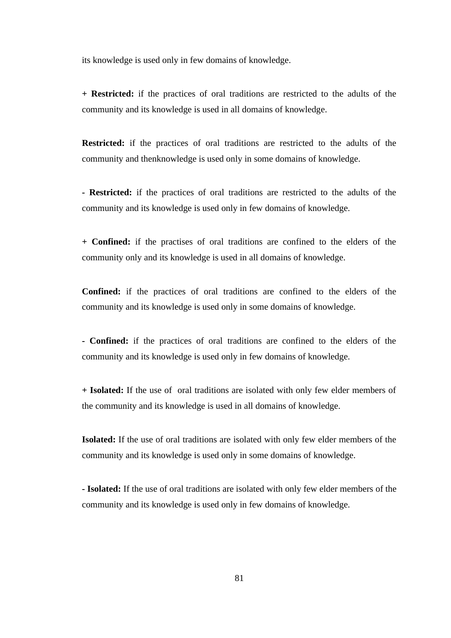its knowledge is used only in few domains of knowledge.

**+ Restricted:** if the practices of oral traditions are restricted to the adults of the community and its knowledge is used in all domains of knowledge.

**Restricted:** if the practices of oral traditions are restricted to the adults of the community and thenknowledge is used only in some domains of knowledge.

**- Restricted:** if the practices of oral traditions are restricted to the adults of the community and its knowledge is used only in few domains of knowledge.

**+ Confined:** if the practises of oral traditions are confined to the elders of the community only and its knowledge is used in all domains of knowledge.

**Confined:** if the practices of oral traditions are confined to the elders of the community and its knowledge is used only in some domains of knowledge.

**- Confined:** if the practices of oral traditions are confined to the elders of the community and its knowledge is used only in few domains of knowledge.

**+ Isolated:** If the use of oral traditions are isolated with only few elder members of the community and its knowledge is used in all domains of knowledge.

**Isolated:** If the use of oral traditions are isolated with only few elder members of the community and its knowledge is used only in some domains of knowledge.

**- Isolated:** If the use of oral traditions are isolated with only few elder members of the community and its knowledge is used only in few domains of knowledge.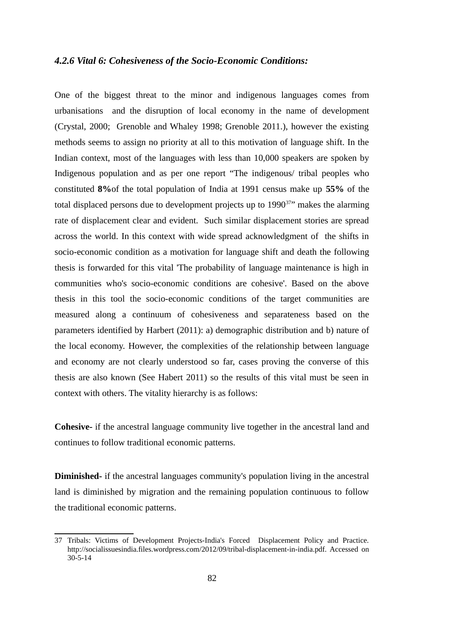### *4.2.6 Vital 6: Cohesiveness of the Socio-Economic Conditions:*

One of the biggest threat to the minor and indigenous languages comes from urbanisations and the disruption of local economy in the name of development (Crystal, 2000; Grenoble and Whaley 1998; Grenoble 2011.), however the existing methods seems to assign no priority at all to this motivation of language shift. In the Indian context, most of the languages with less than 10,000 speakers are spoken by Indigenous population and as per one report "The indigenous/ tribal peoples who constituted **8%**of the total population of India at 1991 census make up **55%** of the total displaced persons due to development projects up to  $1990^{37}$  $1990^{37}$  $1990^{37}$ " makes the alarming rate of displacement clear and evident. Such similar displacement stories are spread across the world. In this context with wide spread acknowledgment of the shifts in socio-economic condition as a motivation for language shift and death the following thesis is forwarded for this vital 'The probability of language maintenance is high in communities who's socio-economic conditions are cohesive'. Based on the above thesis in this tool the socio-economic conditions of the target communities are measured along a continuum of cohesiveness and separateness based on the parameters identified by Harbert (2011): a) demographic distribution and b) nature of the local economy. However, the complexities of the relationship between language and economy are not clearly understood so far, cases proving the converse of this thesis are also known (See Habert 2011) so the results of this vital must be seen in context with others. The vitality hierarchy is as follows:

**Cohesive-** if the ancestral language community live together in the ancestral land and continues to follow traditional economic patterns.

**Diminished-** if the ancestral languages community's population living in the ancestral land is diminished by migration and the remaining population continuous to follow the traditional economic patterns.

<span id="page-91-0"></span><sup>37</sup> Tribals: Victims of Development Projects-India's Forced Displacement Policy and Practice. http://socialissuesindia.files.wordpress.com/2012/09/tribal-displacement-in-india.pdf. Accessed on 30-5-14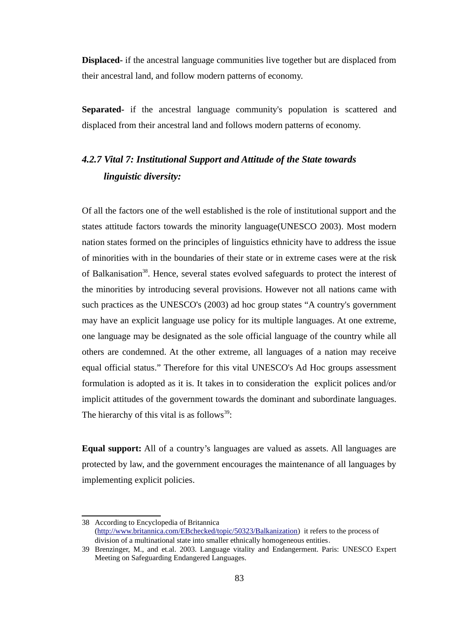**Displaced-** if the ancestral language communities live together but are displaced from their ancestral land, and follow modern patterns of economy.

**Separated-** if the ancestral language community's population is scattered and displaced from their ancestral land and follows modern patterns of economy.

# *4.2.7 Vital 7: Institutional Support and Attitude of the State towards linguistic diversity:*

Of all the factors one of the well established is the role of institutional support and the states attitude factors towards the minority language(UNESCO 2003). Most modern nation states formed on the principles of linguistics ethnicity have to address the issue of minorities with in the boundaries of their state or in extreme cases were at the risk of Balkanisation<sup>[38](#page-92-0)</sup>. Hence, several states evolved safeguards to protect the interest of the minorities by introducing several provisions. However not all nations came with such practices as the UNESCO's (2003) ad hoc group states "A country's government may have an explicit language use policy for its multiple languages. At one extreme, one language may be designated as the sole official language of the country while all others are condemned. At the other extreme, all languages of a nation may receive equal official status." Therefore for this vital UNESCO's Ad Hoc groups assessment formulation is adopted as it is. It takes in to consideration the explicit polices and/or implicit attitudes of the government towards the dominant and subordinate languages. The hierarchy of this vital is as follows<sup>[39](#page-92-1)</sup>:

**Equal support:** All of a country's languages are valued as assets. All languages are protected by law, and the government encourages the maintenance of all languages by implementing explicit policies.

<span id="page-92-0"></span><sup>38</sup> According to Encyclopedia of Britannica [\(http://www.britannica.com/EBchecked/topic/50323/Balkanization\)](http://www.britannica.com/EBchecked/topic/50323/Balkanization) it refers to the process of division of a multinational state into smaller ethnically homogeneous entities.

<span id="page-92-1"></span><sup>39</sup> Brenzinger, M., and et.al. 2003. Language vitality and Endangerment. Paris: UNESCO Expert Meeting on Safeguarding Endangered Languages.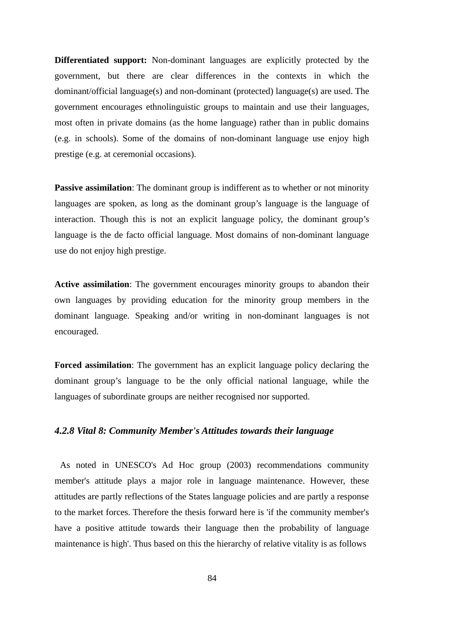**Differentiated support:** Non-dominant languages are explicitly protected by the government, but there are clear differences in the contexts in which the dominant/official language(s) and non-dominant (protected) language(s) are used. The government encourages ethnolinguistic groups to maintain and use their languages, most often in private domains (as the home language) rather than in public domains (e.g. in schools). Some of the domains of non-dominant language use enjoy high prestige (e.g. at ceremonial occasions).

**Passive assimilation:** The dominant group is indifferent as to whether or not minority languages are spoken, as long as the dominant group's language is the language of interaction. Though this is not an explicit language policy, the dominant group's language is the de facto official language. Most domains of non-dominant language use do not enjoy high prestige.

**Active assimilation**: The government encourages minority groups to abandon their own languages by providing education for the minority group members in the dominant language. Speaking and/or writing in non-dominant languages is not encouraged.

**Forced assimilation**: The government has an explicit language policy declaring the dominant group's language to be the only official national language, while the languages of subordinate groups are neither recognised nor supported.

### *4.2.8 Vital 8: Community Member's Attitudes towards their language*

 As noted in UNESCO's Ad Hoc group (2003) recommendations community member's attitude plays a major role in language maintenance. However, these attitudes are partly reflections of the States language policies and are partly a response to the market forces. Therefore the thesis forward here is 'if the community member's have a positive attitude towards their language then the probability of language maintenance is high'. Thus based on this the hierarchy of relative vitality is as follows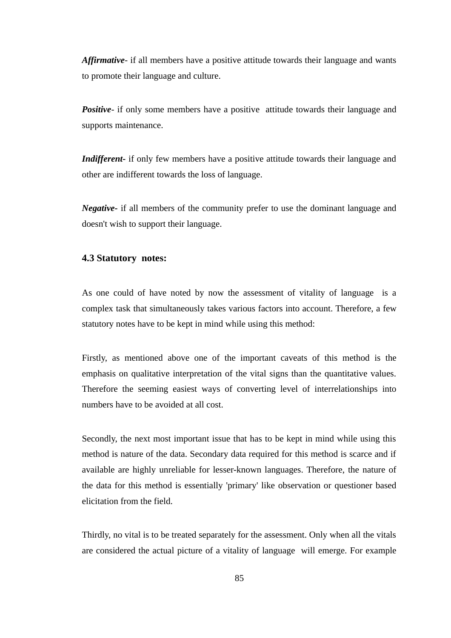*Affirmative*- if all members have a positive attitude towards their language and wants to promote their language and culture.

*Positive*- if only some members have a positive attitude towards their language and supports maintenance.

*Indifferent-* if only few members have a positive attitude towards their language and other are indifferent towards the loss of language.

*Negative-* if all members of the community prefer to use the dominant language and doesn't wish to support their language.

#### **4.3 Statutory notes:**

As one could of have noted by now the assessment of vitality of language is a complex task that simultaneously takes various factors into account. Therefore, a few statutory notes have to be kept in mind while using this method:

Firstly, as mentioned above one of the important caveats of this method is the emphasis on qualitative interpretation of the vital signs than the quantitative values. Therefore the seeming easiest ways of converting level of interrelationships into numbers have to be avoided at all cost.

Secondly, the next most important issue that has to be kept in mind while using this method is nature of the data. Secondary data required for this method is scarce and if available are highly unreliable for lesser-known languages. Therefore, the nature of the data for this method is essentially 'primary' like observation or questioner based elicitation from the field.

Thirdly, no vital is to be treated separately for the assessment. Only when all the vitals are considered the actual picture of a vitality of language will emerge. For example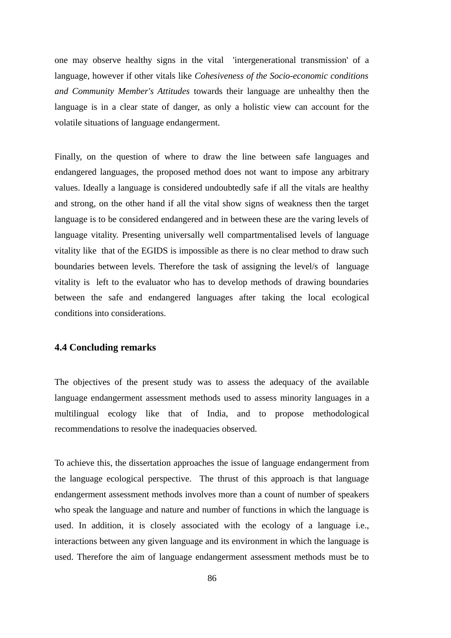one may observe healthy signs in the vital 'intergenerational transmission' of a language, however if other vitals like *Cohesiveness of the Socio-economic conditions and Community Member's Attitudes* towards their language are unhealthy then the language is in a clear state of danger, as only a holistic view can account for the volatile situations of language endangerment.

Finally, on the question of where to draw the line between safe languages and endangered languages, the proposed method does not want to impose any arbitrary values. Ideally a language is considered undoubtedly safe if all the vitals are healthy and strong, on the other hand if all the vital show signs of weakness then the target language is to be considered endangered and in between these are the varing levels of language vitality. Presenting universally well compartmentalised levels of language vitality like that of the EGIDS is impossible as there is no clear method to draw such boundaries between levels. Therefore the task of assigning the level/s of language vitality is left to the evaluator who has to develop methods of drawing boundaries between the safe and endangered languages after taking the local ecological conditions into considerations.

#### **4.4 Concluding remarks**

The objectives of the present study was to assess the adequacy of the available language endangerment assessment methods used to assess minority languages in a multilingual ecology like that of India, and to propose methodological recommendations to resolve the inadequacies observed.

To achieve this, the dissertation approaches the issue of language endangerment from the language ecological perspective. The thrust of this approach is that language endangerment assessment methods involves more than a count of number of speakers who speak the language and nature and number of functions in which the language is used. In addition, it is closely associated with the ecology of a language i.e., interactions between any given language and its environment in which the language is used. Therefore the aim of language endangerment assessment methods must be to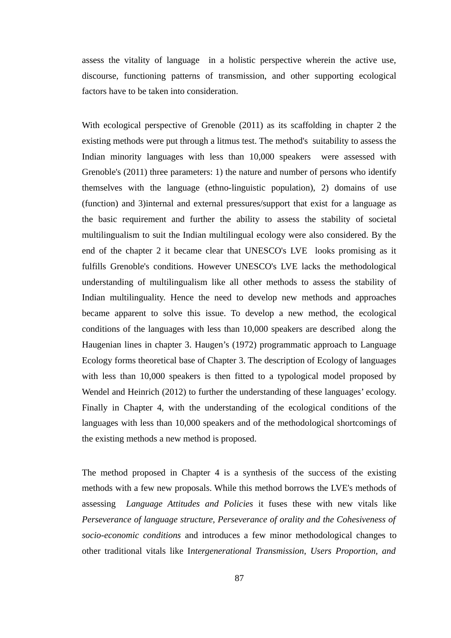assess the vitality of language in a holistic perspective wherein the active use, discourse, functioning patterns of transmission, and other supporting ecological factors have to be taken into consideration.

With ecological perspective of Grenoble (2011) as its scaffolding in chapter 2 the existing methods were put through a litmus test. The method's suitability to assess the Indian minority languages with less than 10,000 speakers were assessed with Grenoble's (2011) three parameters: 1) the nature and number of persons who identify themselves with the language (ethno-linguistic population), 2) domains of use (function) and 3)internal and external pressures/support that exist for a language as the basic requirement and further the ability to assess the stability of societal multilingualism to suit the Indian multilingual ecology were also considered. By the end of the chapter 2 it became clear that UNESCO's LVE looks promising as it fulfills Grenoble's conditions. However UNESCO's LVE lacks the methodological understanding of multilingualism like all other methods to assess the stability of Indian multilinguality. Hence the need to develop new methods and approaches became apparent to solve this issue. To develop a new method, the ecological conditions of the languages with less than 10,000 speakers are described along the Haugenian lines in chapter 3. Haugen's (1972) programmatic approach to Language Ecology forms theoretical base of Chapter 3. The description of Ecology of languages with less than 10,000 speakers is then fitted to a typological model proposed by Wendel and Heinrich (2012) to further the understanding of these languages' ecology. Finally in Chapter 4, with the understanding of the ecological conditions of the languages with less than 10,000 speakers and of the methodological shortcomings of the existing methods a new method is proposed.

The method proposed in Chapter 4 is a synthesis of the success of the existing methods with a few new proposals. While this method borrows the LVE's methods of assessing *Language Attitudes and Policies* it fuses these with new vitals like *Perseverance of language structure, Perseverance of orality and the Cohesiveness of socio-economic conditions* and introduces a few minor methodological changes to other traditional vitals like I*ntergenerational Transmission*, *Users Proportion, and*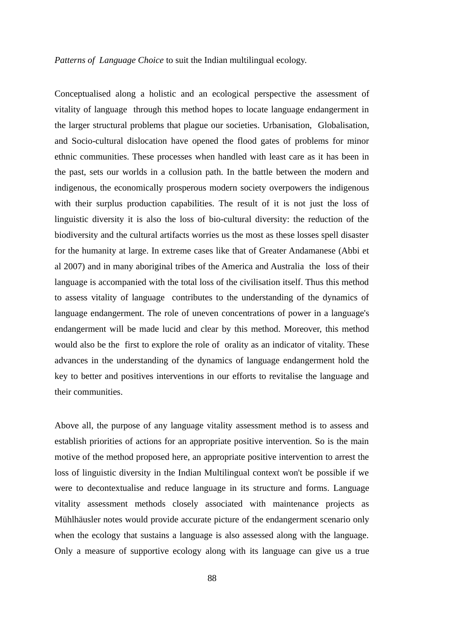#### *Patterns of Language Choice* to suit the Indian multilingual ecology.

Conceptualised along a holistic and an ecological perspective the assessment of vitality of language through this method hopes to locate language endangerment in the larger structural problems that plague our societies. Urbanisation, Globalisation, and Socio-cultural dislocation have opened the flood gates of problems for minor ethnic communities. These processes when handled with least care as it has been in the past, sets our worlds in a collusion path. In the battle between the modern and indigenous, the economically prosperous modern society overpowers the indigenous with their surplus production capabilities. The result of it is not just the loss of linguistic diversity it is also the loss of bio-cultural diversity: the reduction of the biodiversity and the cultural artifacts worries us the most as these losses spell disaster for the humanity at large. In extreme cases like that of Greater Andamanese (Abbi et al 2007) and in many aboriginal tribes of the America and Australia the loss of their language is accompanied with the total loss of the civilisation itself. Thus this method to assess vitality of language contributes to the understanding of the dynamics of language endangerment. The role of uneven concentrations of power in a language's endangerment will be made lucid and clear by this method. Moreover, this method would also be the first to explore the role of orality as an indicator of vitality. These advances in the understanding of the dynamics of language endangerment hold the key to better and positives interventions in our efforts to revitalise the language and their communities.

Above all, the purpose of any language vitality assessment method is to assess and establish priorities of actions for an appropriate positive intervention. So is the main motive of the method proposed here, an appropriate positive intervention to arrest the loss of linguistic diversity in the Indian Multilingual context won't be possible if we were to decontextualise and reduce language in its structure and forms. Language vitality assessment methods closely associated with maintenance projects as Mühlhäusler notes would provide accurate picture of the endangerment scenario only when the ecology that sustains a language is also assessed along with the language. Only a measure of supportive ecology along with its language can give us a true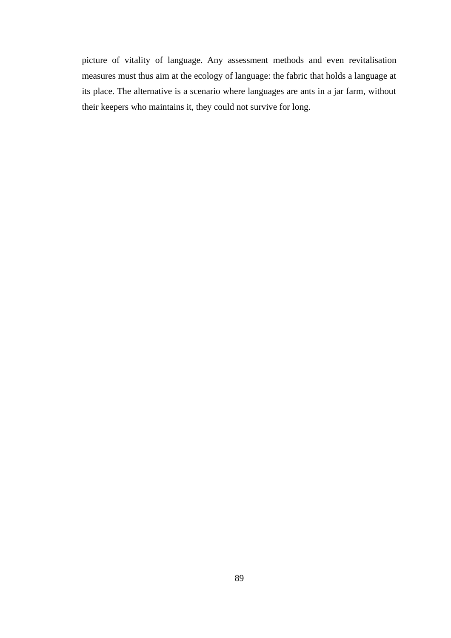picture of vitality of language. Any assessment methods and even revitalisation measures must thus aim at the ecology of language: the fabric that holds a language at its place. The alternative is a scenario where languages are ants in a jar farm, without their keepers who maintains it, they could not survive for long.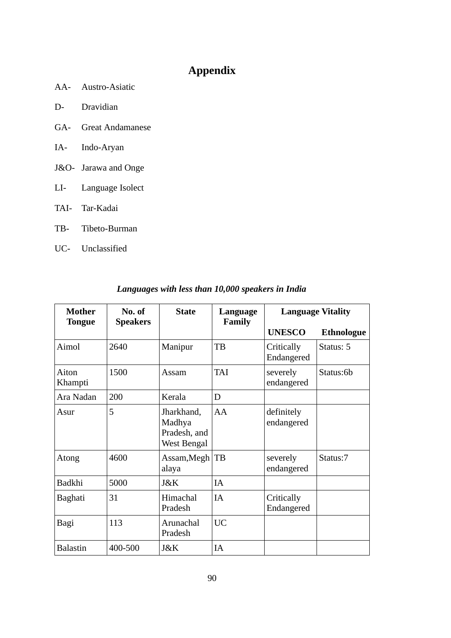# **Appendix**

- AA- Austro-Asiatic
- D- Dravidian
- GA- Great Andamanese
- IA- Indo-Aryan
- J&O- Jarawa and Onge
- LI- Language Isolect
- TAI- Tar-Kadai
- TB- Tibeto-Burman
- UC- Unclassified

| <b>Mother</b><br><b>Tongue</b> | No. of<br><b>Speakers</b> | <b>State</b>                                        | Language<br><b>Family</b> | <b>Language Vitality</b> |                   |
|--------------------------------|---------------------------|-----------------------------------------------------|---------------------------|--------------------------|-------------------|
|                                |                           |                                                     |                           | <b>UNESCO</b>            | <b>Ethnologue</b> |
| Aimol                          | 2640                      | Manipur                                             | TB                        | Critically<br>Endangered | Status: 5         |
| Aiton<br>Khampti               | 1500                      | Assam                                               | <b>TAI</b>                | severely<br>endangered   | Status:6b         |
| Ara Nadan                      | 200                       | Kerala                                              | D                         |                          |                   |
| Asur                           | 5                         | Jharkhand,<br>Madhya<br>Pradesh, and<br>West Bengal | AA                        | definitely<br>endangered |                   |
| Atong                          | 4600                      | Assam, Megh   TB<br>alaya                           |                           | severely<br>endangered   | Status:7          |
| <b>Badkhi</b>                  | 5000                      | J&K                                                 | IA                        |                          |                   |
| <b>Baghati</b>                 | 31                        | Himachal<br>Pradesh                                 | IA                        | Critically<br>Endangered |                   |
| Bagi                           | 113                       | Arunachal<br>Pradesh                                | <b>UC</b>                 |                          |                   |
| <b>Balastin</b>                | 400-500                   | J&K                                                 | IA                        |                          |                   |

# *Languages with less than 10,000 speakers in India*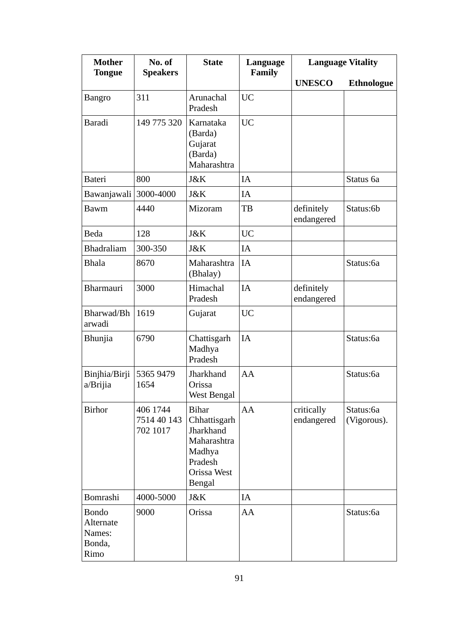| <b>Mother</b><br><b>Tongue</b>                        | No. of<br><b>Speakers</b>           | <b>State</b>                                                                                                  | Language<br><b>Family</b> | <b>Language Vitality</b> |                          |
|-------------------------------------------------------|-------------------------------------|---------------------------------------------------------------------------------------------------------------|---------------------------|--------------------------|--------------------------|
|                                                       |                                     |                                                                                                               |                           | <b>UNESCO</b>            | <b>Ethnologue</b>        |
| <b>Bangro</b>                                         | 311                                 | Arunachal<br>Pradesh                                                                                          | <b>UC</b>                 |                          |                          |
| <b>Baradi</b>                                         | 149 775 320                         | Karnataka<br>(Barda)<br>Gujarat<br>(Barda)<br>Maharashtra                                                     | <b>UC</b>                 |                          |                          |
| <b>Bateri</b>                                         | 800                                 | J&K                                                                                                           | IA                        |                          | Status 6a                |
| Bawanjawali                                           | 3000-4000                           | J&K                                                                                                           | IA                        |                          |                          |
| <b>Bawm</b>                                           | 4440                                | Mizoram                                                                                                       | TB                        | definitely<br>endangered | Status:6b                |
| <b>Beda</b>                                           | 128                                 | J&K                                                                                                           | <b>UC</b>                 |                          |                          |
| <b>Bhadraliam</b>                                     | 300-350                             | J&K                                                                                                           | IA                        |                          |                          |
| <b>Bhala</b>                                          | 8670                                | Maharashtra<br>(Bhalay)                                                                                       | IA                        |                          | Status:6a                |
| <b>Bharmauri</b>                                      | 3000                                | Himachal<br>Pradesh                                                                                           | <b>IA</b>                 | definitely<br>endangered |                          |
| Bharwad/Bh<br>arwadi                                  | 1619                                | Gujarat                                                                                                       | <b>UC</b>                 |                          |                          |
| Bhunjia                                               | 6790                                | Chattisgarh<br>Madhya<br>Pradesh                                                                              | IA                        |                          | Status:6a                |
| Binjhia/Birji<br>a/Brijia                             | 5365 9479<br>1654                   | Jharkhand<br>Orissa<br><b>West Bengal</b>                                                                     | AA                        |                          | Status:6a                |
| <b>Birhor</b>                                         | 406 1744<br>7514 40 143<br>702 1017 | <b>Bihar</b><br>Chhattisgarh<br>Jharkhand<br>Maharashtra<br>Madhya<br>Pradesh<br>Orissa West<br><b>Bengal</b> | AA                        | critically<br>endangered | Status:6a<br>(Vigorous). |
| <b>Bomrashi</b>                                       | 4000-5000                           | J&K                                                                                                           | IA                        |                          |                          |
| <b>Bondo</b><br>Alternate<br>Names:<br>Bonda,<br>Rimo | 9000                                | Orissa                                                                                                        | AA                        |                          | Status:6a                |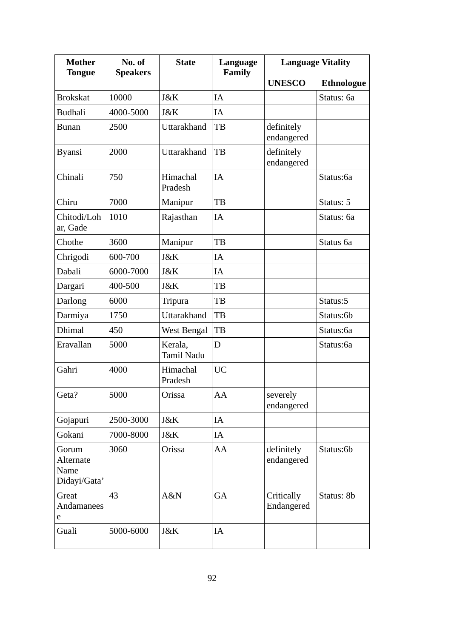| <b>Mother</b><br><b>Tongue</b>             | No. of<br><b>Speakers</b> | <b>State</b>                 | Language<br><b>Family</b> | <b>Language Vitality</b> |                   |
|--------------------------------------------|---------------------------|------------------------------|---------------------------|--------------------------|-------------------|
|                                            |                           |                              |                           | <b>UNESCO</b>            | <b>Ethnologue</b> |
| <b>Brokskat</b>                            | 10000                     | J&K                          | IA                        |                          | Status: 6a        |
| <b>Budhali</b>                             | 4000-5000                 | J&K                          | IA                        |                          |                   |
| <b>Bunan</b>                               | 2500                      | Uttarakhand                  | TB                        | definitely<br>endangered |                   |
| <b>Byansi</b>                              | 2000                      | <b>Uttarakhand</b>           | TB                        | definitely<br>endangered |                   |
| Chinali                                    | 750                       | Himachal<br>Pradesh          | IA                        |                          | Status:6a         |
| Chiru                                      | 7000                      | Manipur                      | TB                        |                          | Status: 5         |
| Chitodi/Loh<br>ar, Gade                    | 1010                      | Rajasthan                    | IA                        |                          | Status: 6a        |
| Chothe                                     | 3600                      | Manipur                      | TB                        |                          | Status 6a         |
| Chrigodi                                   | 600-700                   | J&K                          | IA                        |                          |                   |
| Dabali                                     | 6000-7000                 | J&K                          | IA                        |                          |                   |
| Dargari                                    | 400-500                   | J&K                          | TB                        |                          |                   |
| Darlong                                    | 6000                      | <b>Tripura</b>               | TB                        |                          | Status:5          |
| Darmiya                                    | 1750                      | <b>Uttarakhand</b>           | TB                        |                          | Status:6b         |
| <b>Dhimal</b>                              | 450                       | West Bengal                  | TB                        |                          | Status:6a         |
| Eravallan                                  | 5000                      | Kerala,<br><b>Tamil Nadu</b> | D                         |                          | Status:6a         |
| Gahri                                      | 4000                      | Himachal<br>Pradesh          | <b>UC</b>                 |                          |                   |
| Geta?                                      | 5000                      | Orissa                       | AA                        | severely<br>endangered   |                   |
| Gojapuri                                   | 2500-3000                 | J&K                          | IA                        |                          |                   |
| Gokani                                     | 7000-8000                 | J&K                          | IA                        |                          |                   |
| Gorum<br>Alternate<br>Name<br>Didayi/Gata' | 3060                      | Orissa                       | AA                        | definitely<br>endangered | Status:6b         |
| Great<br>Andamanees<br>е                   | 43                        | A&N                          | GA                        | Critically<br>Endangered | Status: 8b        |
| Guali                                      | 5000-6000                 | J&K                          | IA                        |                          |                   |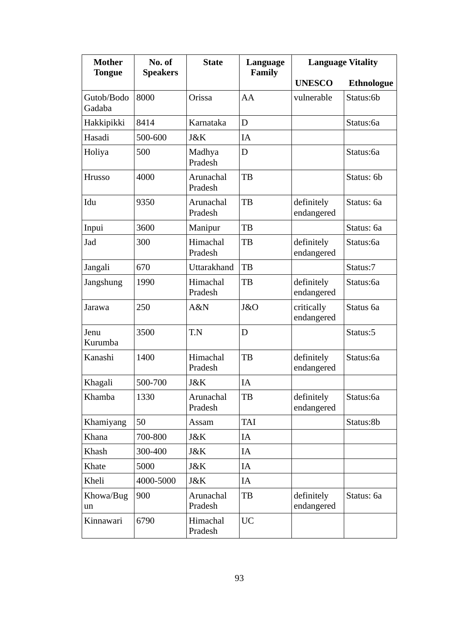| <b>Mother</b><br><b>Tongue</b> | No. of<br><b>Speakers</b> | <b>State</b>         | Language<br><b>Family</b> | <b>Language Vitality</b> |                   |
|--------------------------------|---------------------------|----------------------|---------------------------|--------------------------|-------------------|
|                                |                           |                      |                           | <b>UNESCO</b>            | <b>Ethnologue</b> |
| Gutob/Bodo<br>Gadaba           | 8000                      | Orissa               | AA                        | vulnerable               | Status:6b         |
| Hakkipikki                     | 8414                      | Karnataka            | D                         |                          | Status:6a         |
| Hasadi                         | 500-600                   | J&K                  | IA                        |                          |                   |
| Holiya                         | 500                       | Madhya<br>Pradesh    | D                         |                          | Status:6a         |
| Hrusso                         | 4000                      | Arunachal<br>Pradesh | TB                        |                          | Status: 6b        |
| Idu                            | 9350                      | Arunachal<br>Pradesh | TB                        | definitely<br>endangered | Status: 6a        |
| Inpui                          | 3600                      | Manipur              | TB                        |                          | Status: 6a        |
| Jad                            | 300                       | Himachal<br>Pradesh  | TB                        | definitely<br>endangered | Status:6a         |
| Jangali                        | 670                       | Uttarakhand          | TB                        |                          | Status:7          |
| Jangshung                      | 1990                      | Himachal<br>Pradesh  | TB                        | definitely<br>endangered | Status:6a         |
| Jarawa                         | 250                       | A&N                  | J&O                       | critically<br>endangered | Status 6a         |
| Jenu<br>Kurumba                | 3500                      | T.N                  | D                         |                          | Status:5          |
| Kanashi                        | 1400                      | Himachal<br>Pradesh  | TB                        | definitely<br>endangered | Status:6a         |
| Khagali                        | 500-700                   | J&K                  | IA                        |                          |                   |
| Khamba                         | 1330                      | Arunachal<br>Pradesh | TB                        | definitely<br>endangered | Status:6a         |
| Khamiyang                      | 50                        | Assam                | TAI                       |                          | Status:8b         |
| Khana                          | 700-800                   | J&K                  | IA                        |                          |                   |
| Khash                          | 300-400                   | J&K                  | IA                        |                          |                   |
| Khate                          | 5000                      | J&K                  | IA                        |                          |                   |
| Kheli                          | 4000-5000                 | J&K                  | IA                        |                          |                   |
| Khowa/Bug<br>un                | 900                       | Arunachal<br>Pradesh | TB                        | definitely<br>endangered | Status: 6a        |
| Kinnawari                      | 6790                      | Himachal<br>Pradesh  | <b>UC</b>                 |                          |                   |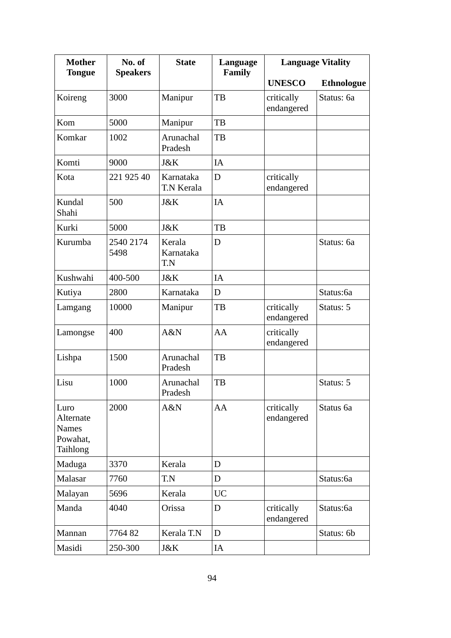| <b>Mother</b><br><b>Tongue</b>                            | No. of<br><b>Speakers</b> | <b>State</b>               | Language<br><b>Family</b> | <b>Language Vitality</b> |                   |
|-----------------------------------------------------------|---------------------------|----------------------------|---------------------------|--------------------------|-------------------|
|                                                           |                           |                            |                           | <b>UNESCO</b>            | <b>Ethnologue</b> |
| Koireng                                                   | 3000                      | Manipur                    | TB                        | critically<br>endangered | Status: 6a        |
| Kom                                                       | 5000                      | Manipur                    | TB                        |                          |                   |
| Komkar                                                    | 1002                      | Arunachal<br>Pradesh       | TB                        |                          |                   |
| Komti                                                     | 9000                      | J&K                        | IA                        |                          |                   |
| Kota                                                      | 221 925 40                | Karnataka<br>T.N Kerala    | D                         | critically<br>endangered |                   |
| Kundal<br>Shahi                                           | 500                       | J&K                        | IA                        |                          |                   |
| Kurki                                                     | 5000                      | J&K                        | TB                        |                          |                   |
| Kurumba                                                   | 2540 2174<br>5498         | Kerala<br>Karnataka<br>T.N | D                         |                          | Status: 6a        |
| Kushwahi                                                  | 400-500                   | J&K                        | IA                        |                          |                   |
| Kutiya                                                    | 2800                      | Karnataka                  | D                         |                          | Status:6a         |
| Lamgang                                                   | 10000                     | Manipur                    | TB                        | critically<br>endangered | Status: 5         |
| Lamongse                                                  | 400                       | A&N                        | AA                        | critically<br>endangered |                   |
| Lishpa                                                    | 1500                      | Arunachal<br>Pradesh       | TB                        |                          |                   |
| Lisu                                                      | 1000                      | Arunachal<br>Pradesh       | TB                        |                          | Status: 5         |
| Luro<br>Alternate<br><b>Names</b><br>Powahat,<br>Taihlong | 2000                      | A&N                        | AA                        | critically<br>endangered | Status 6a         |
| Maduga                                                    | 3370                      | Kerala                     | D                         |                          |                   |
| Malasar                                                   | 7760                      | T.N                        | D                         |                          | Status:6a         |
| Malayan                                                   | 5696                      | Kerala                     | <b>UC</b>                 |                          |                   |
| Manda                                                     | 4040                      | Orissa                     | D                         | critically<br>endangered | Status:6a         |
| Mannan                                                    | 776482                    | Kerala T.N                 | D                         |                          | Status: 6b        |
| Masidi                                                    | 250-300                   | J&K                        | IA                        |                          |                   |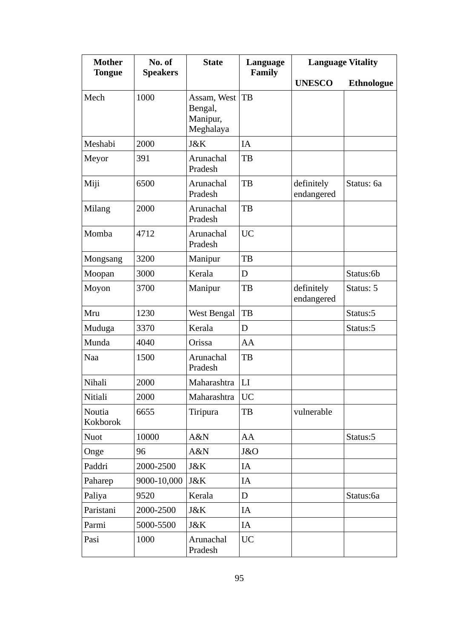| <b>Mother</b><br><b>Tongue</b> | No. of<br><b>Speakers</b> | <b>State</b>                                    | Language<br><b>Family</b> | <b>Language Vitality</b> |                   |
|--------------------------------|---------------------------|-------------------------------------------------|---------------------------|--------------------------|-------------------|
|                                |                           |                                                 |                           | <b>UNESCO</b>            | <b>Ethnologue</b> |
| Mech                           | 1000                      | Assam, West<br>Bengal,<br>Manipur,<br>Meghalaya | TB                        |                          |                   |
| Meshabi                        | 2000                      | J&K                                             | IA                        |                          |                   |
| Meyor                          | 391                       | Arunachal<br>Pradesh                            | TB                        |                          |                   |
| Miji                           | 6500                      | Arunachal<br>Pradesh                            | TB                        | definitely<br>endangered | Status: 6a        |
| Milang                         | 2000                      | Arunachal<br>Pradesh                            | TB                        |                          |                   |
| Momba                          | 4712                      | Arunachal<br>Pradesh                            | <b>UC</b>                 |                          |                   |
| Mongsang                       | 3200                      | Manipur                                         | TB                        |                          |                   |
| Moopan                         | 3000                      | Kerala                                          | D                         |                          | Status:6b         |
| Moyon                          | 3700                      | Manipur                                         | TB                        | definitely<br>endangered | Status: 5         |
| Mru                            | 1230                      | West Bengal                                     | TB                        |                          | Status:5          |
| Muduga                         | 3370                      | Kerala                                          | D                         |                          | Status:5          |
| Munda                          | 4040                      | Orissa                                          | AA                        |                          |                   |
| <b>Naa</b>                     | 1500                      | Arunachal<br>Pradesh                            | TB                        |                          |                   |
| Nihali                         | 2000                      | Maharashtra                                     | LI                        |                          |                   |
| Nitiali                        | 2000                      | Maharashtra                                     | UC                        |                          |                   |
| Noutia<br>Kokborok             | 6655                      | Tiripura                                        | TB                        | vulnerable               |                   |
| <b>Nuot</b>                    | 10000                     | A&N                                             | AA                        |                          | Status:5          |
| Onge                           | 96                        | A&N                                             | J&O                       |                          |                   |
| Paddri                         | 2000-2500                 | J&K                                             | IA                        |                          |                   |
| Paharep                        | 9000-10,000               | J&K                                             | IA                        |                          |                   |
| Paliya                         | 9520                      | Kerala                                          | D                         |                          | Status:6a         |
| Paristani                      | 2000-2500                 | J&K                                             | IA                        |                          |                   |
| Parmi                          | 5000-5500                 | J&K                                             | IA                        |                          |                   |
| Pasi                           | 1000                      | Arunachal<br>Pradesh                            | <b>UC</b>                 |                          |                   |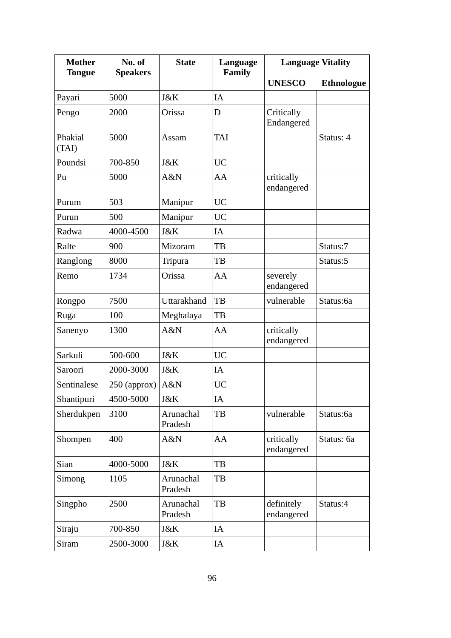| <b>Mother</b><br><b>Tongue</b> | No. of<br><b>Speakers</b> | <b>State</b>         | Language<br><b>Family</b> | <b>Language Vitality</b> |                   |
|--------------------------------|---------------------------|----------------------|---------------------------|--------------------------|-------------------|
|                                |                           |                      |                           | <b>UNESCO</b>            | <b>Ethnologue</b> |
| Payari                         | 5000                      | J&K                  | IA                        |                          |                   |
| Pengo                          | 2000                      | Orissa               | D                         | Critically<br>Endangered |                   |
| Phakial<br>(TAI)               | 5000                      | Assam                | <b>TAI</b>                |                          | Status: 4         |
| Poundsi                        | 700-850                   | J&K                  | <b>UC</b>                 |                          |                   |
| Pu                             | 5000                      | A&N                  | AA                        | critically<br>endangered |                   |
| Purum                          | 503                       | Manipur              | <b>UC</b>                 |                          |                   |
| Purun                          | 500                       | Manipur              | <b>UC</b>                 |                          |                   |
| Radwa                          | 4000-4500                 | J&K                  | IA                        |                          |                   |
| Ralte                          | 900                       | Mizoram              | TB                        |                          | Status:7          |
| Ranglong                       | 8000                      | Tripura              | TB                        |                          | Status:5          |
| Remo                           | 1734                      | Orissa               | AA                        | severely<br>endangered   |                   |
| Rongpo                         | 7500                      | Uttarakhand          | TB                        | vulnerable               | Status:6a         |
| Ruga                           | 100                       | Meghalaya            | TB                        |                          |                   |
| Sanenyo                        | 1300                      | A&N                  | AA                        | critically<br>endangered |                   |
| Sarkuli                        | 500-600                   | J&K                  | <b>UC</b>                 |                          |                   |
| Saroori                        | 2000-3000                 | J&K                  | IA                        |                          |                   |
| Sentinalese                    | 250 (approx)              | A&N                  | <b>UC</b>                 |                          |                   |
| Shantipuri                     | 4500-5000                 | J&K                  | IA                        |                          |                   |
| Sherdukpen                     | 3100                      | Arunachal<br>Pradesh | TB                        | vulnerable               | Status:6a         |
| Shompen                        | 400                       | A&N                  | AA                        | critically<br>endangered | Status: 6a        |
| Sian                           | 4000-5000                 | J&K                  | TB                        |                          |                   |
| Simong                         | 1105                      | Arunachal<br>Pradesh | TB                        |                          |                   |
| Singpho                        | 2500                      | Arunachal<br>Pradesh | TB                        | definitely<br>endangered | Status:4          |
| Siraju                         | 700-850                   | J&K                  | IA                        |                          |                   |
| <b>Siram</b>                   | 2500-3000                 | J&K                  | IA                        |                          |                   |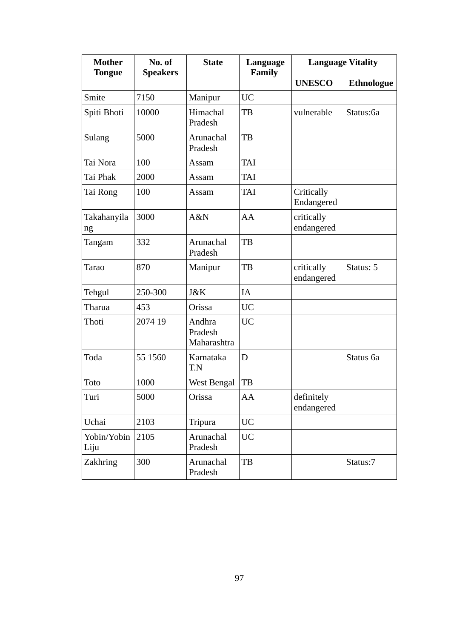| <b>Mother</b><br>No. of |                 | <b>State</b>                     | Language<br><b>Family</b> | <b>Language Vitality</b> |                   |
|-------------------------|-----------------|----------------------------------|---------------------------|--------------------------|-------------------|
| <b>Tongue</b>           | <b>Speakers</b> |                                  |                           | <b>UNESCO</b>            | <b>Ethnologue</b> |
| Smite                   | 7150            | Manipur                          | <b>UC</b>                 |                          |                   |
| Spiti Bhoti             | 10000           | Himachal<br>Pradesh              | TB                        | vulnerable               | Status:6a         |
| Sulang                  | 5000            | Arunachal<br>Pradesh             | TB                        |                          |                   |
| Tai Nora                | 100             | Assam                            | <b>TAI</b>                |                          |                   |
| Tai Phak                | 2000            | Assam                            | <b>TAI</b>                |                          |                   |
| Tai Rong                | 100             | Assam                            | <b>TAI</b>                | Critically<br>Endangered |                   |
| Takahanyila<br>ng       | 3000            | A&N                              | AA                        | critically<br>endangered |                   |
| Tangam                  | 332             | Arunachal<br>Pradesh             | TB                        |                          |                   |
| <b>Tarao</b>            | 870             | Manipur                          | TB                        | critically<br>endangered | Status: 5         |
| Tehgul                  | 250-300         | J&K                              | <b>IA</b>                 |                          |                   |
| Tharua                  | 453             | Orissa                           | <b>UC</b>                 |                          |                   |
| Thoti                   | 2074 19         | Andhra<br>Pradesh<br>Maharashtra | <b>UC</b>                 |                          |                   |
| Toda                    | 55 1560         | Karnataka<br>T.N                 | D                         |                          | Status 6a         |
| Toto                    | 1000            | <b>West Bengal</b>               | TB                        |                          |                   |
| Turi                    | 5000            | Orissa                           | AA                        | definitely<br>endangered |                   |
| Uchai                   | 2103            | Tripura                          | <b>UC</b>                 |                          |                   |
| Yobin/Yobin<br>Liju     | 2105            | Arunachal<br>Pradesh             | <b>UC</b>                 |                          |                   |
| Zakhring                | 300             | Arunachal<br>Pradesh             | TB                        |                          | Status:7          |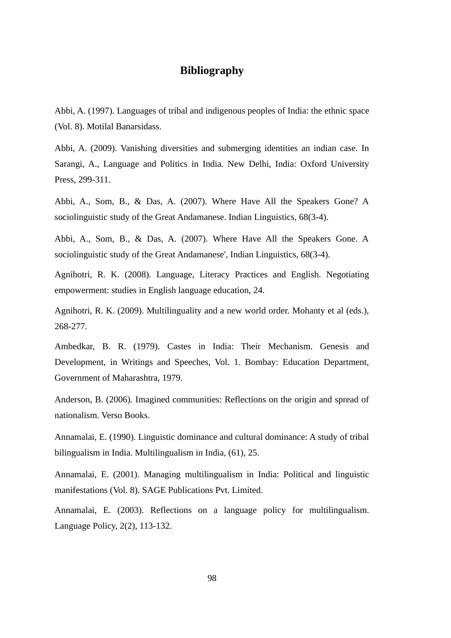# **Bibliography**

Abbi, A. (1997). Languages of tribal and indigenous peoples of India: the ethnic space (Vol. 8). Motilal Banarsidass.

Abbi, A. (2009). Vanishing diversities and submerging identities an indian case. In Sarangi, A., Language and Politics in India. New Delhi, India: Oxford University Press, 299-311.

Abbi, A., Som, B., & Das, A. (2007). Where Have All the Speakers Gone? A sociolinguistic study of the Great Andamanese. Indian Linguistics, 68(3-4).

Abbi, A., Som, B., & Das, A. (2007). Where Have All the Speakers Gone. A sociolinguistic study of the Great Andamanese', Indian Linguistics, 68(3-4).

Agnihotri, R. K. (2008). Language, Literacy Practices and English. Negotiating empowerment: studies in English language education, 24.

Agnihotri, R. K. (2009). Multilinguality and a new world order. Mohanty et al (eds.), 268-277.

Ambedkar, B. R. (1979). Castes in India: Their Mechanism. Genesis and Development, in Writings and Speeches, Vol. 1. Bombay: Education Department, Government of Maharashtra, 1979.

Anderson, B. (2006). Imagined communities: Reflections on the origin and spread of nationalism. Verso Books.

Annamalai, E. (1990). Linguistic dominance and cultural dominance: A study of tribal bilingualism in India. Multilingualism in India, (61), 25.

Annamalai, E. (2001). Managing multilingualism in India: Political and linguistic manifestations (Vol. 8). SAGE Publications Pvt. Limited.

Annamalai, E. (2003). Reflections on a language policy for multilingualism. Language Policy, 2(2), 113-132.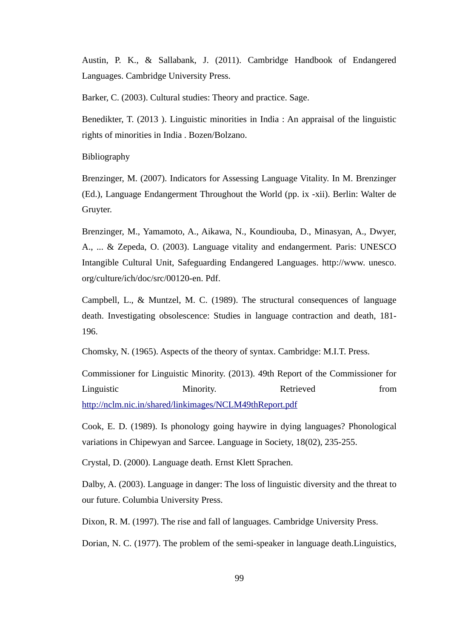Austin, P. K., & Sallabank, J. (2011). Cambridge Handbook of Endangered Languages. Cambridge University Press.

Barker, C. (2003). Cultural studies: Theory and practice. Sage.

Benedikter, T. (2013 ). Linguistic minorities in India : An appraisal of the linguistic rights of minorities in India . Bozen/Bolzano.

Bibliography

Brenzinger, M. (2007). Indicators for Assessing Language Vitality. In M. Brenzinger (Ed.), Language Endangerment Throughout the World (pp. ix ‐xii). Berlin: Walter de Gruyter.

Brenzinger, M., Yamamoto, A., Aikawa, N., Koundiouba, D., Minasyan, A., Dwyer, A., ... & Zepeda, O. (2003). Language vitality and endangerment. Paris: UNESCO Intangible Cultural Unit, Safeguarding Endangered Languages. http://www. unesco. org/culture/ich/doc/src/00120-en. Pdf.

Campbell, L., & Muntzel, M. C. (1989). The structural consequences of language death. Investigating obsolescence: Studies in language contraction and death, 181- 196.

Chomsky, N. (1965). Aspects of the theory of syntax. Cambridge: M.I.T. Press.

Commissioner for Linguistic Minority. (2013). 49th Report of the Commissioner for Linguistic Minority. Retrieved from <http://nclm.nic.in/shared/linkimages/NCLM49thReport.pdf>

Cook, E. D. (1989). Is phonology going haywire in dying languages? Phonological variations in Chipewyan and Sarcee. Language in Society, 18(02), 235-255.

Crystal, D. (2000). Language death. Ernst Klett Sprachen.

Dalby, A. (2003). Language in danger: The loss of linguistic diversity and the threat to our future. Columbia University Press.

Dixon, R. M. (1997). The rise and fall of languages. Cambridge University Press.

Dorian, N. C. (1977). The problem of the semi-speaker in language death.Linguistics,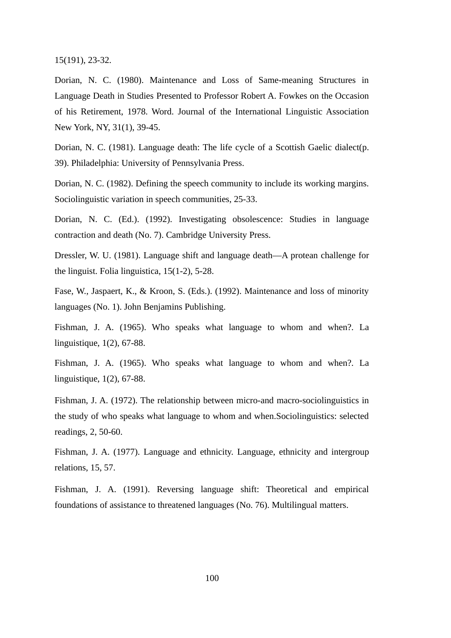15(191), 23-32.

Dorian, N. C. (1980). Maintenance and Loss of Same-meaning Structures in Language Death in Studies Presented to Professor Robert A. Fowkes on the Occasion of his Retirement, 1978. Word. Journal of the International Linguistic Association New York, NY, 31(1), 39-45.

Dorian, N. C. (1981). Language death: The life cycle of a Scottish Gaelic dialect(p. 39). Philadelphia: University of Pennsylvania Press.

Dorian, N. C. (1982). Defining the speech community to include its working margins. Sociolinguistic variation in speech communities, 25-33.

Dorian, N. C. (Ed.). (1992). Investigating obsolescence: Studies in language contraction and death (No. 7). Cambridge University Press.

Dressler, W. U. (1981). Language shift and language death—A protean challenge for the linguist. Folia linguistica, 15(1-2), 5-28.

Fase, W., Jaspaert, K., & Kroon, S. (Eds.). (1992). Maintenance and loss of minority languages (No. 1). John Benjamins Publishing.

Fishman, J. A. (1965). Who speaks what language to whom and when?. La linguistique, 1(2), 67-88.

Fishman, J. A. (1965). Who speaks what language to whom and when?. La linguistique, 1(2), 67-88.

Fishman, J. A. (1972). The relationship between micro-and macro-sociolinguistics in the study of who speaks what language to whom and when.Sociolinguistics: selected readings, 2, 50-60.

Fishman, J. A. (1977). Language and ethnicity. Language, ethnicity and intergroup relations, 15, 57.

Fishman, J. A. (1991). Reversing language shift: Theoretical and empirical foundations of assistance to threatened languages (No. 76). Multilingual matters.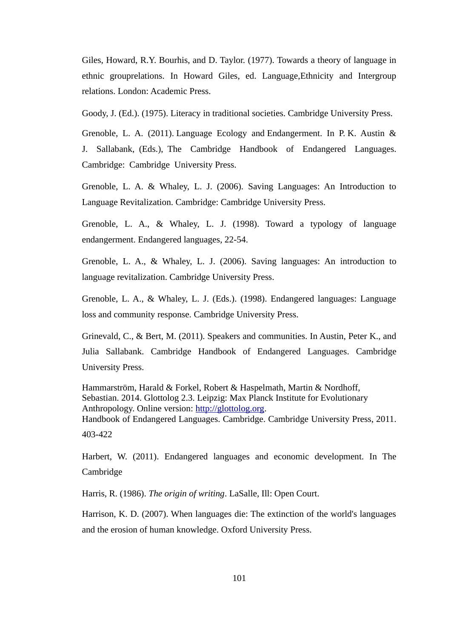Giles, Howard, R.Y. Bourhis, and D. Taylor. (1977). Towards a theory of language in ethnic grouprelations. In Howard Giles, ed. Language,Ethnicity and Intergroup relations. London: Academic Press.

Goody, J. (Ed.). (1975). Literacy in traditional societies. Cambridge University Press.

Grenoble, L. A. (2011). Language Ecology and Endangerment. In P. K. Austin & J. Sallabank, (Eds.), The Cambridge Handbook of Endangered Languages. Cambridge: Cambridge University Press.

Grenoble, L. A. & Whaley, L. J. (2006). Saving Languages: An Introduction to Language Revitalization. Cambridge: Cambridge University Press.

Grenoble, L. A., & Whaley, L. J. (1998). Toward a typology of language endangerment. Endangered languages, 22-54.

Grenoble, L. A., & Whaley, L. J. (2006). Saving languages: An introduction to language revitalization. Cambridge University Press.

Grenoble, L. A., & Whaley, L. J. (Eds.). (1998). Endangered languages: Language loss and community response. Cambridge University Press.

Grinevald, C., & Bert, M. (2011). Speakers and communities. In Austin, Peter K., and Julia Sallabank. Cambridge Handbook of Endangered Languages. Cambridge University Press.

Hammarström, Harald & Forkel, Robert & Haspelmath, Martin & Nordhoff, Sebastian. 2014. Glottolog 2.3. Leipzig: Max Planck Institute for Evolutionary Anthropology. Online version: [http://glottolog.org.](http://glottolog.org/) Handbook of Endangered Languages. Cambridge. Cambridge University Press, 2011. 403-422

Harbert, W. (2011). Endangered languages and economic development. In The Cambridge

Harris, R. (1986). *The origin of writing*. LaSalle, Ill: Open Court.

Harrison, K. D. (2007). When languages die: The extinction of the world's languages and the erosion of human knowledge. Oxford University Press.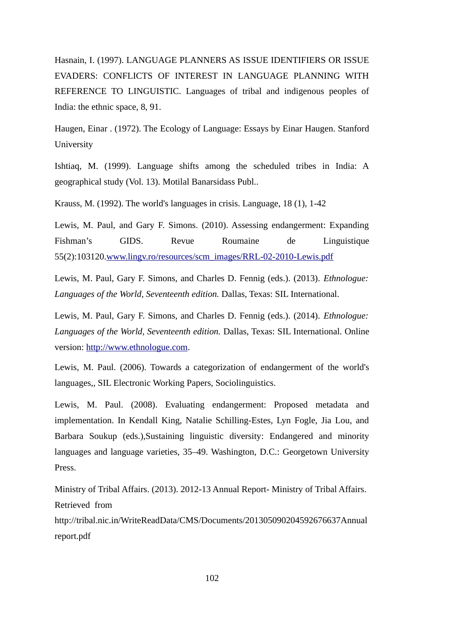Hasnain, I. (1997). LANGUAGE PLANNERS AS ISSUE IDENTIFIERS OR ISSUE EVADERS: CONFLICTS OF INTEREST IN LANGUAGE PLANNING WITH REFERENCE TO LINGUISTIC. Languages of tribal and indigenous peoples of India: the ethnic space, 8, 91.

Haugen, Einar . (1972). The Ecology of Language: Essays by Einar Haugen. Stanford University

Ishtiaq, M. (1999). Language shifts among the scheduled tribes in India: A geographical study (Vol. 13). Motilal Banarsidass Publ..

Krauss, M. (1992). The world's languages in crisis. Language, 18 (1), 1‐42

Lewis, M. Paul, and Gary F. Simons. (2010). Assessing endangerment: Expanding Fishman's GIDS. Revue Roumaine de Linguistique 55(2):103120[.www.lingv.ro/resources/scm\\_images/RRL-02-2010-Lewis.pdf](http://www.lingv.ro/resources/scm_images/RRL-02-2010-Lewis.pdf)

Lewis, M. Paul, Gary F. Simons, and Charles D. Fennig (eds.). (2013). *Ethnologue: Languages of the World, Seventeenth edition.* Dallas, Texas: SIL International.

Lewis, M. Paul, Gary F. Simons, and Charles D. Fennig (eds.). (2014). *Ethnologue: Languages of the World, Seventeenth edition.* Dallas, Texas: SIL International. Online version: [http://www.ethnologue.com.](http://www.ethnologue.com/)

Lewis, M. Paul. (2006). Towards a categorization of endangerment of the world's languages,, SIL Electronic Working Papers, Sociolinguistics.

Lewis, M. Paul. (2008). Evaluating endangerment: Proposed metadata and implementation. In Kendall King, Natalie Schilling-Estes, Lyn Fogle, Jia Lou, and Barbara Soukup (eds.),Sustaining linguistic diversity: Endangered and minority languages and language varieties, 35–49. Washington, D.C.: Georgetown University Press.

Ministry of Tribal Affairs. (2013). 2012-13 Annual Report- Ministry of Tribal Affairs. Retrieved from

http://tribal.nic.in/WriteReadData/CMS/Documents/201305090204592676637Annual report.pdf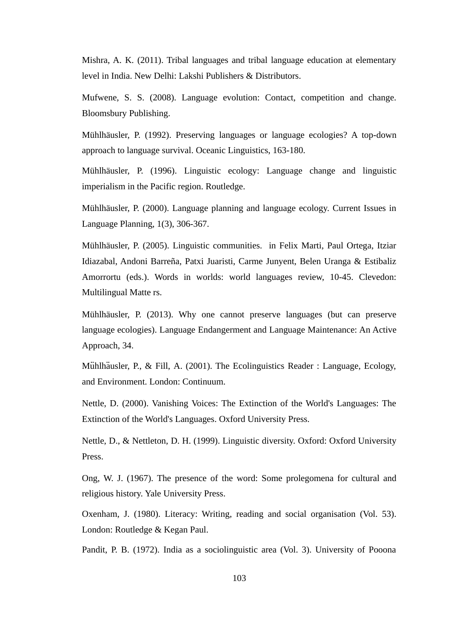Mishra, A. K. (2011). Tribal languages and tribal language education at elementary level in India. New Delhi: Lakshi Publishers & Distributors.

Mufwene, S. S. (2008). Language evolution: Contact, competition and change. Bloomsbury Publishing.

Mühlhäusler, P. (1992). Preserving languages or language ecologies? A top-down approach to language survival. Oceanic Linguistics, 163-180.

Mühlhäusler, P. (1996). Linguistic ecology: Language change and linguistic imperialism in the Pacific region. Routledge.

Mühlhäusler, P. (2000). Language planning and language ecology. Current Issues in Language Planning, 1(3), 306-367.

Mühlhäusler, P. (2005). Linguistic communities. in Felix Marti, Paul Ortega, Itziar Idiazabal, Andoni Barreña, Patxi Juaristi, Carme Junyent, Belen Uranga & Estibaliz Amorrortu (eds.). Words in worlds: world languages review, 10-45. Clevedon: Multilingual Matte rs.

Mühlhäusler, P. (2013). Why one cannot preserve languages (but can preserve language ecologies). Language Endangerment and Language Maintenance: An Active Approach, 34.

Mühlhäusler, P., & Fill, A. (2001). The Ecolinguistics Reader : Language, Ecology, and Environment. London: Continuum.

Nettle, D. (2000). Vanishing Voices: The Extinction of the World's Languages: The Extinction of the World's Languages. Oxford University Press.

Nettle, D., & Nettleton, D. H. (1999). Linguistic diversity. Oxford: Oxford University Press.

Ong, W. J. (1967). The presence of the word: Some prolegomena for cultural and religious history. Yale University Press.

Oxenham, J. (1980). Literacy: Writing, reading and social organisation (Vol. 53). London: Routledge & Kegan Paul.

Pandit, P. B. (1972). India as a sociolinguistic area (Vol. 3). University of Pooona